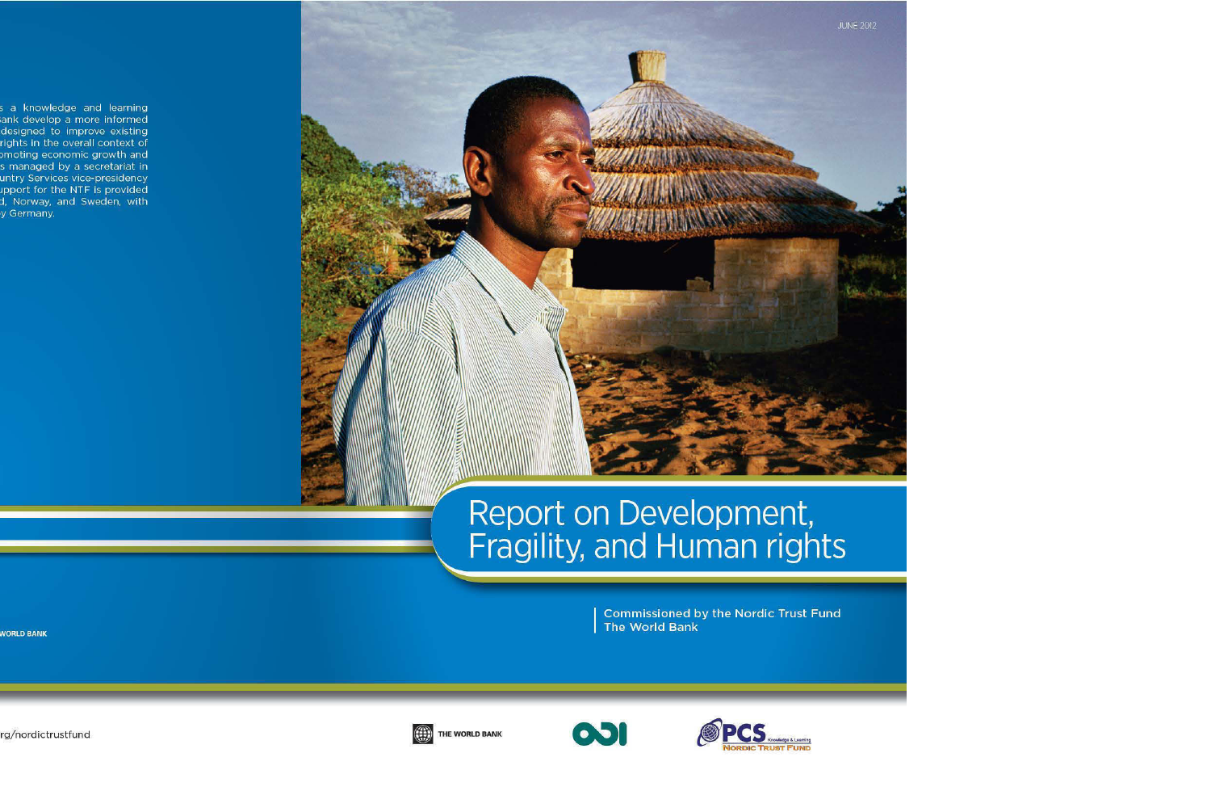# Report on Development,<br>Fragility, and Human rights

**Commissioned by the Nordic Trust Fund** The World Bank



THE WORLD BANK



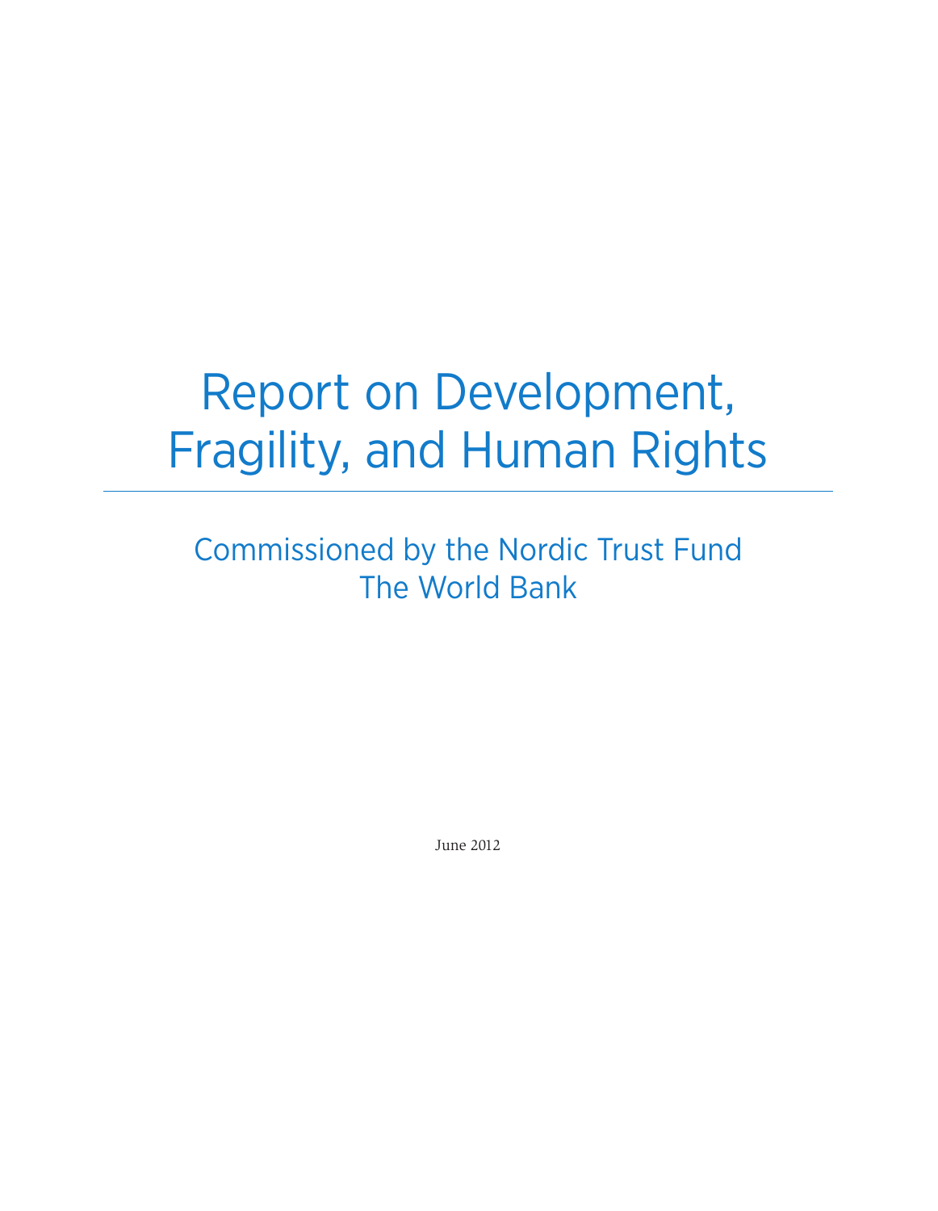# Report on Development, Fragility, and Human Rights

Commissioned by the Nordic Trust Fund The World Bank

June 2012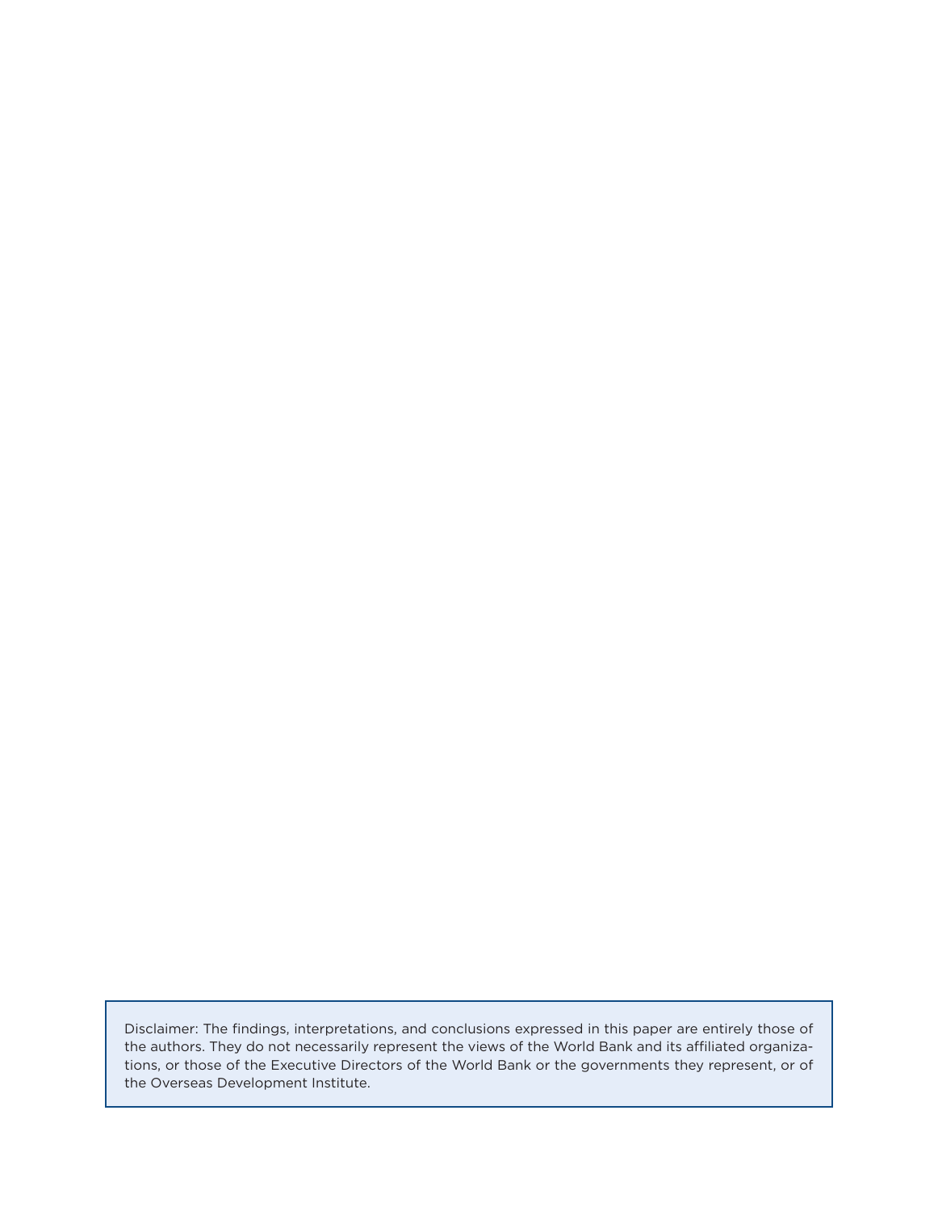Disclaimer: The findings, interpretations, and conclusions expressed in this paper are entirely those of the authors. They do not necessarily represent the views of the World Bank and its affiliated organizations, or those of the Executive Directors of the World Bank or the governments they represent, or of the Overseas Development Institute.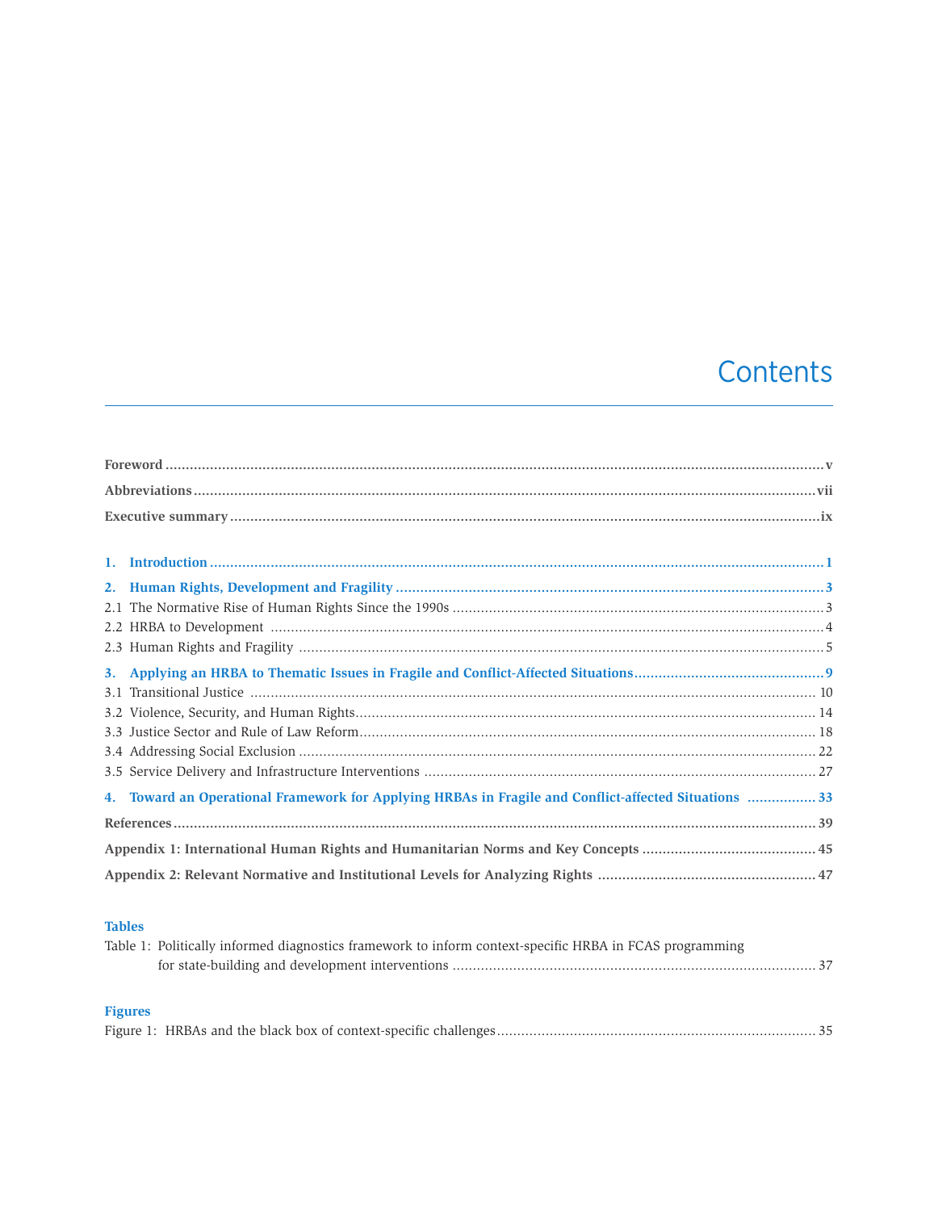# Contents

| 1.  |                                                                                                      |  |  |
|-----|------------------------------------------------------------------------------------------------------|--|--|
|     |                                                                                                      |  |  |
|     |                                                                                                      |  |  |
|     |                                                                                                      |  |  |
|     |                                                                                                      |  |  |
|     |                                                                                                      |  |  |
| 3.1 |                                                                                                      |  |  |
|     |                                                                                                      |  |  |
|     |                                                                                                      |  |  |
|     |                                                                                                      |  |  |
|     |                                                                                                      |  |  |
|     | 4. Toward an Operational Framework for Applying HRBAs in Fragile and Conflict-affected Situations 33 |  |  |
|     |                                                                                                      |  |  |
|     |                                                                                                      |  |  |
|     |                                                                                                      |  |  |

# **Tables**

| Table 1: Politically informed diagnostics framework to inform context-specific HRBA in FCAS programming |  |
|---------------------------------------------------------------------------------------------------------|--|
|                                                                                                         |  |

# **Figures**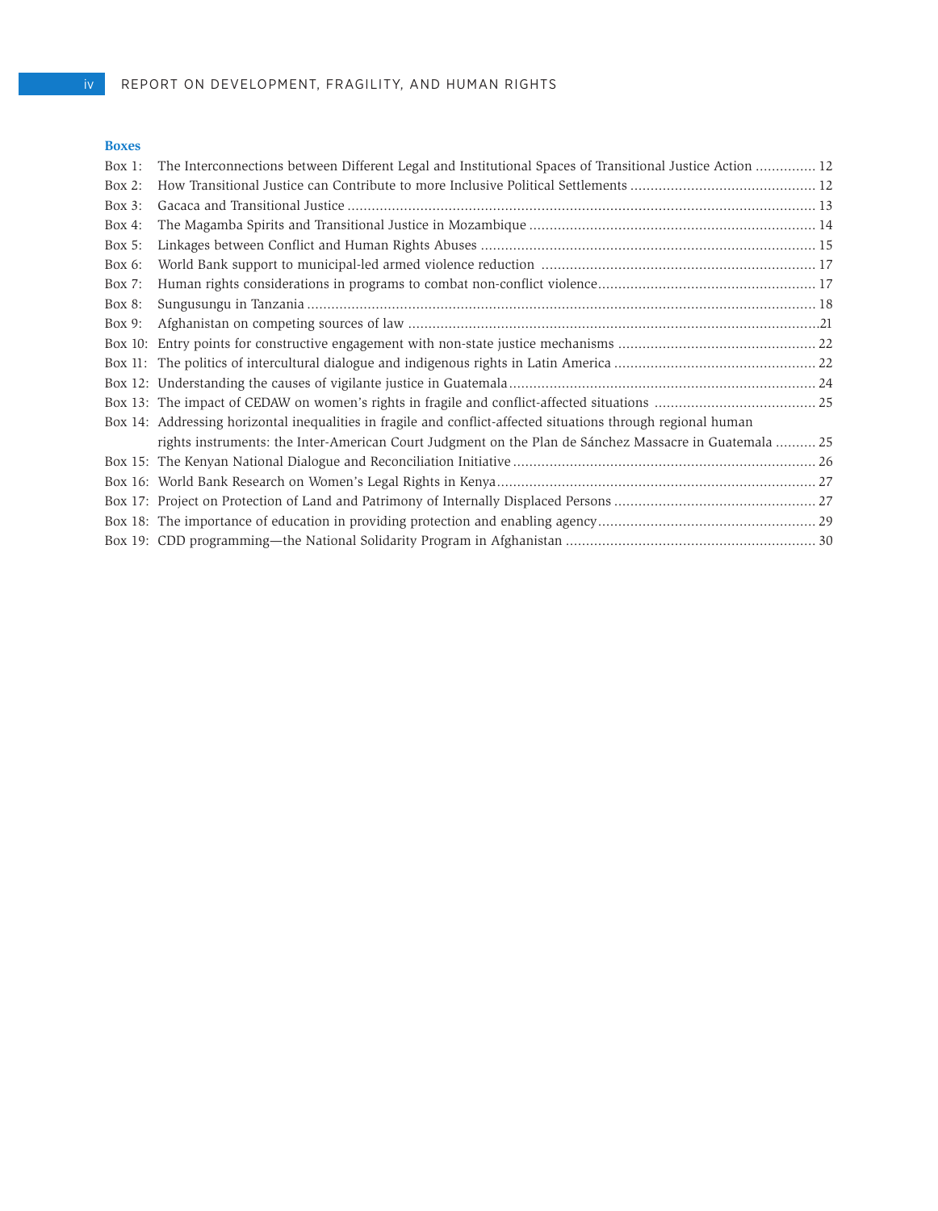## **Boxes**

| $\mathbf{L}$ |                                                                                                               |  |
|--------------|---------------------------------------------------------------------------------------------------------------|--|
| Box $1$ :    | The Interconnections between Different Legal and Institutional Spaces of Transitional Justice Action  12      |  |
| Box $2$ :    |                                                                                                               |  |
| Box $3$ :    |                                                                                                               |  |
| Box 4:       |                                                                                                               |  |
| Box $5$ :    |                                                                                                               |  |
| Box 6:       |                                                                                                               |  |
| Box 7:       |                                                                                                               |  |
| Box 8:       |                                                                                                               |  |
| Box 9:       |                                                                                                               |  |
|              |                                                                                                               |  |
|              |                                                                                                               |  |
|              |                                                                                                               |  |
|              |                                                                                                               |  |
|              | Box 14: Addressing horizontal inequalities in fragile and conflict-affected situations through regional human |  |
|              | rights instruments: the Inter-American Court Judgment on the Plan de Sánchez Massacre in Guatemala  25        |  |
|              |                                                                                                               |  |
|              |                                                                                                               |  |
|              |                                                                                                               |  |
|              |                                                                                                               |  |
|              |                                                                                                               |  |
|              |                                                                                                               |  |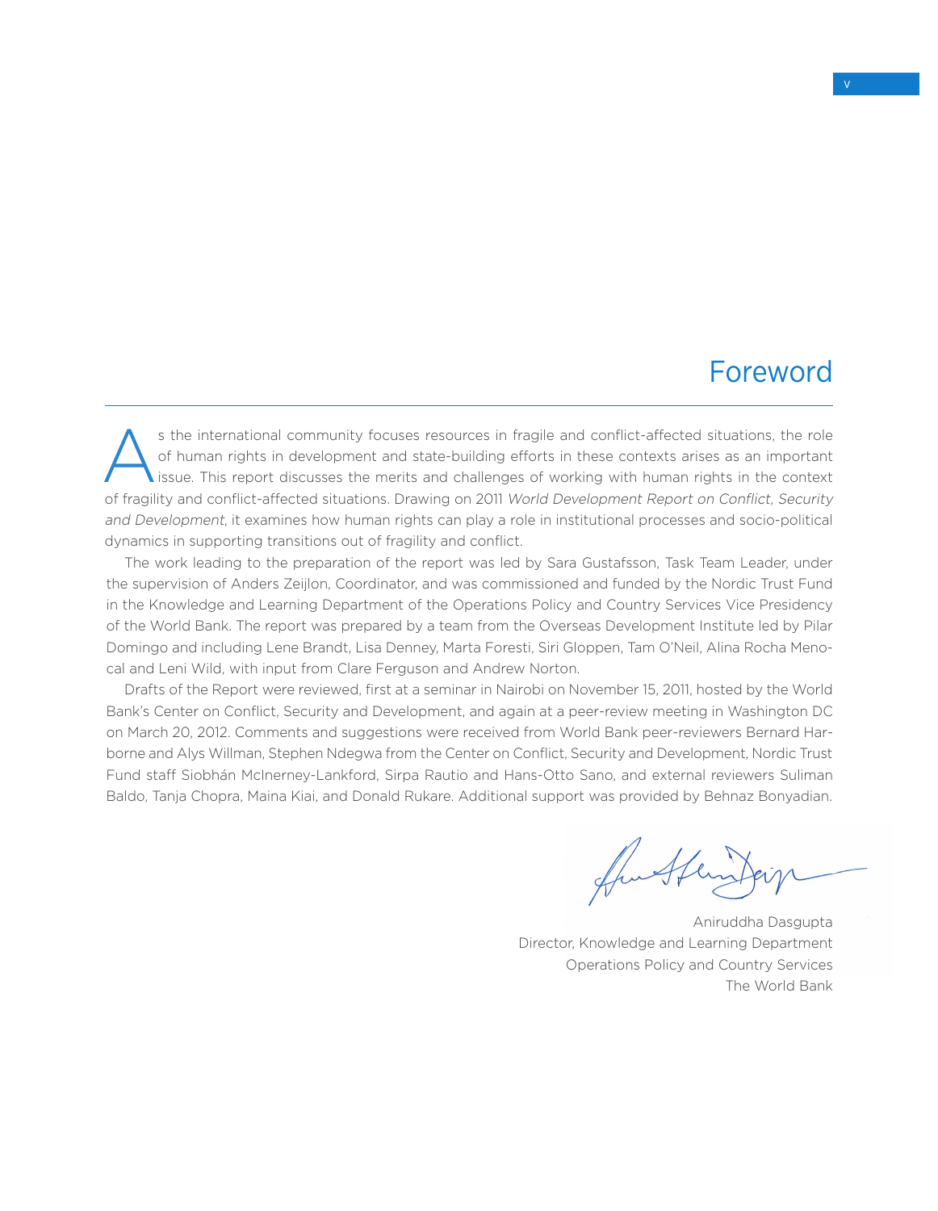# Foreword

s the international community focuses resources in fragile and conflict-affected situations, the role<br>of human rights in development and state-building efforts in these contexts arises as an important<br>issue. This report di of human rights in development and state-building efforts in these contexts arises as an important issue. This report discusses the merits and challenges of working with human rights in the context of fragility and conflict-affected situations. Drawing on 2011 World Development Report on Conflict, Security and Development, it examines how human rights can play a role in institutional processes and socio-political dynamics in supporting transitions out of fragility and conflict.

The work leading to the preparation of the report was led by Sara Gustafsson, Task Team Leader, under the supervision of Anders Zeijlon, Coordinator, and was commissioned and funded by the Nordic Trust Fund in the Knowledge and Learning Department of the Operations Policy and Country Services Vice Presidency of the World Bank. The report was prepared by a team from the Overseas Development Institute led by Pilar Domingo and including Lene Brandt, Lisa Denney, Marta Foresti, Siri Gloppen, Tam O'Neil, Alina Rocha Menocal and Leni Wild, with input from Clare Ferguson and Andrew Norton.

Drafts of the Report were reviewed, first at a seminar in Nairobi on November 15, 2011, hosted by the World Bank's Center on Conflict, Security and Development, and again at a peer-review meeting in Washington DC on March 20, 2012. Comments and suggestions were received from World Bank peer-reviewers Bernard Harborne and Alys Willman, Stephen Ndegwa from the Center on Conflict, Security and Development, Nordic Trust Fund staff Siobhán McInerney-Lankford, Sirpa Rautio and Hans-Otto Sano, and external reviewers Suliman Baldo, Tanja Chopra, Maina Kiai, and Donald Rukare. Additional support was provided by Behnaz Bonyadian.

funther

Aniruddha Dasgupta Director, Knowledge and Learning Department Operations Policy and Country Services The World Bank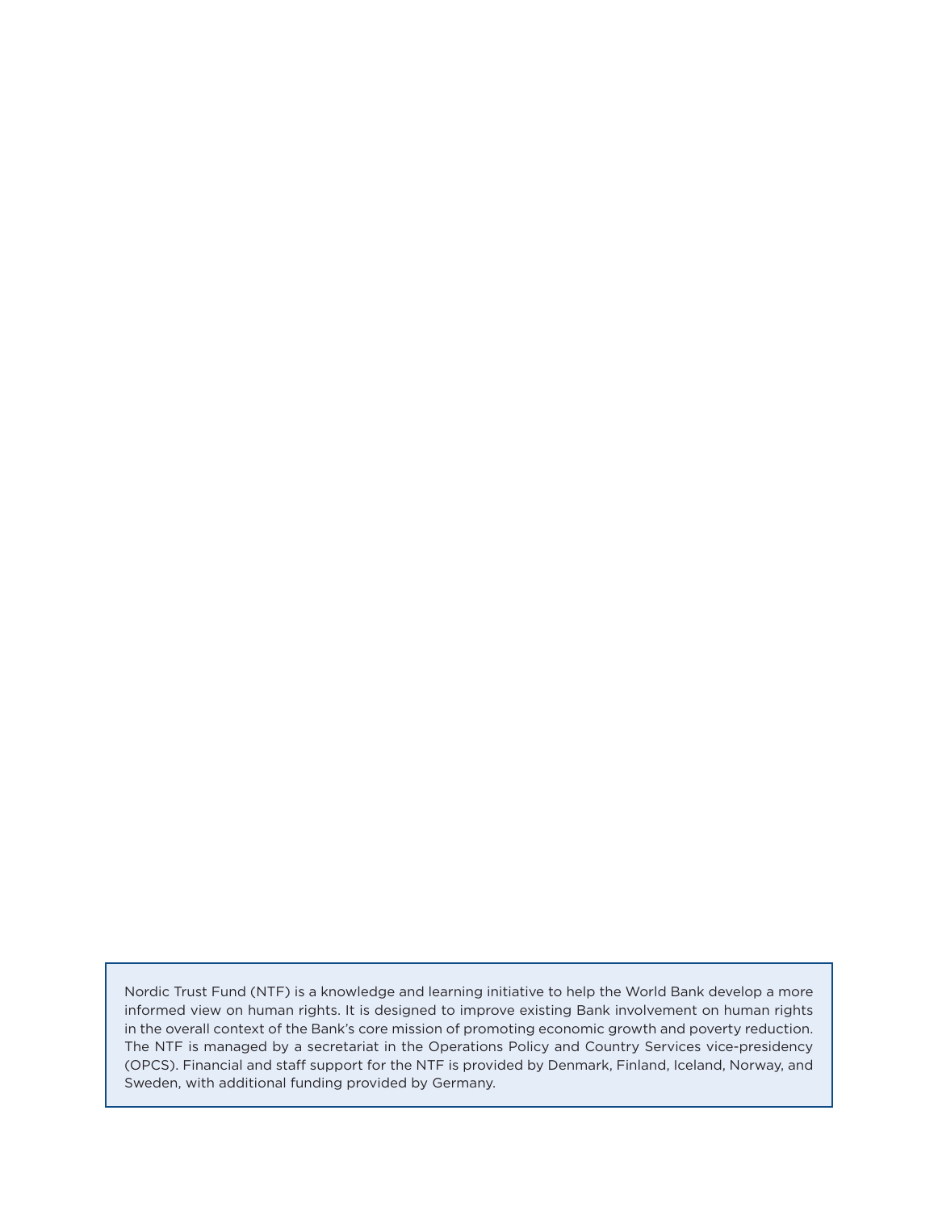Nordic Trust Fund (NTF) is a knowledge and learning initiative to help the World Bank develop a more informed view on human rights. It is designed to improve existing Bank involvement on human rights in the overall context of the Bank's core mission of promoting economic growth and poverty reduction. The NTF is managed by a secretariat in the Operations Policy and Country Services vice-presidency (OPCS). Financial and staff support for the NTF is provided by Denmark, Finland, Iceland, Norway, and Sweden, with additional funding provided by Germany.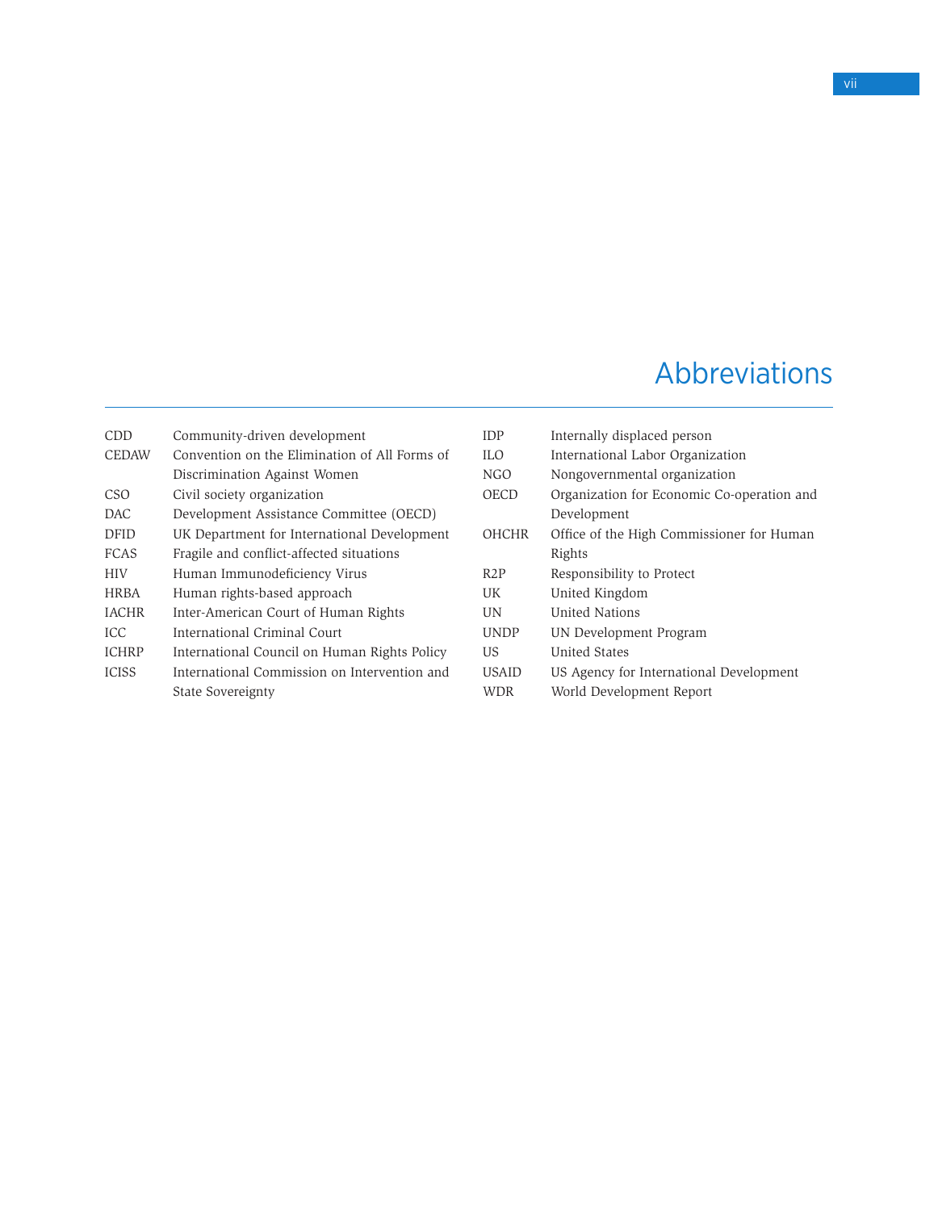# Abbreviations

| CDD          | Community-driven development                  | <b>IDP</b>       |
|--------------|-----------------------------------------------|------------------|
| <b>CEDAW</b> | Convention on the Elimination of All Forms of | ILO.             |
|              | Discrimination Against Women                  | NG(              |
| CSO          | Civil society organization                    | OEC              |
| DAC          | Development Assistance Committee (OECD)       |                  |
| DFID         | UK Department for International Development   | OH(              |
| <b>FCAS</b>  | Fragile and conflict-affected situations      |                  |
| HIV          | Human Immunodeficiency Virus                  | R <sub>2</sub> P |
| <b>HRBA</b>  | Human rights-based approach                   | UK               |
| <b>IACHR</b> | Inter-American Court of Human Rights          | UN.              |
| <b>ICC</b>   | International Criminal Court                  | <b>UNI</b>       |
| <b>ICHRP</b> | International Council on Human Rights Policy  | US               |
| <b>ICISS</b> | International Commission on Intervention and  | USA              |
|              | State Sovereignty                             | WD               |
|              |                                               |                  |

| IDP              | Internally displaced person                |
|------------------|--------------------------------------------|
| $\overline{L}$   | International Labor Organization           |
| NGO              | Nongovernmental organization               |
| OECD             | Organization for Economic Co-operation and |
|                  | Development                                |
| <b>OHCHR</b>     | Office of the High Commissioner for Human  |
|                  | Rights                                     |
| R <sub>2</sub> P | Responsibility to Protect                  |
| UK               | United Kingdom                             |
| UN               | United Nations                             |
| <b>UNDP</b>      | UN Development Program                     |
| US               | United States                              |
| <b>USAID</b>     | US Agency for International Development    |
| WDR              | World Development Report                   |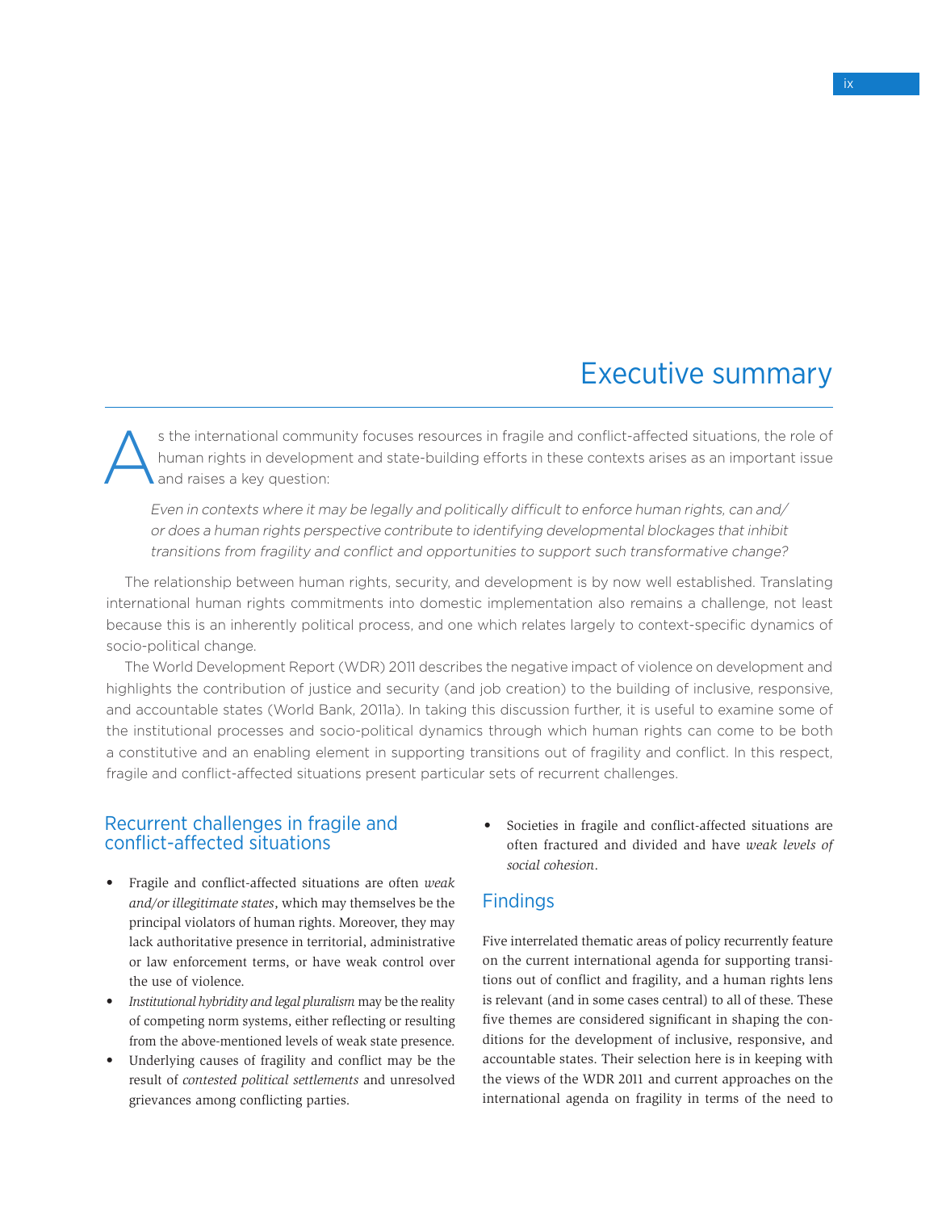# Executive summary

s the international community focuses resources in fragile and conflict-affected situations, the role of human rights in development and state-building efforts in these contexts arises as an important issue and raises a ke human rights in development and state-building efforts in these contexts arises as an important issue and raises a key question:

Even in contexts where it may be legally and politically difficult to enforce human rights, can and/ or does a human rights perspective contribute to identifying developmental blockages that inhibit transitions from fragility and conflict and opportunities to support such transformative change?

The relationship between human rights, security, and development is by now well established. Translating international human rights commitments into domestic implementation also remains a challenge, not least because this is an inherently political process, and one which relates largely to context-specific dynamics of socio-political change.

The World Development Report (WDR) 2011 describes the negative impact of violence on development and highlights the contribution of justice and security (and job creation) to the building of inclusive, responsive, and accountable states (World Bank, 2011a). In taking this discussion further, it is useful to examine some of the institutional processes and socio-political dynamics through which human rights can come to be both a constitutive and an enabling element in supporting transitions out of fragility and conflict. In this respect, fragile and conflict-affected situations present particular sets of recurrent challenges.

# Recurrent challenges in fragile and conflict-affected situations

- • Fragile and conflict-affected situations are often *weak and/or illegitimate states*, which may themselves be the principal violators of human rights. Moreover, they may lack authoritative presence in territorial, administrative or law enforcement terms, or have weak control over the use of violence.
- Institutional hybridity and legal pluralism may be the reality of competing norm systems, either reflecting or resulting from the above-mentioned levels of weak state presence.
- Underlying causes of fragility and conflict may be the result of *contested political settlements* and unresolved grievances among conflicting parties.

• Societies in fragile and conflict-affected situations are often fractured and divided and have *weak levels of social cohesion*.

# **Findings**

Five interrelated thematic areas of policy recurrently feature on the current international agenda for supporting transitions out of conflict and fragility, and a human rights lens is relevant (and in some cases central) to all of these. These five themes are considered significant in shaping the conditions for the development of inclusive, responsive, and accountable states. Their selection here is in keeping with the views of the WDR 2011 and current approaches on the international agenda on fragility in terms of the need to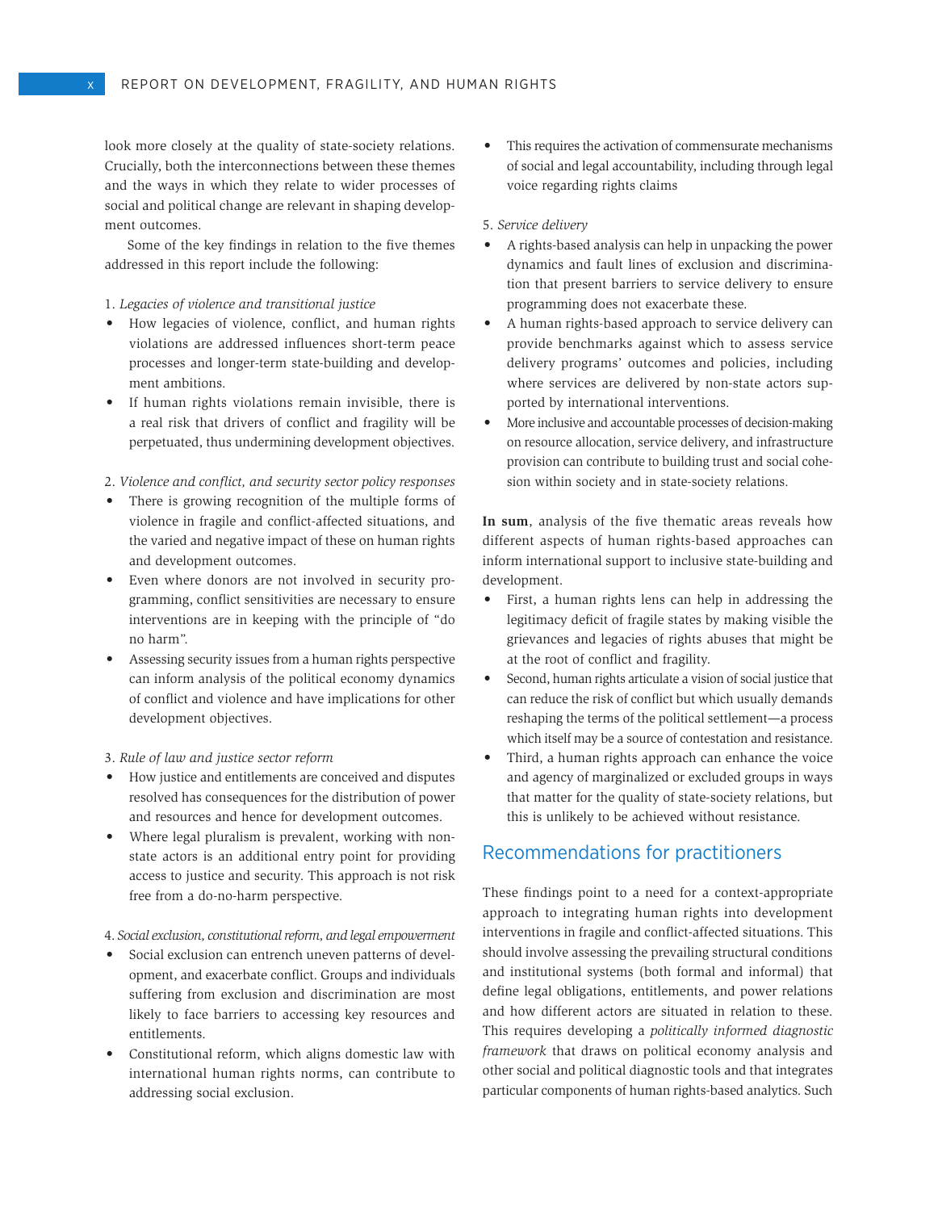look more closely at the quality of state-society relations. Crucially, both the interconnections between these themes and the ways in which they relate to wider processes of social and political change are relevant in shaping development outcomes.

Some of the key findings in relation to the five themes addressed in this report include the following:

#### 1. *Legacies of violence and transitional justice*

- • How legacies of violence, conflict, and human rights violations are addressed influences short-term peace processes and longer-term state-building and development ambitions.
- • If human rights violations remain invisible, there is a real risk that drivers of conflict and fragility will be perpetuated, thus undermining development objectives.
- 2. *Violence and conflict, and security sector policy responses*
- There is growing recognition of the multiple forms of violence in fragile and conflict-affected situations, and the varied and negative impact of these on human rights and development outcomes.
- • Even where donors are not involved in security programming, conflict sensitivities are necessary to ensure interventions are in keeping with the principle of "do no harm".
- Assessing security issues from a human rights perspective can inform analysis of the political economy dynamics of conflict and violence and have implications for other development objectives.

#### 3. *Rule of law and justice sector reform*

- • How justice and entitlements are conceived and disputes resolved has consequences for the distribution of power and resources and hence for development outcomes.
- Where legal pluralism is prevalent, working with nonstate actors is an additional entry point for providing access to justice and security. This approach is not risk free from a do-no-harm perspective.

#### 4. *Social exclusion, constitutional reform, and legal empowerment*

- Social exclusion can entrench uneven patterns of development, and exacerbate conflict. Groups and individuals suffering from exclusion and discrimination are most likely to face barriers to accessing key resources and entitlements.
- • Constitutional reform, which aligns domestic law with international human rights norms, can contribute to addressing social exclusion.

This requires the activation of commensurate mechanisms of social and legal accountability, including through legal voice regarding rights claims

#### 5. *Service delivery*

- A rights-based analysis can help in unpacking the power dynamics and fault lines of exclusion and discrimination that present barriers to service delivery to ensure programming does not exacerbate these.
- A human rights-based approach to service delivery can provide benchmarks against which to assess service delivery programs' outcomes and policies, including where services are delivered by non-state actors supported by international interventions.
- More inclusive and accountable processes of decision-making on resource allocation, service delivery, and infrastructure provision can contribute to building trust and social cohesion within society and in state-society relations.

**In sum**, analysis of the five thematic areas reveals how different aspects of human rights-based approaches can inform international support to inclusive state-building and development.

- First, a human rights lens can help in addressing the legitimacy deficit of fragile states by making visible the grievances and legacies of rights abuses that might be at the root of conflict and fragility.
- • Second, human rights articulate a vision of social justice that can reduce the risk of conflict but which usually demands reshaping the terms of the political settlement—a process which itself may be a source of contestation and resistance.
- Third, a human rights approach can enhance the voice and agency of marginalized or excluded groups in ways that matter for the quality of state-society relations, but this is unlikely to be achieved without resistance.

# Recommendations for practitioners

These findings point to a need for a context-appropriate approach to integrating human rights into development interventions in fragile and conflict-affected situations. This should involve assessing the prevailing structural conditions and institutional systems (both formal and informal) that define legal obligations, entitlements, and power relations and how different actors are situated in relation to these. This requires developing a *politically informed diagnostic framework* that draws on political economy analysis and other social and political diagnostic tools and that integrates particular components of human rights-based analytics. Such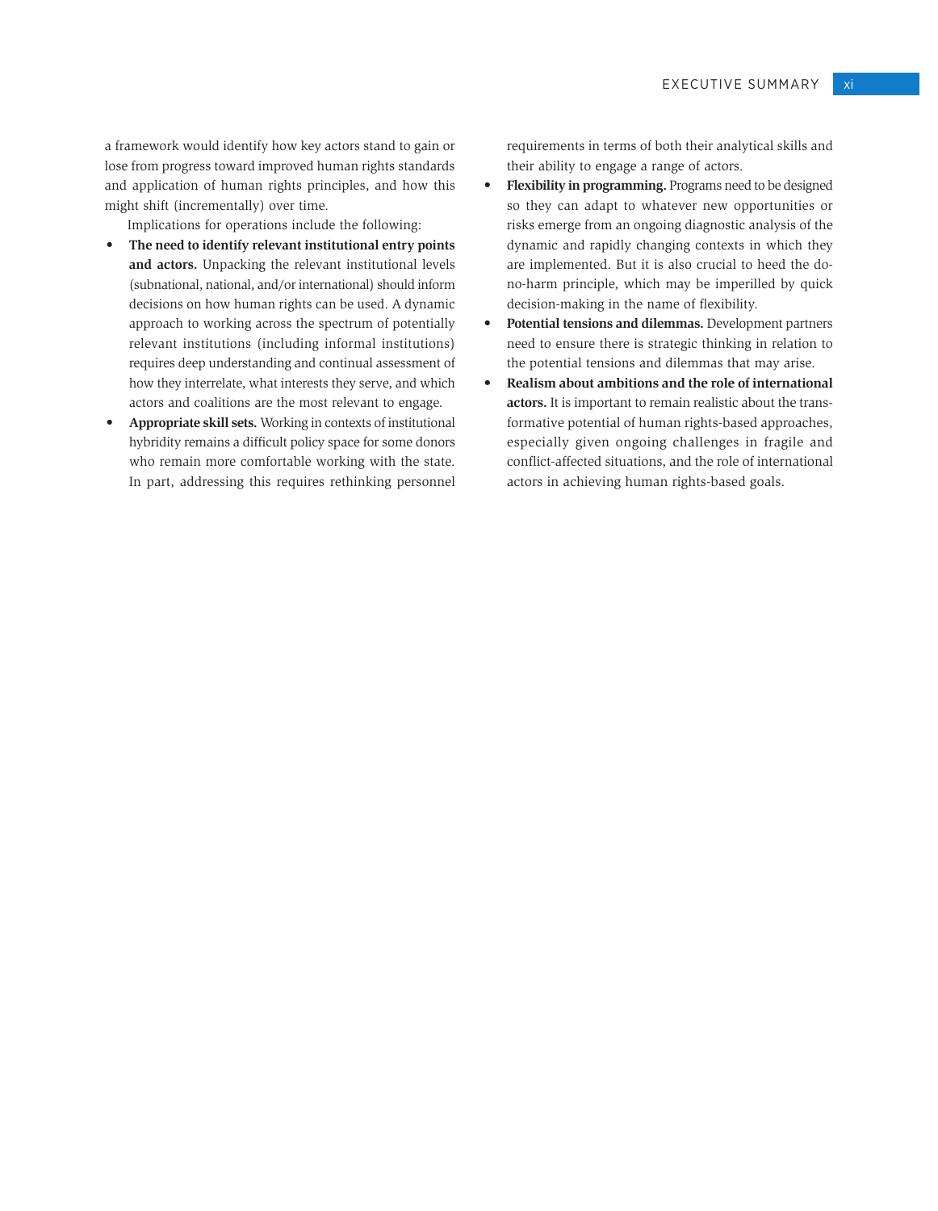a framework would identify how key actors stand to gain or lose from progress toward improved human rights standards and application of human rights principles, and how this might shift (incrementally) over time.

Implications for operations include the following:

- • **The need to identify relevant institutional entry points and actors.** Unpacking the relevant institutional levels (subnational, national, and/or international) should inform decisions on how human rights can be used. A dynamic approach to working across the spectrum of potentially relevant institutions (including informal institutions) requires deep understanding and continual assessment of how they interrelate, what interests they serve, and which actors and coalitions are the most relevant to engage.
- • **Appropriate skill sets.** Working in contexts of institutional hybridity remains a difficult policy space for some donors who remain more comfortable working with the state. In part, addressing this requires rethinking personnel

requirements in terms of both their analytical skills and their ability to engage a range of actors.

- **Flexibility in programming.** Programs need to be designed so they can adapt to whatever new opportunities or risks emerge from an ongoing diagnostic analysis of the dynamic and rapidly changing contexts in which they are implemented. But it is also crucial to heed the dono-harm principle, which may be imperilled by quick decision-making in the name of flexibility.
- • **Potential tensions and dilemmas.** Development partners need to ensure there is strategic thinking in relation to the potential tensions and dilemmas that may arise.
- • **Realism about ambitions and the role of international actors.** It is important to remain realistic about the transformative potential of human rights-based approaches, especially given ongoing challenges in fragile and conflict-affected situations, and the role of international actors in achieving human rights-based goals.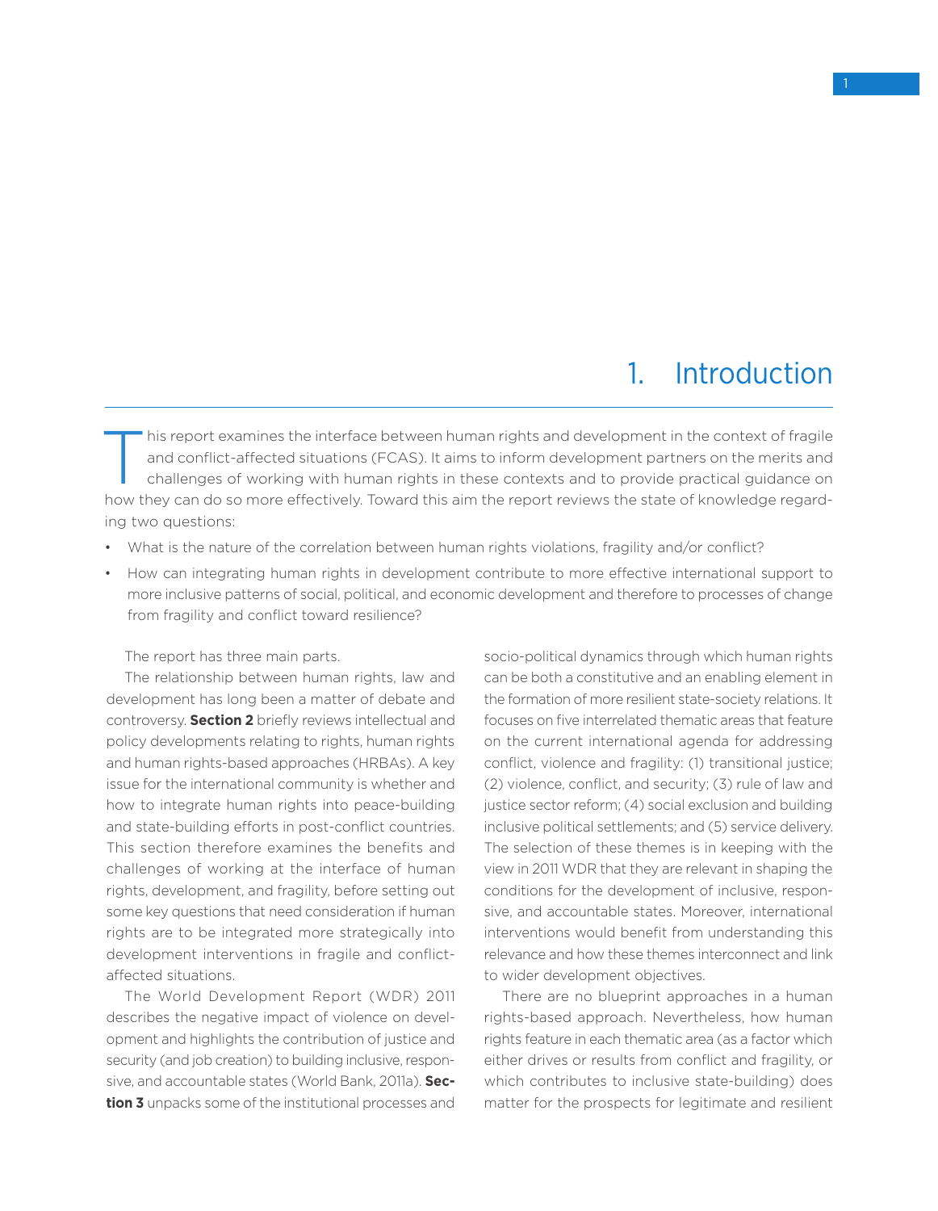# 1. Introduction

This report examines the interface between human rights and development in the context of fragile<br>
challenges of working with human rights in these contexts and to provide practical guidance on and conflict-affected situations (FCAS). It aims to inform development partners on the merits and how they can do so more effectively. Toward this aim the report reviews the state of knowledge regarding two questions:

- What is the nature of the correlation between human rights violations, fragility and/or conflict?
- • How can integrating human rights in development contribute to more effective international support to more inclusive patterns of social, political, and economic development and therefore to processes of change from fragility and conflict toward resilience?

The report has three main parts.

The relationship between human rights, law and development has long been a matter of debate and controversy. **Section 2** briefly reviews intellectual and policy developments relating to rights, human rights and human rights-based approaches (HRBAs). A key issue for the international community is whether and how to integrate human rights into peace-building and state-building efforts in post-conflict countries. This section therefore examines the benefits and challenges of working at the interface of human rights, development, and fragility, before setting out some key questions that need consideration if human rights are to be integrated more strategically into development interventions in fragile and conflictaffected situations.

The World Development Report (WDR) 2011 describes the negative impact of violence on development and highlights the contribution of justice and security (and job creation) to building inclusive, responsive, and accountable states (World Bank, 2011a). **Section 3** unpacks some of the institutional processes and socio-political dynamics through which human rights can be both a constitutive and an enabling element in the formation of more resilient state-society relations. It focuses on five interrelated thematic areas that feature on the current international agenda for addressing conflict, violence and fragility: (1) transitional justice; (2) violence, conflict, and security; (3) rule of law and justice sector reform; (4) social exclusion and building inclusive political settlements; and (5) service delivery. The selection of these themes is in keeping with the view in 2011 WDR that they are relevant in shaping the conditions for the development of inclusive, responsive, and accountable states. Moreover, international interventions would benefit from understanding this relevance and how these themes interconnect and link to wider development objectives.

There are no blueprint approaches in a human rights-based approach. Nevertheless, how human rights feature in each thematic area (as a factor which either drives or results from conflict and fragility, or which contributes to inclusive state-building) does matter for the prospects for legitimate and resilient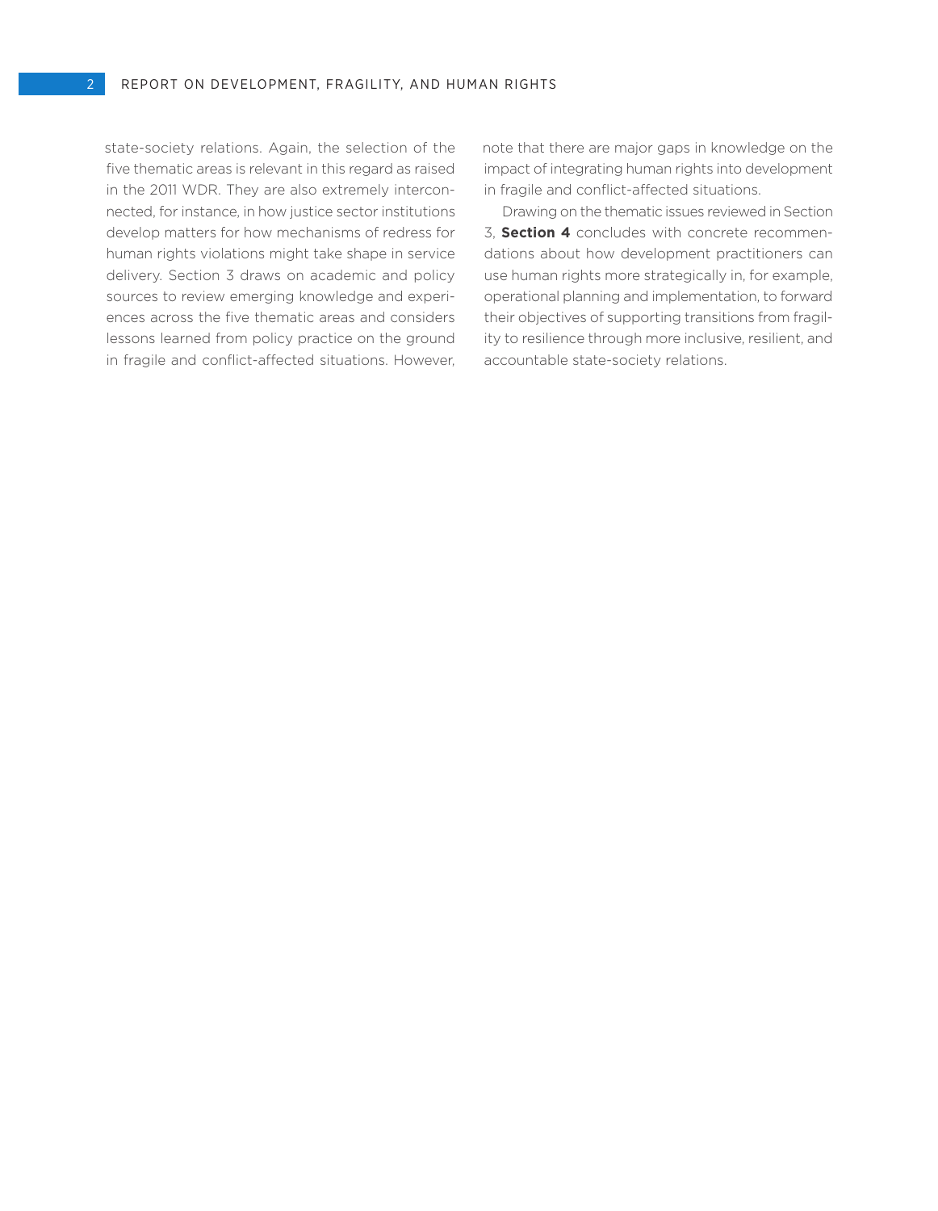state-society relations. Again, the selection of the five thematic areas is relevant in this regard as raised in the 2011 WDR. They are also extremely interconnected, for instance, in how justice sector institutions develop matters for how mechanisms of redress for human rights violations might take shape in service delivery. Section 3 draws on academic and policy sources to review emerging knowledge and experiences across the five thematic areas and considers lessons learned from policy practice on the ground in fragile and conflict-affected situations. However, note that there are major gaps in knowledge on the impact of integrating human rights into development in fragile and conflict-affected situations.

Drawing on the thematic issues reviewed in Section 3, **Section 4** concludes with concrete recommendations about how development practitioners can use human rights more strategically in, for example, operational planning and implementation, to forward their objectives of supporting transitions from fragility to resilience through more inclusive, resilient, and accountable state-society relations.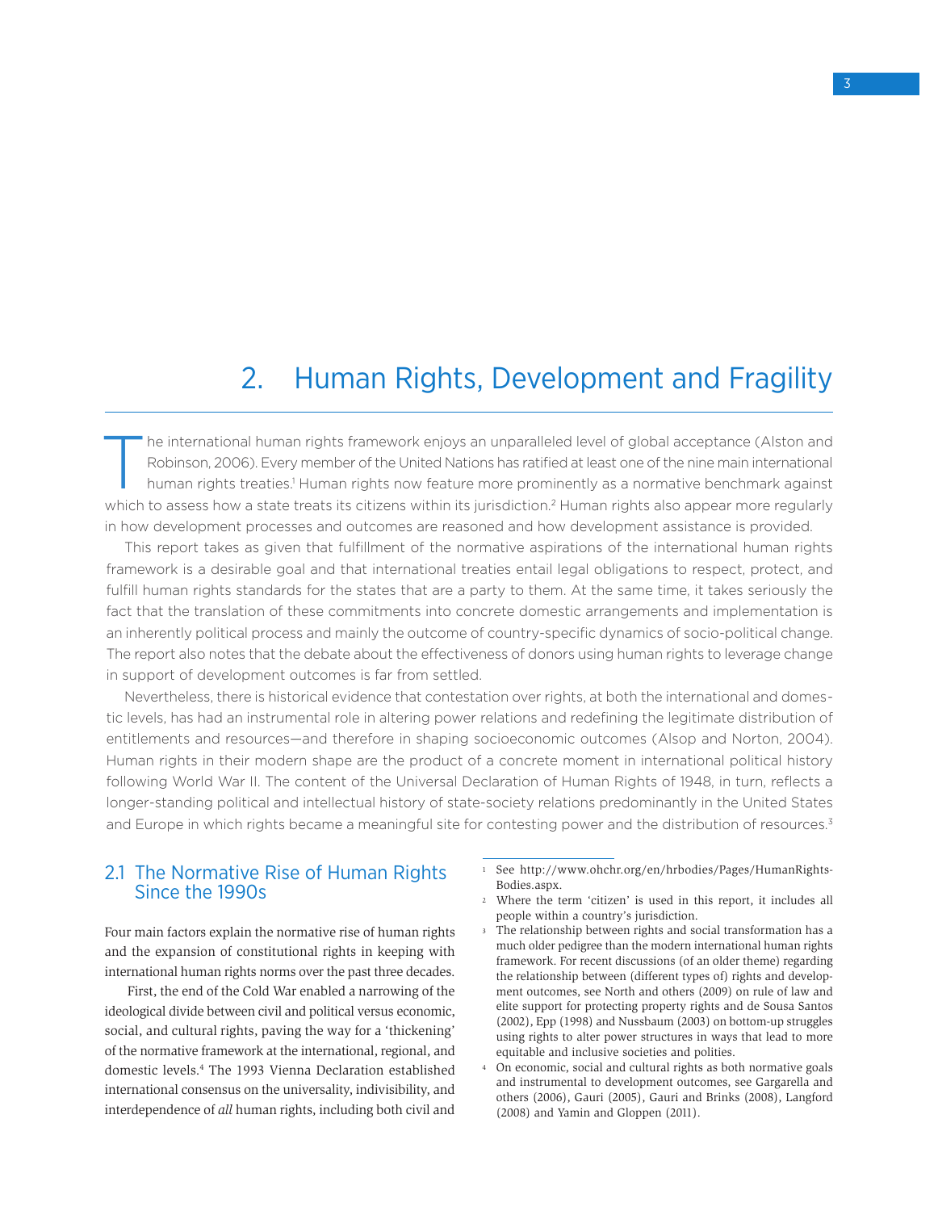# 2. Human Rights, Development and Fragility

The international human rights framework enjoys an unparalleled level of global acceptance (Alston and<br>Robinson, 2006). Every member of the United Nations has ratified at least one of the nine main international<br>human righ Robinson, 2006). Every member of the United Nations has ratified at least one of the nine main international human rights treaties.<sup>1</sup> Human rights now feature more prominently as a normative benchmark against which to assess how a state treats its citizens within its jurisdiction.<sup>2</sup> Human rights also appear more regularly in how development processes and outcomes are reasoned and how development assistance is provided.

This report takes as given that fulfillment of the normative aspirations of the international human rights framework is a desirable goal and that international treaties entail legal obligations to respect, protect, and fulfill human rights standards for the states that are a party to them. At the same time, it takes seriously the fact that the translation of these commitments into concrete domestic arrangements and implementation is an inherently political process and mainly the outcome of country-specific dynamics of socio-political change. The report also notes that the debate about the effectiveness of donors using human rights to leverage change in support of development outcomes is far from settled.

Nevertheless, there is historical evidence that contestation over rights, at both the international and domestic levels, has had an instrumental role in altering power relations and redefining the legitimate distribution of entitlements and resources—and therefore in shaping socioeconomic outcomes (Alsop and Norton, 2004). Human rights in their modern shape are the product of a concrete moment in international political history following World War II. The content of the Universal Declaration of Human Rights of 1948, in turn, reflects a longer-standing political and intellectual history of state-society relations predominantly in the United States and Europe in which rights became a meaningful site for contesting power and the distribution of resources.<sup>3</sup>

# 2.1 The Normative Rise of Human Rights Since the 1990s

Four main factors explain the normative rise of human rights and the expansion of constitutional rights in keeping with international human rights norms over the past three decades.

First, the end of the Cold War enabled a narrowing of the ideological divide between civil and political versus economic, social, and cultural rights, paving the way for a 'thickening' of the normative framework at the international, regional, and domestic levels.4 The 1993 Vienna Declaration established international consensus on the universality, indivisibility, and interdependence of *all* human rights, including both civil and

- <sup>1</sup> See http://www.ohchr.org/en/hrbodies/Pages/HumanRights-Bodies.aspx.
- <sup>2</sup> Where the term 'citizen' is used in this report, it includes all people within a country's jurisdiction.
- <sup>3</sup> The relationship between rights and social transformation has a much older pedigree than the modern international human rights framework. For recent discussions (of an older theme) regarding the relationship between (different types of) rights and development outcomes, see North and others (2009) on rule of law and elite support for protecting property rights and de Sousa Santos (2002), Epp (1998) and Nussbaum (2003) on bottom-up struggles using rights to alter power structures in ways that lead to more equitable and inclusive societies and polities.
- <sup>4</sup> On economic, social and cultural rights as both normative goals and instrumental to development outcomes, see Gargarella and others (2006), Gauri (2005), Gauri and Brinks (2008), Langford (2008) and Yamin and Gloppen (2011).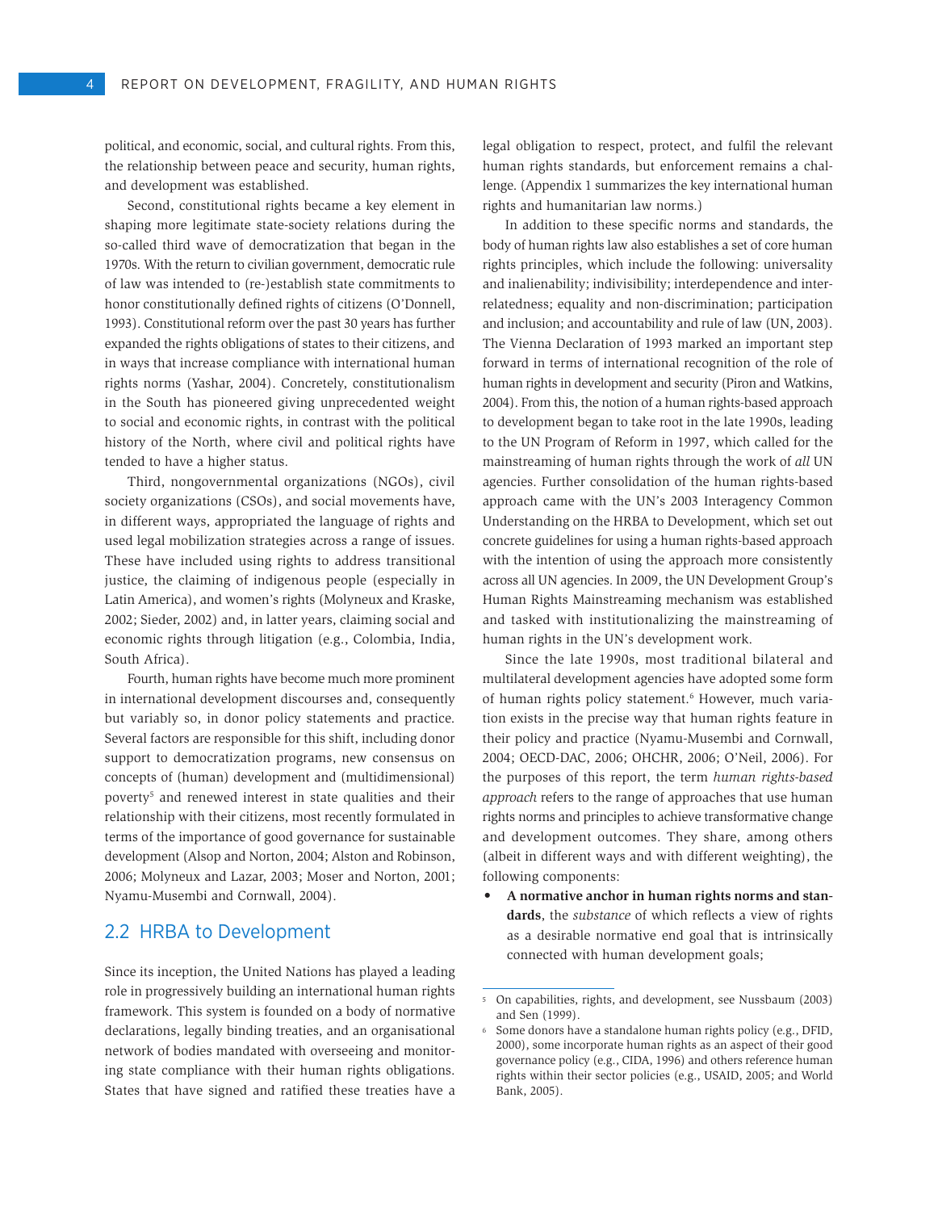political, and economic, social, and cultural rights. From this, the relationship between peace and security, human rights, and development was established.

Second, constitutional rights became a key element in shaping more legitimate state-society relations during the so-called third wave of democratization that began in the 1970s. With the return to civilian government, democratic rule of law was intended to (re-)establish state commitments to honor constitutionally defined rights of citizens (O'Donnell, 1993). Constitutional reform over the past 30 years has further expanded the rights obligations of states to their citizens, and in ways that increase compliance with international human rights norms (Yashar, 2004). Concretely, constitutionalism in the South has pioneered giving unprecedented weight to social and economic rights, in contrast with the political history of the North, where civil and political rights have tended to have a higher status.

Third, nongovernmental organizations (NGOs), civil society organizations (CSOs), and social movements have, in different ways, appropriated the language of rights and used legal mobilization strategies across a range of issues. These have included using rights to address transitional justice, the claiming of indigenous people (especially in Latin America), and women's rights (Molyneux and Kraske, 2002; Sieder, 2002) and, in latter years, claiming social and economic rights through litigation (e.g., Colombia, India, South Africa).

Fourth, human rights have become much more prominent in international development discourses and, consequently but variably so, in donor policy statements and practice. Several factors are responsible for this shift, including donor support to democratization programs, new consensus on concepts of (human) development and (multidimensional) poverty<sup>5</sup> and renewed interest in state qualities and their relationship with their citizens, most recently formulated in terms of the importance of good governance for sustainable development (Alsop and Norton, 2004; Alston and Robinson, 2006; Molyneux and Lazar, 2003; Moser and Norton, 2001; Nyamu-Musembi and Cornwall, 2004).

# 2.2 HRBA to Development

Since its inception, the United Nations has played a leading role in progressively building an international human rights framework. This system is founded on a body of normative declarations, legally binding treaties, and an organisational network of bodies mandated with overseeing and monitoring state compliance with their human rights obligations. States that have signed and ratified these treaties have a legal obligation to respect, protect, and fulfil the relevant human rights standards, but enforcement remains a challenge. (Appendix 1 summarizes the key international human rights and humanitarian law norms.)

In addition to these specific norms and standards, the body of human rights law also establishes a set of core human rights principles, which include the following: universality and inalienability; indivisibility; interdependence and interrelatedness; equality and non-discrimination; participation and inclusion; and accountability and rule of law (UN, 2003). The Vienna Declaration of 1993 marked an important step forward in terms of international recognition of the role of human rights in development and security (Piron and Watkins, 2004). From this, the notion of a human rights-based approach to development began to take root in the late 1990s, leading to the UN Program of Reform in 1997, which called for the mainstreaming of human rights through the work of *all* UN agencies. Further consolidation of the human rights-based approach came with the UN's 2003 Interagency Common Understanding on the HRBA to Development, which set out concrete guidelines for using a human rights-based approach with the intention of using the approach more consistently across all UN agencies. In 2009, the UN Development Group's Human Rights Mainstreaming mechanism was established and tasked with institutionalizing the mainstreaming of human rights in the UN's development work.

Since the late 1990s, most traditional bilateral and multilateral development agencies have adopted some form of human rights policy statement.<sup>6</sup> However, much variation exists in the precise way that human rights feature in their policy and practice (Nyamu-Musembi and Cornwall, 2004; OECD-DAC, 2006; OHCHR, 2006; O'Neil, 2006). For the purposes of this report, the term *human rights-based approach* refers to the range of approaches that use human rights norms and principles to achieve transformative change and development outcomes. They share, among others (albeit in different ways and with different weighting), the following components:

• **A normative anchor in human rights norms and standards**, the *substance* of which reflects a view of rights as a desirable normative end goal that is intrinsically connected with human development goals;

<sup>5</sup> On capabilities, rights, and development, see Nussbaum (2003) and Sen (1999).

<sup>6</sup> Some donors have a standalone human rights policy (e.g., DFID, 2000), some incorporate human rights as an aspect of their good governance policy (e.g., CIDA, 1996) and others reference human rights within their sector policies (e.g., USAID, 2005; and World Bank, 2005).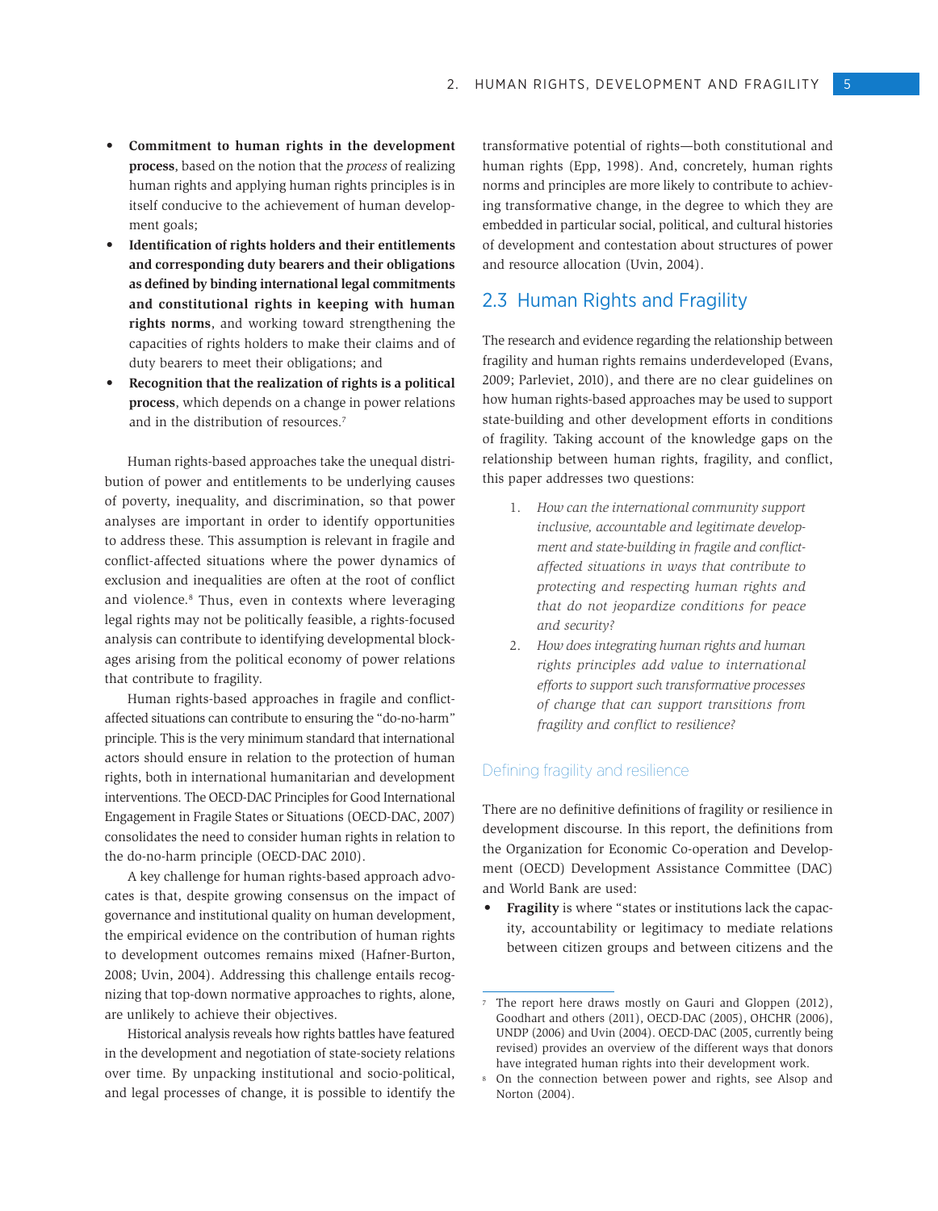- • **Commitment to human rights in the development process**, based on the notion that the *process* of realizing human rights and applying human rights principles is in itself conducive to the achievement of human development goals;
- **Identification of rights holders and their entitlements and corresponding duty bearers and their obligations as defined by binding international legal commitments and constitutional rights in keeping with human rights norms**, and working toward strengthening the capacities of rights holders to make their claims and of duty bearers to meet their obligations; and
- Recognition that the realization of rights is a political **process**, which depends on a change in power relations and in the distribution of resources.7

Human rights-based approaches take the unequal distribution of power and entitlements to be underlying causes of poverty, inequality, and discrimination, so that power analyses are important in order to identify opportunities to address these. This assumption is relevant in fragile and conflict-affected situations where the power dynamics of exclusion and inequalities are often at the root of conflict and violence.8 Thus, even in contexts where leveraging legal rights may not be politically feasible, a rights-focused analysis can contribute to identifying developmental blockages arising from the political economy of power relations that contribute to fragility.

Human rights-based approaches in fragile and conflictaffected situations can contribute to ensuring the "do-no-harm" principle. This is the very minimum standard that international actors should ensure in relation to the protection of human rights, both in international humanitarian and development interventions. The OECD-DAC Principles for Good International Engagement in Fragile States or Situations (OECD-DAC, 2007) consolidates the need to consider human rights in relation to the do-no-harm principle (OECD-DAC 2010).

A key challenge for human rights-based approach advocates is that, despite growing consensus on the impact of governance and institutional quality on human development, the empirical evidence on the contribution of human rights to development outcomes remains mixed (Hafner-Burton, 2008; Uvin, 2004). Addressing this challenge entails recognizing that top-down normative approaches to rights, alone, are unlikely to achieve their objectives.

Historical analysis reveals how rights battles have featured in the development and negotiation of state-society relations over time. By unpacking institutional and socio-political, and legal processes of change, it is possible to identify the transformative potential of rights—both constitutional and human rights (Epp, 1998). And, concretely, human rights norms and principles are more likely to contribute to achieving transformative change, in the degree to which they are embedded in particular social, political, and cultural histories of development and contestation about structures of power and resource allocation (Uvin, 2004).

# 2.3 Human Rights and Fragility

The research and evidence regarding the relationship between fragility and human rights remains underdeveloped (Evans, 2009; Parleviet, 2010), and there are no clear guidelines on how human rights-based approaches may be used to support state-building and other development efforts in conditions of fragility. Taking account of the knowledge gaps on the relationship between human rights, fragility, and conflict, this paper addresses two questions:

- 1. *How can the international community support inclusive, accountable and legitimate development and state-building in fragile and conflictaffected situations in ways that contribute to protecting and respecting human rights and that do not jeopardize conditions for peace and security?*
- 2. *How does integrating human rights and human rights principles add value to international efforts to support such transformative processes of change that can support transitions from fragility and conflict to resilience?*

#### Defining fragility and resilience

There are no definitive definitions of fragility or resilience in development discourse. In this report, the definitions from the Organization for Economic Co-operation and Development (OECD) Development Assistance Committee (DAC) and World Bank are used:

• **Fragility** is where "states or institutions lack the capacity, accountability or legitimacy to mediate relations between citizen groups and between citizens and the

The report here draws mostly on Gauri and Gloppen (2012), Goodhart and others (2011), OECD-DAC (2005), OHCHR (2006), UNDP (2006) and Uvin (2004). OECD-DAC (2005, currently being revised) provides an overview of the different ways that donors have integrated human rights into their development work.

<sup>8</sup> On the connection between power and rights, see Alsop and Norton (2004).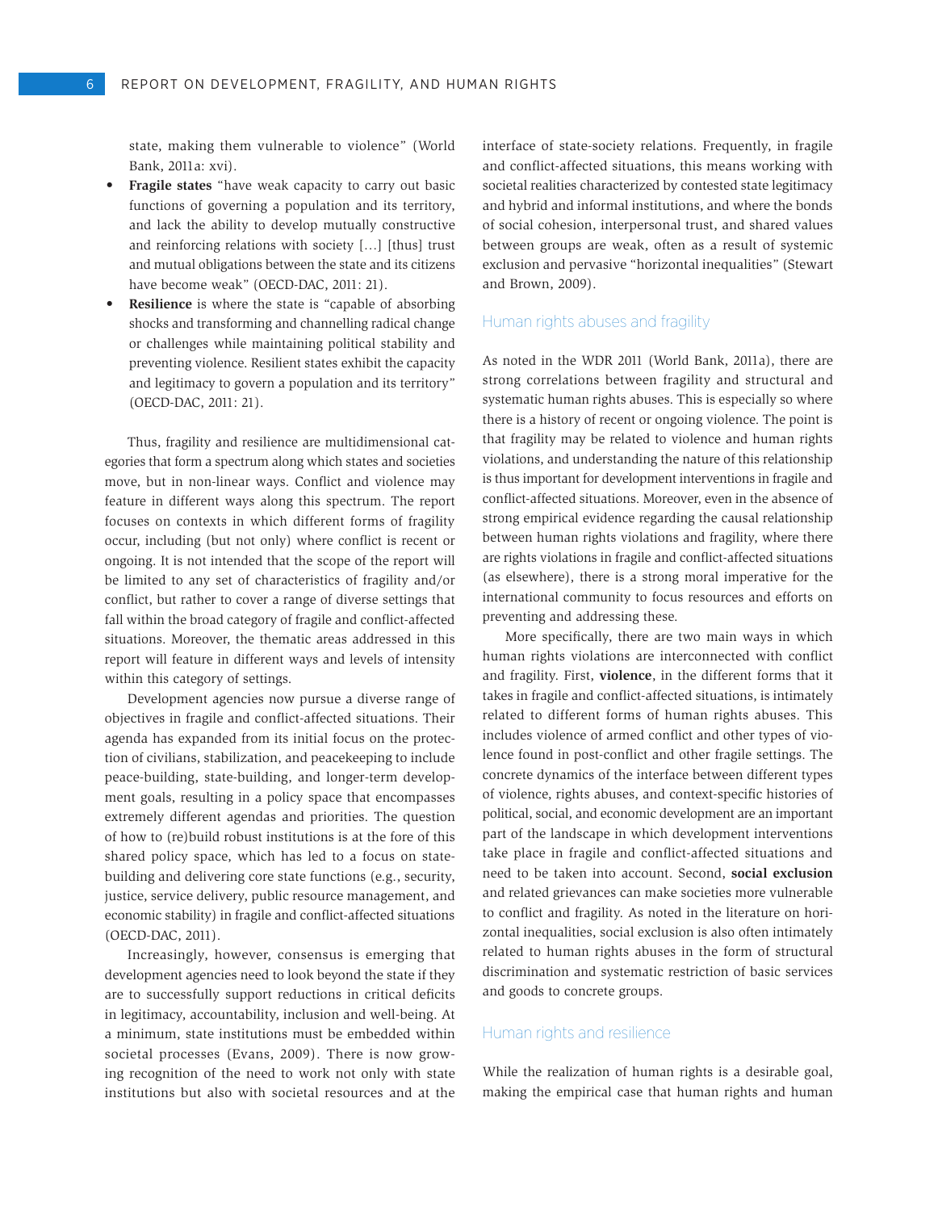state, making them vulnerable to violence" (World Bank, 2011a: xvi).

- • **Fragile states** "have weak capacity to carry out basic functions of governing a population and its territory, and lack the ability to develop mutually constructive and reinforcing relations with society […] [thus] trust and mutual obligations between the state and its citizens have become weak" (OECD-DAC, 2011: 21).
- **Resilience** is where the state is "capable of absorbing shocks and transforming and channelling radical change or challenges while maintaining political stability and preventing violence. Resilient states exhibit the capacity and legitimacy to govern a population and its territory" (OECD-DAC, 2011: 21).

Thus, fragility and resilience are multidimensional categories that form a spectrum along which states and societies move, but in non-linear ways. Conflict and violence may feature in different ways along this spectrum. The report focuses on contexts in which different forms of fragility occur, including (but not only) where conflict is recent or ongoing. It is not intended that the scope of the report will be limited to any set of characteristics of fragility and/or conflict, but rather to cover a range of diverse settings that fall within the broad category of fragile and conflict-affected situations. Moreover, the thematic areas addressed in this report will feature in different ways and levels of intensity within this category of settings.

Development agencies now pursue a diverse range of objectives in fragile and conflict-affected situations. Their agenda has expanded from its initial focus on the protection of civilians, stabilization, and peacekeeping to include peace-building, state-building, and longer-term development goals, resulting in a policy space that encompasses extremely different agendas and priorities. The question of how to (re)build robust institutions is at the fore of this shared policy space, which has led to a focus on statebuilding and delivering core state functions (e.g., security, justice, service delivery, public resource management, and economic stability) in fragile and conflict-affected situations (OECD-DAC, 2011).

Increasingly, however, consensus is emerging that development agencies need to look beyond the state if they are to successfully support reductions in critical deficits in legitimacy, accountability, inclusion and well-being. At a minimum, state institutions must be embedded within societal processes (Evans, 2009). There is now growing recognition of the need to work not only with state institutions but also with societal resources and at the

interface of state-society relations. Frequently, in fragile and conflict-affected situations, this means working with societal realities characterized by contested state legitimacy and hybrid and informal institutions, and where the bonds of social cohesion, interpersonal trust, and shared values between groups are weak, often as a result of systemic exclusion and pervasive "horizontal inequalities" (Stewart and Brown, 2009).

#### Human rights abuses and fragility

As noted in the WDR 2011 (World Bank, 2011a), there are strong correlations between fragility and structural and systematic human rights abuses. This is especially so where there is a history of recent or ongoing violence. The point is that fragility may be related to violence and human rights violations, and understanding the nature of this relationship is thus important for development interventions in fragile and conflict-affected situations. Moreover, even in the absence of strong empirical evidence regarding the causal relationship between human rights violations and fragility, where there are rights violations in fragile and conflict-affected situations (as elsewhere), there is a strong moral imperative for the international community to focus resources and efforts on preventing and addressing these.

More specifically, there are two main ways in which human rights violations are interconnected with conflict and fragility. First, **violence**, in the different forms that it takes in fragile and conflict-affected situations, is intimately related to different forms of human rights abuses. This includes violence of armed conflict and other types of violence found in post-conflict and other fragile settings. The concrete dynamics of the interface between different types of violence, rights abuses, and context-specific histories of political, social, and economic development are an important part of the landscape in which development interventions take place in fragile and conflict-affected situations and need to be taken into account. Second, **social exclusion**  and related grievances can make societies more vulnerable to conflict and fragility. As noted in the literature on horizontal inequalities, social exclusion is also often intimately related to human rights abuses in the form of structural discrimination and systematic restriction of basic services and goods to concrete groups.

#### Human rights and resilience

While the realization of human rights is a desirable goal, making the empirical case that human rights and human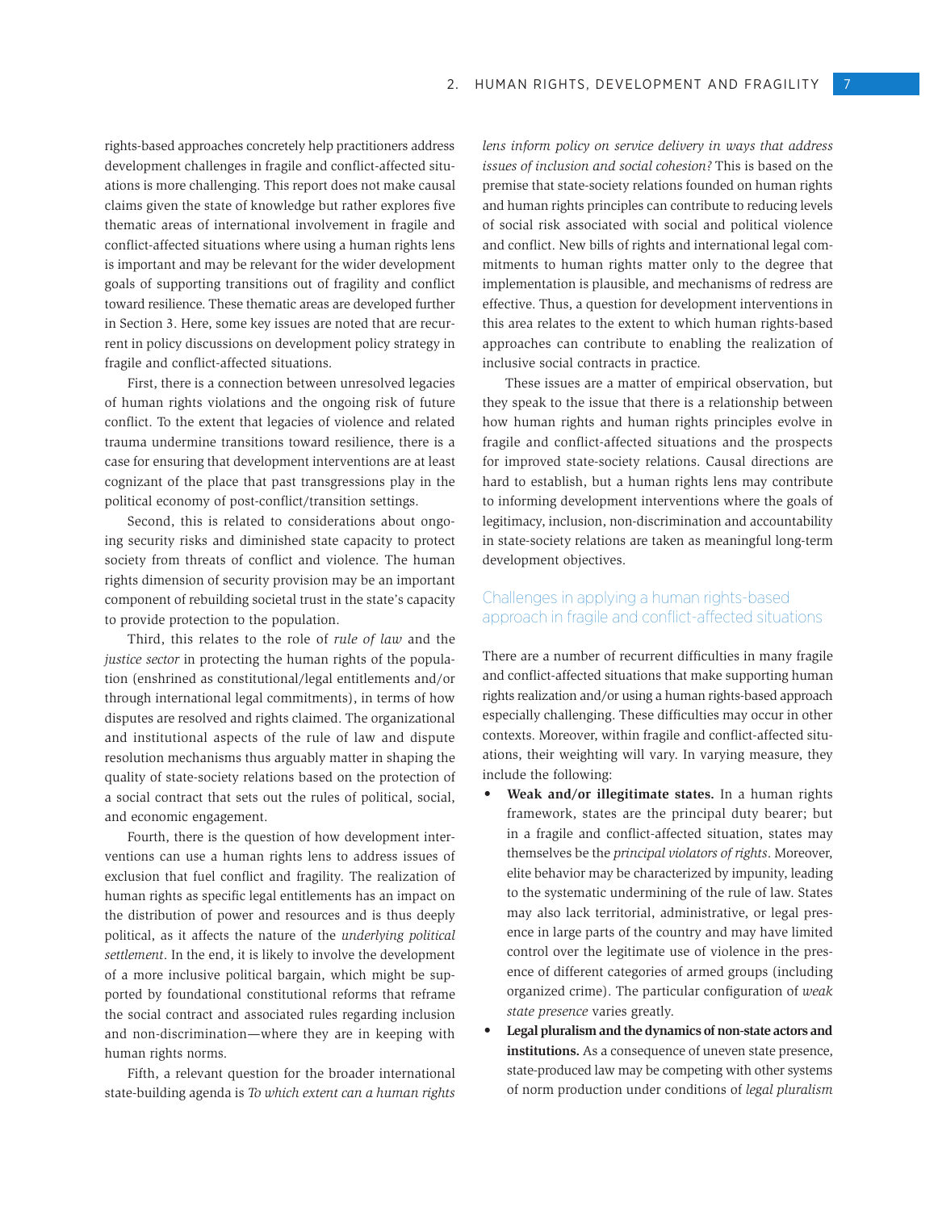rights-based approaches concretely help practitioners address development challenges in fragile and conflict-affected situations is more challenging. This report does not make causal claims given the state of knowledge but rather explores five thematic areas of international involvement in fragile and conflict-affected situations where using a human rights lens is important and may be relevant for the wider development goals of supporting transitions out of fragility and conflict toward resilience. These thematic areas are developed further in Section 3. Here, some key issues are noted that are recurrent in policy discussions on development policy strategy in fragile and conflict-affected situations.

First, there is a connection between unresolved legacies of human rights violations and the ongoing risk of future conflict. To the extent that legacies of violence and related trauma undermine transitions toward resilience, there is a case for ensuring that development interventions are at least cognizant of the place that past transgressions play in the political economy of post-conflict/transition settings.

Second, this is related to considerations about ongoing security risks and diminished state capacity to protect society from threats of conflict and violence. The human rights dimension of security provision may be an important component of rebuilding societal trust in the state's capacity to provide protection to the population.

Third, this relates to the role of *rule of law* and the *justice sector* in protecting the human rights of the population (enshrined as constitutional/legal entitlements and/or through international legal commitments), in terms of how disputes are resolved and rights claimed. The organizational and institutional aspects of the rule of law and dispute resolution mechanisms thus arguably matter in shaping the quality of state-society relations based on the protection of a social contract that sets out the rules of political, social, and economic engagement.

Fourth, there is the question of how development interventions can use a human rights lens to address issues of exclusion that fuel conflict and fragility. The realization of human rights as specific legal entitlements has an impact on the distribution of power and resources and is thus deeply political, as it affects the nature of the *underlying political settlement*. In the end, it is likely to involve the development of a more inclusive political bargain, which might be supported by foundational constitutional reforms that reframe the social contract and associated rules regarding inclusion and non-discrimination—where they are in keeping with human rights norms.

Fifth, a relevant question for the broader international state-building agenda is *To which extent can a human rights*  *lens inform policy on service delivery in ways that address issues of inclusion and social cohesion?* This is based on the premise that state-society relations founded on human rights and human rights principles can contribute to reducing levels of social risk associated with social and political violence and conflict. New bills of rights and international legal commitments to human rights matter only to the degree that implementation is plausible, and mechanisms of redress are effective. Thus, a question for development interventions in this area relates to the extent to which human rights-based approaches can contribute to enabling the realization of inclusive social contracts in practice.

These issues are a matter of empirical observation, but they speak to the issue that there is a relationship between how human rights and human rights principles evolve in fragile and conflict-affected situations and the prospects for improved state-society relations. Causal directions are hard to establish, but a human rights lens may contribute to informing development interventions where the goals of legitimacy, inclusion, non-discrimination and accountability in state-society relations are taken as meaningful long-term development objectives.

## Challenges in applying a human rights-based approach in fragile and conflict-affected situations

There are a number of recurrent difficulties in many fragile and conflict-affected situations that make supporting human rights realization and/or using a human rights-based approach especially challenging. These difficulties may occur in other contexts. Moreover, within fragile and conflict-affected situations, their weighting will vary. In varying measure, they include the following:

- • **Weak and/or illegitimate states.** In a human rights framework, states are the principal duty bearer; but in a fragile and conflict-affected situation, states may themselves be the *principal violators of rights*. Moreover, elite behavior may be characterized by impunity, leading to the systematic undermining of the rule of law. States may also lack territorial, administrative, or legal presence in large parts of the country and may have limited control over the legitimate use of violence in the presence of different categories of armed groups (including organized crime). The particular configuration of *weak state presence* varies greatly.
- Legal pluralism and the dynamics of non-state actors and **institutions.** As a consequence of uneven state presence, state-produced law may be competing with other systems of norm production under conditions of *legal pluralism*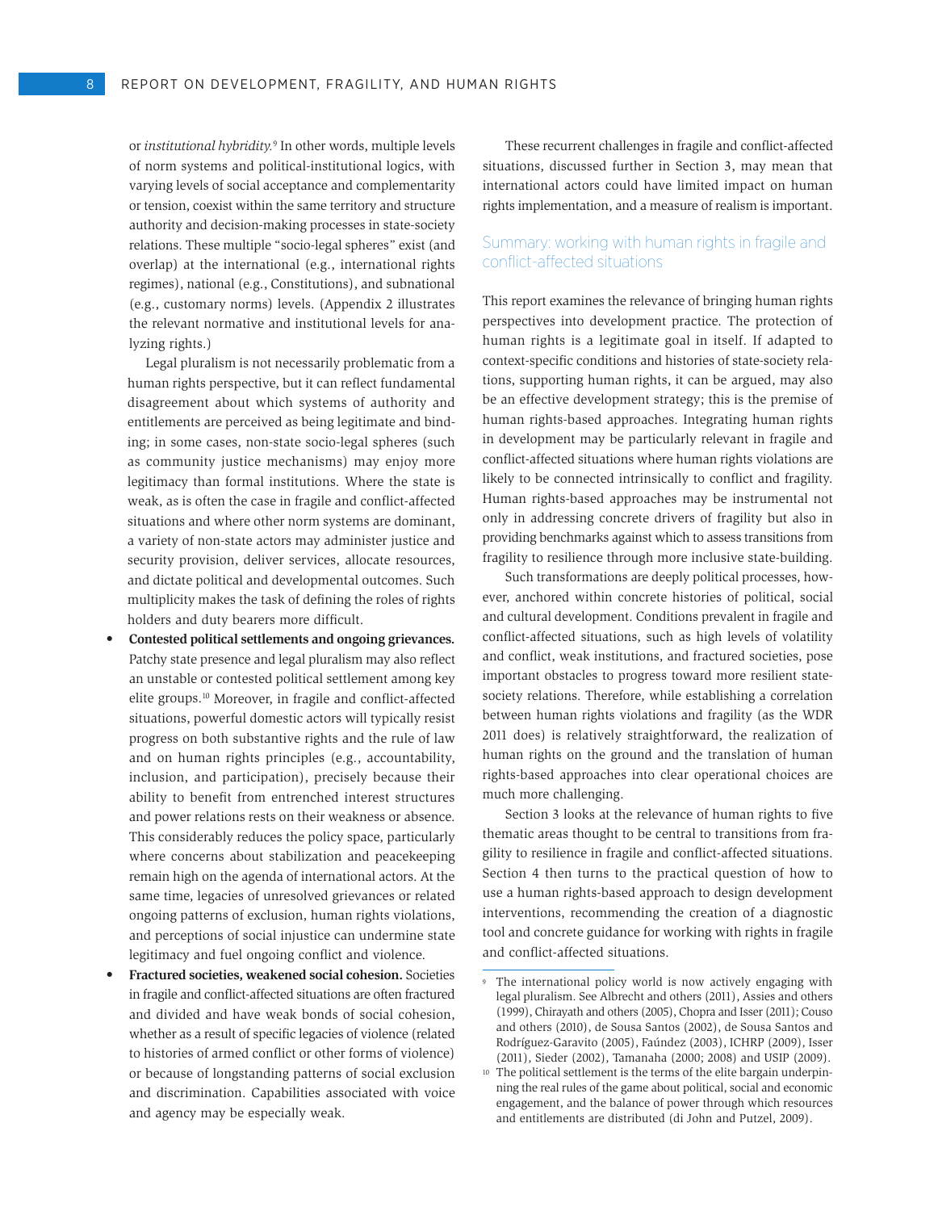or *institutional hybridity.*<sup>9</sup> In other words, multiple levels of norm systems and political-institutional logics, with varying levels of social acceptance and complementarity or tension, coexist within the same territory and structure authority and decision-making processes in state-society relations. These multiple "socio-legal spheres" exist (and overlap) at the international (e.g., international rights regimes), national (e.g., Constitutions), and subnational (e.g., customary norms) levels. (Appendix 2 illustrates the relevant normative and institutional levels for analyzing rights.)

Legal pluralism is not necessarily problematic from a human rights perspective, but it can reflect fundamental disagreement about which systems of authority and entitlements are perceived as being legitimate and binding; in some cases, non-state socio-legal spheres (such as community justice mechanisms) may enjoy more legitimacy than formal institutions. Where the state is weak, as is often the case in fragile and conflict-affected situations and where other norm systems are dominant, a variety of non-state actors may administer justice and security provision, deliver services, allocate resources, and dictate political and developmental outcomes. Such multiplicity makes the task of defining the roles of rights holders and duty bearers more difficult.

- Contested political settlements and ongoing grievances. Patchy state presence and legal pluralism may also reflect an unstable or contested political settlement among key elite groups.10 Moreover, in fragile and conflict-affected situations, powerful domestic actors will typically resist progress on both substantive rights and the rule of law and on human rights principles (e.g., accountability, inclusion, and participation), precisely because their ability to benefit from entrenched interest structures and power relations rests on their weakness or absence. This considerably reduces the policy space, particularly where concerns about stabilization and peacekeeping remain high on the agenda of international actors. At the same time, legacies of unresolved grievances or related ongoing patterns of exclusion, human rights violations, and perceptions of social injustice can undermine state legitimacy and fuel ongoing conflict and violence.
- Fractured societies, weakened social cohesion. Societies in fragile and conflict-affected situations are often fractured and divided and have weak bonds of social cohesion, whether as a result of specific legacies of violence (related to histories of armed conflict or other forms of violence) or because of longstanding patterns of social exclusion and discrimination. Capabilities associated with voice and agency may be especially weak.

These recurrent challenges in fragile and conflict-affected situations, discussed further in Section 3, may mean that international actors could have limited impact on human rights implementation, and a measure of realism is important.

## Summary: working with human rights in fragile and conflict-affected situations

This report examines the relevance of bringing human rights perspectives into development practice. The protection of human rights is a legitimate goal in itself. If adapted to context-specific conditions and histories of state-society relations, supporting human rights, it can be argued, may also be an effective development strategy; this is the premise of human rights-based approaches. Integrating human rights in development may be particularly relevant in fragile and conflict-affected situations where human rights violations are likely to be connected intrinsically to conflict and fragility. Human rights-based approaches may be instrumental not only in addressing concrete drivers of fragility but also in providing benchmarks against which to assess transitions from fragility to resilience through more inclusive state-building.

Such transformations are deeply political processes, however, anchored within concrete histories of political, social and cultural development. Conditions prevalent in fragile and conflict-affected situations, such as high levels of volatility and conflict, weak institutions, and fractured societies, pose important obstacles to progress toward more resilient statesociety relations. Therefore, while establishing a correlation between human rights violations and fragility (as the WDR 2011 does) is relatively straightforward, the realization of human rights on the ground and the translation of human rights-based approaches into clear operational choices are much more challenging.

Section 3 looks at the relevance of human rights to five thematic areas thought to be central to transitions from fragility to resilience in fragile and conflict-affected situations. Section 4 then turns to the practical question of how to use a human rights-based approach to design development interventions, recommending the creation of a diagnostic tool and concrete guidance for working with rights in fragile and conflict-affected situations.

The international policy world is now actively engaging with legal pluralism. See Albrecht and others (2011), Assies and others (1999), Chirayath and others (2005), Chopra and Isser (2011); Couso and others (2010), de Sousa Santos (2002), de Sousa Santos and Rodríguez-Garavito (2005), Faúndez (2003), ICHRP (2009), Isser (2011), Sieder (2002), Tamanaha (2000; 2008) and USIP (2009).

<sup>10</sup> The political settlement is the terms of the elite bargain underpinning the real rules of the game about political, social and economic engagement, and the balance of power through which resources and entitlements are distributed (di John and Putzel, 2009).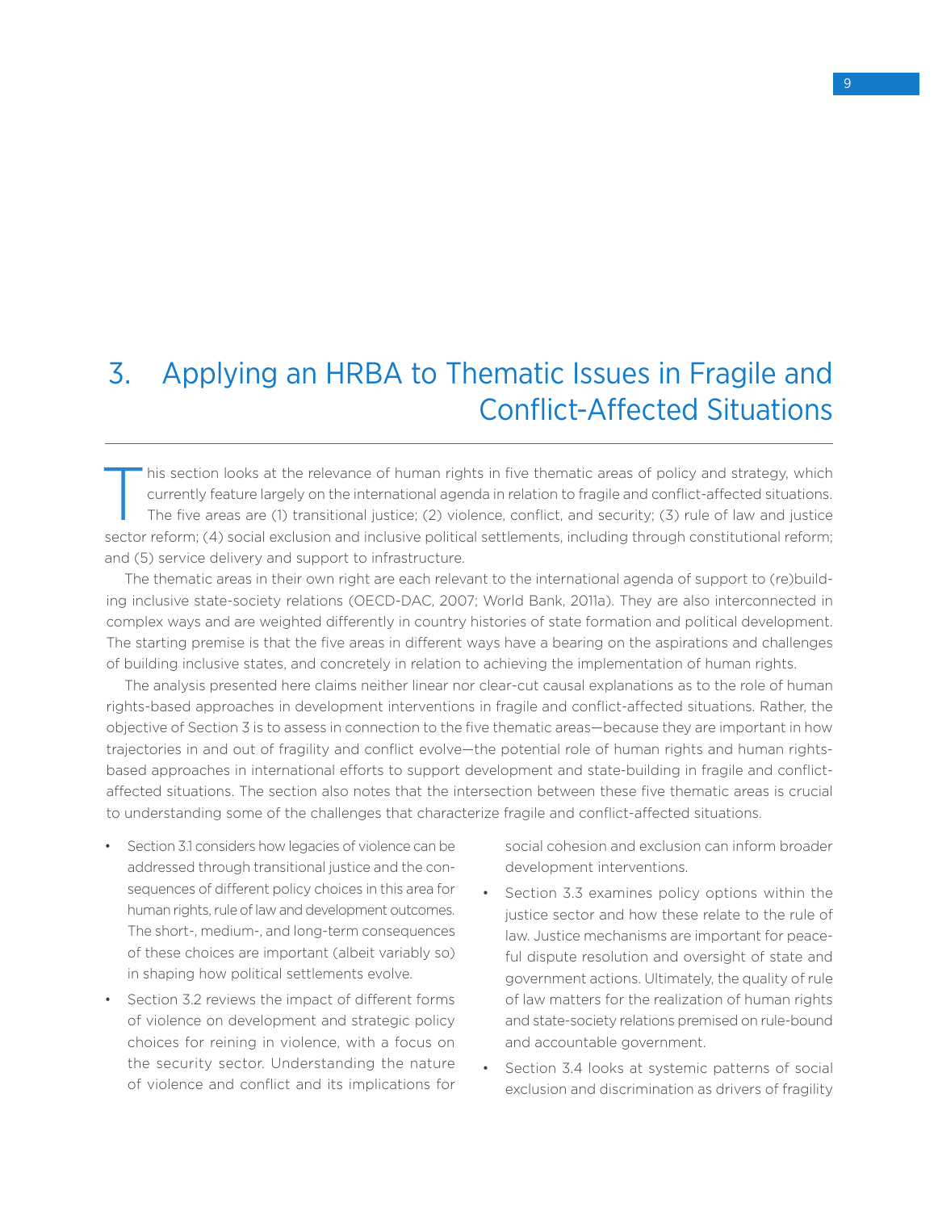# 3. Applying an HRBA to Thematic Issues in Fragile and Conflict-Affected Situations

This section looks at the relevance of human rights in five thematic areas of policy and strategy, which currently feature largely on the international agenda in relation to fragile and conflict-affected situations.<br>The fi currently feature largely on the international agenda in relation to fragile and conflict-affected situations. The five areas are (1) transitional justice; (2) violence, conflict, and security; (3) rule of law and justice sector reform; (4) social exclusion and inclusive political settlements, including through constitutional reform; and (5) service delivery and support to infrastructure.

The thematic areas in their own right are each relevant to the international agenda of support to (re)building inclusive state-society relations (OECD-DAC, 2007; World Bank, 2011a). They are also interconnected in complex ways and are weighted differently in country histories of state formation and political development. The starting premise is that the five areas in different ways have a bearing on the aspirations and challenges of building inclusive states, and concretely in relation to achieving the implementation of human rights.

The analysis presented here claims neither linear nor clear-cut causal explanations as to the role of human rights-based approaches in development interventions in fragile and conflict-affected situations. Rather, the objective of Section 3 is to assess in connection to the five thematic areas—because they are important in how trajectories in and out of fragility and conflict evolve—the potential role of human rights and human rightsbased approaches in international efforts to support development and state-building in fragile and conflictaffected situations. The section also notes that the intersection between these five thematic areas is crucial to understanding some of the challenges that characterize fragile and conflict-affected situations.

- Section 3.1 considers how legacies of violence can be addressed through transitional justice and the consequences of different policy choices in this area for human rights, rule of law and development outcomes. The short-, medium-, and long-term consequences of these choices are important (albeit variably so) in shaping how political settlements evolve.
- • Section 3.2 reviews the impact of different forms of violence on development and strategic policy choices for reining in violence, with a focus on the security sector. Understanding the nature of violence and conflict and its implications for

social cohesion and exclusion can inform broader development interventions.

- Section 3.3 examines policy options within the justice sector and how these relate to the rule of law. Justice mechanisms are important for peaceful dispute resolution and oversight of state and government actions. Ultimately, the quality of rule of law matters for the realization of human rights and state-society relations premised on rule-bound and accountable government.
- Section 3.4 looks at systemic patterns of social exclusion and discrimination as drivers of fragility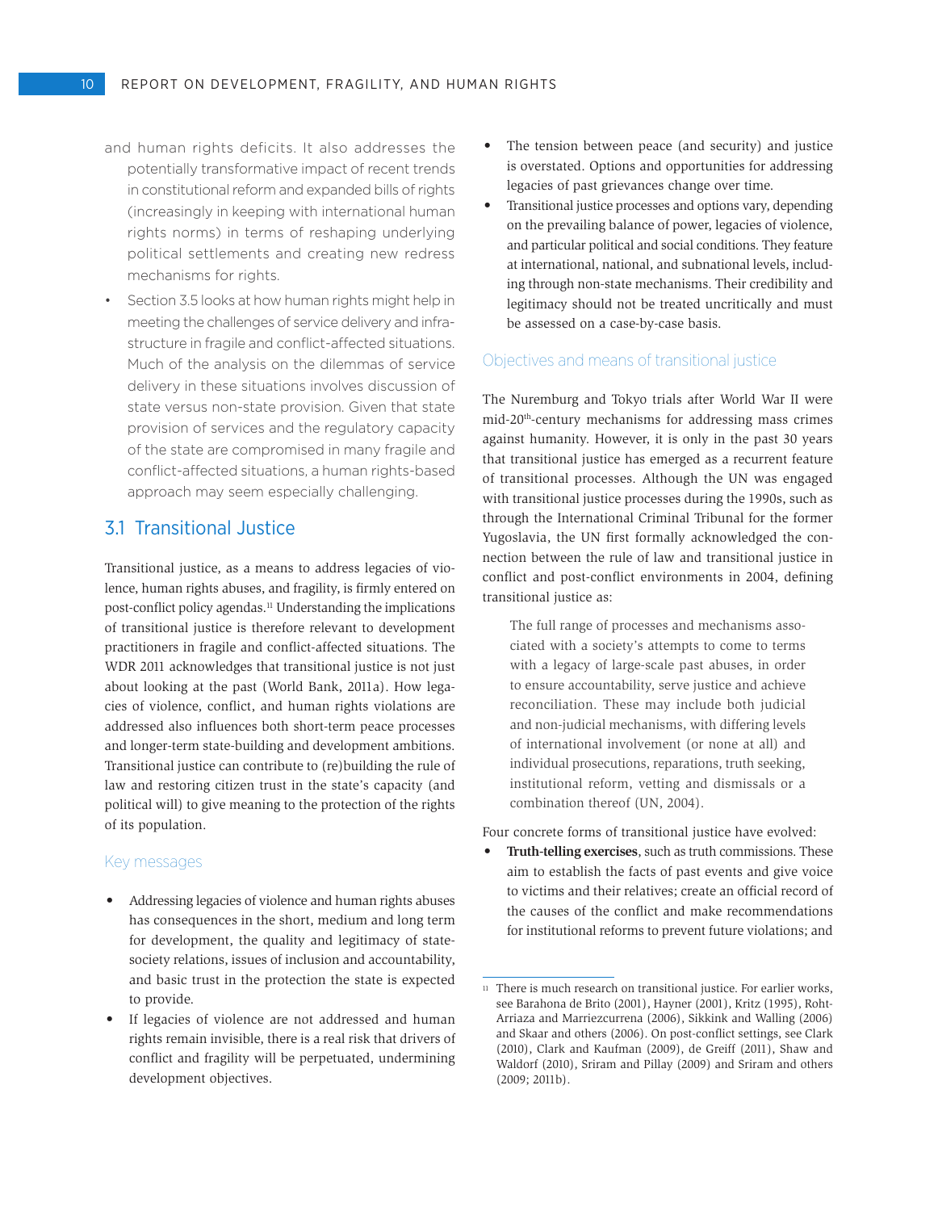- and human rights deficits. It also addresses the potentially transformative impact of recent trends in constitutional reform and expanded bills of rights (increasingly in keeping with international human rights norms) in terms of reshaping underlying political settlements and creating new redress mechanisms for rights.
- Section 3.5 looks at how human rights might help in meeting the challenges of service delivery and infrastructure in fragile and conflict-affected situations. Much of the analysis on the dilemmas of service delivery in these situations involves discussion of state versus non-state provision. Given that state provision of services and the regulatory capacity of the state are compromised in many fragile and conflict-affected situations, a human rights-based approach may seem especially challenging.

# 3.1 Transitional Justice

Transitional justice, as a means to address legacies of violence, human rights abuses, and fragility, is firmly entered on post-conflict policy agendas.<sup>11</sup> Understanding the implications of transitional justice is therefore relevant to development practitioners in fragile and conflict-affected situations. The WDR 2011 acknowledges that transitional justice is not just about looking at the past (World Bank, 2011a). How legacies of violence, conflict, and human rights violations are addressed also influences both short-term peace processes and longer-term state-building and development ambitions. Transitional justice can contribute to (re)building the rule of law and restoring citizen trust in the state's capacity (and political will) to give meaning to the protection of the rights of its population.

#### Key messages

- • Addressing legacies of violence and human rights abuses has consequences in the short, medium and long term for development, the quality and legitimacy of statesociety relations, issues of inclusion and accountability, and basic trust in the protection the state is expected to provide.
- If legacies of violence are not addressed and human rights remain invisible, there is a real risk that drivers of conflict and fragility will be perpetuated, undermining development objectives.
- The tension between peace (and security) and justice is overstated. Options and opportunities for addressing legacies of past grievances change over time.
- Transitional justice processes and options vary, depending on the prevailing balance of power, legacies of violence, and particular political and social conditions. They feature at international, national, and subnational levels, including through non-state mechanisms. Their credibility and legitimacy should not be treated uncritically and must be assessed on a case-by-case basis.

#### Objectives and means of transitional justice

The Nuremburg and Tokyo trials after World War II were mid-20th-century mechanisms for addressing mass crimes against humanity. However, it is only in the past 30 years that transitional justice has emerged as a recurrent feature of transitional processes. Although the UN was engaged with transitional justice processes during the 1990s, such as through the International Criminal Tribunal for the former Yugoslavia, the UN first formally acknowledged the connection between the rule of law and transitional justice in conflict and post-conflict environments in 2004, defining transitional justice as:

The full range of processes and mechanisms associated with a society's attempts to come to terms with a legacy of large-scale past abuses, in order to ensure accountability, serve justice and achieve reconciliation. These may include both judicial and non-judicial mechanisms, with differing levels of international involvement (or none at all) and individual prosecutions, reparations, truth seeking, institutional reform, vetting and dismissals or a combination thereof (UN, 2004).

Four concrete forms of transitional justice have evolved:

Truth-telling exercises, such as truth commissions. These aim to establish the facts of past events and give voice to victims and their relatives; create an official record of the causes of the conflict and make recommendations for institutional reforms to prevent future violations; and

<sup>&</sup>lt;sup>11</sup> There is much research on transitional justice. For earlier works, see Barahona de Brito (2001), Hayner (2001), Kritz (1995), Roht-Arriaza and Marriezcurrena (2006), Sikkink and Walling (2006) and Skaar and others (2006). On post-conflict settings, see Clark (2010), Clark and Kaufman (2009), de Greiff (2011), Shaw and Waldorf (2010), Sriram and Pillay (2009) and Sriram and others (2009; 2011b).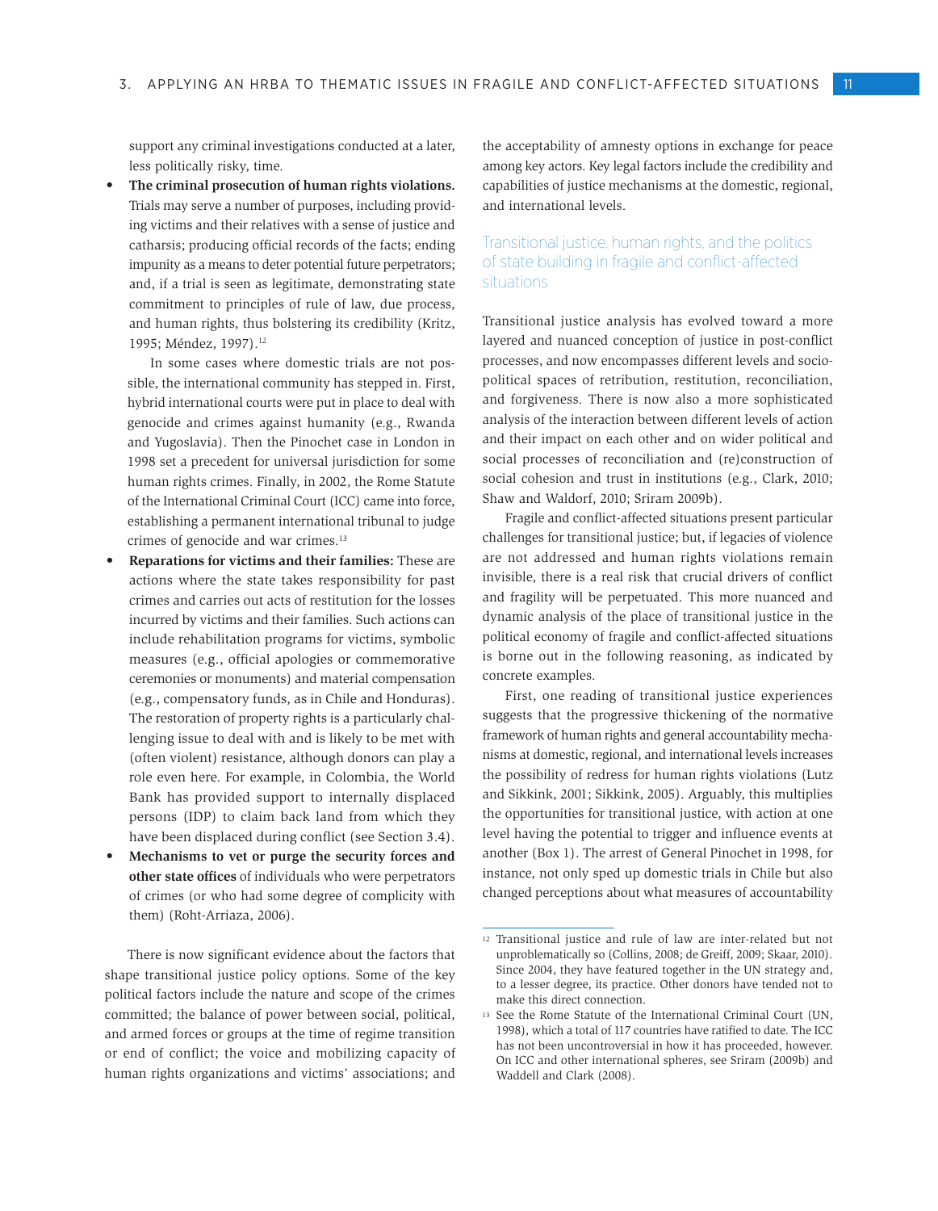support any criminal investigations conducted at a later, less politically risky, time.

The criminal prosecution of human rights violations. Trials may serve a number of purposes, including providing victims and their relatives with a sense of justice and catharsis; producing official records of the facts; ending impunity as a means to deter potential future perpetrators; and, if a trial is seen as legitimate, demonstrating state commitment to principles of rule of law, due process, and human rights, thus bolstering its credibility (Kritz, 1995; Méndez, 1997).<sup>12</sup>

In some cases where domestic trials are not possible, the international community has stepped in. First, hybrid international courts were put in place to deal with genocide and crimes against humanity (e.g., Rwanda and Yugoslavia). Then the Pinochet case in London in 1998 set a precedent for universal jurisdiction for some human rights crimes. Finally, in 2002, the Rome Statute of the International Criminal Court (ICC) came into force, establishing a permanent international tribunal to judge crimes of genocide and war crimes.13

- **Reparations for victims and their families:** These are actions where the state takes responsibility for past crimes and carries out acts of restitution for the losses incurred by victims and their families. Such actions can include rehabilitation programs for victims, symbolic measures (e.g., official apologies or commemorative ceremonies or monuments) and material compensation (e.g., compensatory funds, as in Chile and Honduras). The restoration of property rights is a particularly challenging issue to deal with and is likely to be met with (often violent) resistance, although donors can play a role even here. For example, in Colombia, the World Bank has provided support to internally displaced persons (IDP) to claim back land from which they have been displaced during conflict (see Section 3.4).
- Mechanisms to vet or purge the security forces and **other state offices** of individuals who were perpetrators of crimes (or who had some degree of complicity with them) (Roht-Arriaza, 2006).

There is now significant evidence about the factors that shape transitional justice policy options. Some of the key political factors include the nature and scope of the crimes committed; the balance of power between social, political, and armed forces or groups at the time of regime transition or end of conflict; the voice and mobilizing capacity of human rights organizations and victims' associations; and

the acceptability of amnesty options in exchange for peace among key actors. Key legal factors include the credibility and capabilities of justice mechanisms at the domestic, regional, and international levels.

## Transitional justice, human rights, and the politics of state building in fragile and conflict-affected situations

Transitional justice analysis has evolved toward a more layered and nuanced conception of justice in post-conflict processes, and now encompasses different levels and sociopolitical spaces of retribution, restitution, reconciliation, and forgiveness. There is now also a more sophisticated analysis of the interaction between different levels of action and their impact on each other and on wider political and social processes of reconciliation and (re)construction of social cohesion and trust in institutions (e.g., Clark, 2010; Shaw and Waldorf, 2010; Sriram 2009b).

Fragile and conflict-affected situations present particular challenges for transitional justice; but, if legacies of violence are not addressed and human rights violations remain invisible, there is a real risk that crucial drivers of conflict and fragility will be perpetuated. This more nuanced and dynamic analysis of the place of transitional justice in the political economy of fragile and conflict-affected situations is borne out in the following reasoning, as indicated by concrete examples.

First, one reading of transitional justice experiences suggests that the progressive thickening of the normative framework of human rights and general accountability mechanisms at domestic, regional, and international levels increases the possibility of redress for human rights violations (Lutz and Sikkink, 2001; Sikkink, 2005). Arguably, this multiplies the opportunities for transitional justice, with action at one level having the potential to trigger and influence events at another (Box 1). The arrest of General Pinochet in 1998, for instance, not only sped up domestic trials in Chile but also changed perceptions about what measures of accountability

<sup>12</sup> Transitional justice and rule of law are inter-related but not unproblematically so (Collins, 2008; de Greiff, 2009; Skaar, 2010). Since 2004, they have featured together in the UN strategy and, to a lesser degree, its practice. Other donors have tended not to make this direct connection.

<sup>13</sup> See the Rome Statute of the International Criminal Court (UN, 1998), which a total of 117 countries have ratified to date. The ICC has not been uncontroversial in how it has proceeded, however. On ICC and other international spheres, see Sriram (2009b) and Waddell and Clark (2008).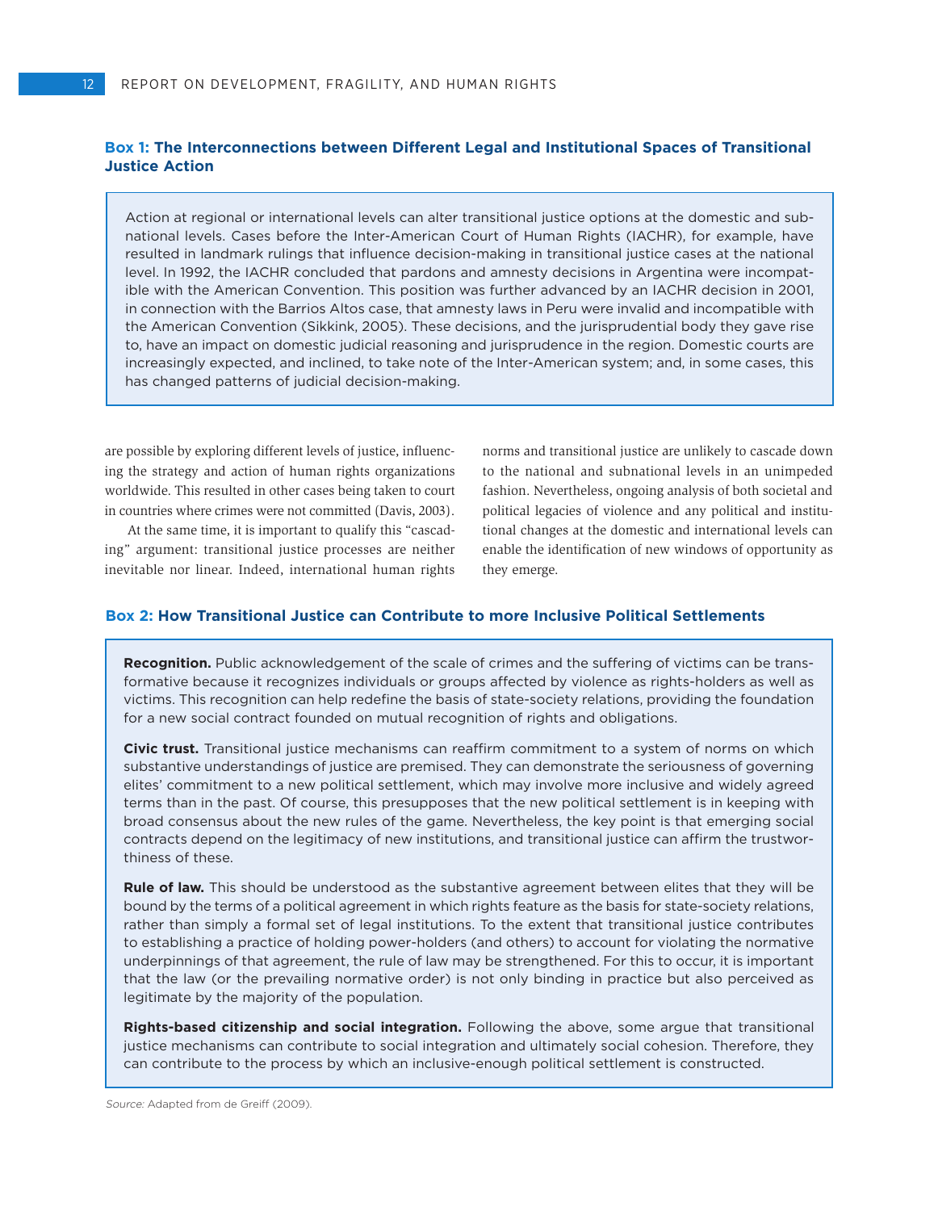#### **Box 1: The Interconnections between Different Legal and Institutional Spaces of Transitional Justice Action**

Action at regional or international levels can alter transitional justice options at the domestic and subnational levels. Cases before the Inter-American Court of Human Rights (IACHR), for example, have resulted in landmark rulings that influence decision-making in transitional justice cases at the national level. In 1992, the IACHR concluded that pardons and amnesty decisions in Argentina were incompatible with the American Convention. This position was further advanced by an IACHR decision in 2001, in connection with the Barrios Altos case, that amnesty laws in Peru were invalid and incompatible with the American Convention (Sikkink, 2005). These decisions, and the jurisprudential body they gave rise to, have an impact on domestic judicial reasoning and jurisprudence in the region. Domestic courts are increasingly expected, and inclined, to take note of the Inter-American system; and, in some cases, this has changed patterns of judicial decision-making.

are possible by exploring different levels of justice, influencing the strategy and action of human rights organizations worldwide. This resulted in other cases being taken to court in countries where crimes were not committed (Davis, 2003).

At the same time, it is important to qualify this "cascading" argument: transitional justice processes are neither inevitable nor linear. Indeed, international human rights

norms and transitional justice are unlikely to cascade down to the national and subnational levels in an unimpeded fashion. Nevertheless, ongoing analysis of both societal and political legacies of violence and any political and institutional changes at the domestic and international levels can enable the identification of new windows of opportunity as they emerge.

#### **Box 2: How Transitional Justice can Contribute to more Inclusive Political Settlements**

**Recognition.** Public acknowledgement of the scale of crimes and the suffering of victims can be transformative because it recognizes individuals or groups affected by violence as rights-holders as well as victims. This recognition can help redefine the basis of state-society relations, providing the foundation for a new social contract founded on mutual recognition of rights and obligations.

**Civic trust.** Transitional justice mechanisms can reaffirm commitment to a system of norms on which substantive understandings of justice are premised. They can demonstrate the seriousness of governing elites' commitment to a new political settlement, which may involve more inclusive and widely agreed terms than in the past. Of course, this presupposes that the new political settlement is in keeping with broad consensus about the new rules of the game. Nevertheless, the key point is that emerging social contracts depend on the legitimacy of new institutions, and transitional justice can affirm the trustworthiness of these.

**Rule of law.** This should be understood as the substantive agreement between elites that they will be bound by the terms of a political agreement in which rights feature as the basis for state-society relations, rather than simply a formal set of legal institutions. To the extent that transitional justice contributes to establishing a practice of holding power-holders (and others) to account for violating the normative underpinnings of that agreement, the rule of law may be strengthened. For this to occur, it is important that the law (or the prevailing normative order) is not only binding in practice but also perceived as legitimate by the majority of the population.

**Rights-based citizenship and social integration.** Following the above, some argue that transitional justice mechanisms can contribute to social integration and ultimately social cohesion. Therefore, they can contribute to the process by which an inclusive-enough political settlement is constructed.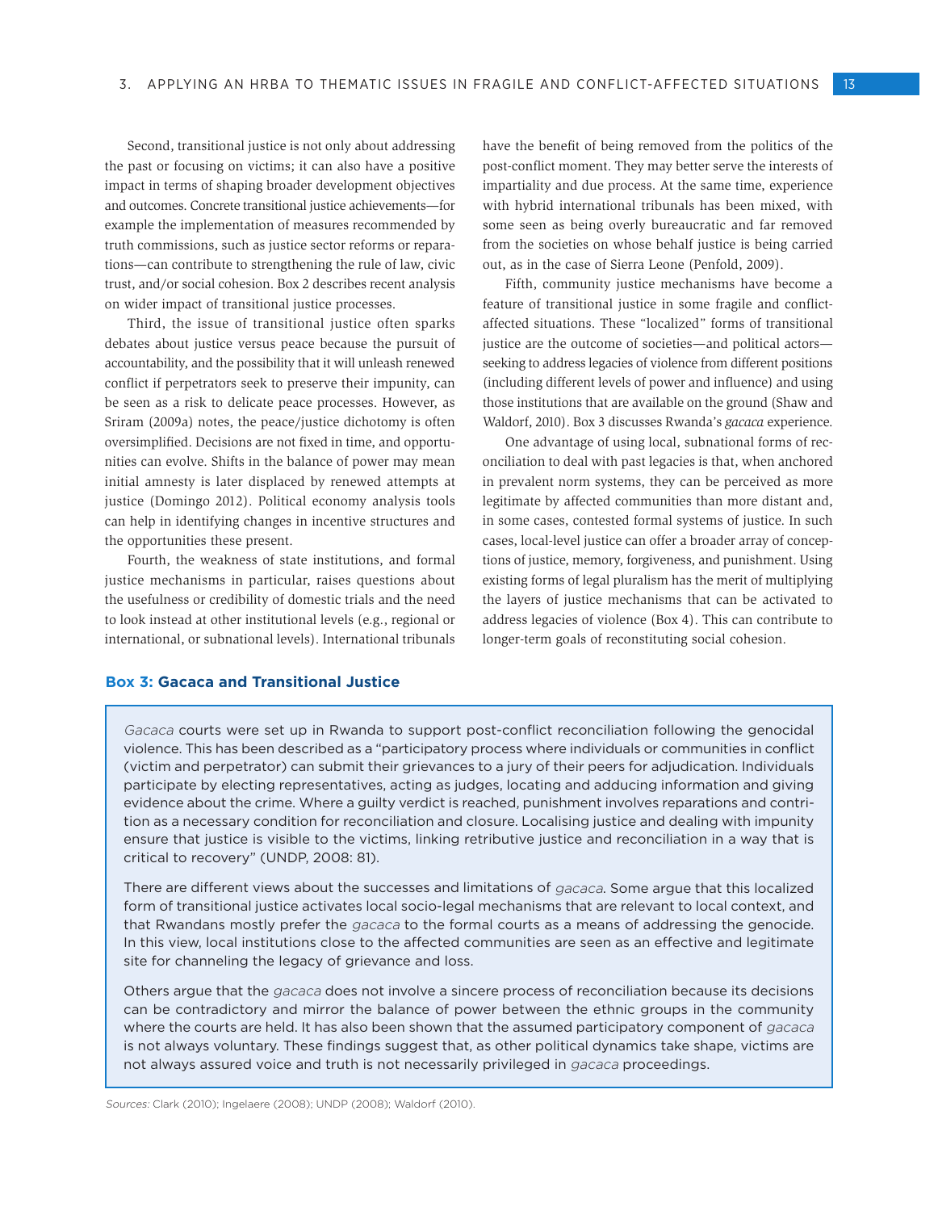Second, transitional justice is not only about addressing the past or focusing on victims; it can also have a positive impact in terms of shaping broader development objectives and outcomes. Concrete transitional justice achievements—for example the implementation of measures recommended by truth commissions, such as justice sector reforms or reparations—can contribute to strengthening the rule of law, civic trust, and/or social cohesion. Box 2 describes recent analysis on wider impact of transitional justice processes.

Third, the issue of transitional justice often sparks debates about justice versus peace because the pursuit of accountability, and the possibility that it will unleash renewed conflict if perpetrators seek to preserve their impunity, can be seen as a risk to delicate peace processes. However, as Sriram (2009a) notes, the peace/justice dichotomy is often oversimplified. Decisions are not fixed in time, and opportunities can evolve. Shifts in the balance of power may mean initial amnesty is later displaced by renewed attempts at justice (Domingo 2012). Political economy analysis tools can help in identifying changes in incentive structures and the opportunities these present.

Fourth, the weakness of state institutions, and formal justice mechanisms in particular, raises questions about the usefulness or credibility of domestic trials and the need to look instead at other institutional levels (e.g., regional or international, or subnational levels). International tribunals

have the benefit of being removed from the politics of the post-conflict moment. They may better serve the interests of impartiality and due process. At the same time, experience with hybrid international tribunals has been mixed, with some seen as being overly bureaucratic and far removed from the societies on whose behalf justice is being carried out, as in the case of Sierra Leone (Penfold, 2009).

Fifth, community justice mechanisms have become a feature of transitional justice in some fragile and conflictaffected situations. These "localized" forms of transitional justice are the outcome of societies—and political actors seeking to address legacies of violence from different positions (including different levels of power and influence) and using those institutions that are available on the ground (Shaw and Waldorf, 2010). Box 3 discusses Rwanda's *gacaca* experience.

One advantage of using local, subnational forms of reconciliation to deal with past legacies is that, when anchored in prevalent norm systems, they can be perceived as more legitimate by affected communities than more distant and, in some cases, contested formal systems of justice. In such cases, local-level justice can offer a broader array of conceptions of justice, memory, forgiveness, and punishment. Using existing forms of legal pluralism has the merit of multiplying the layers of justice mechanisms that can be activated to address legacies of violence (Box 4). This can contribute to longer-term goals of reconstituting social cohesion.

## **Box 3: Gacaca and Transitional Justice**

Gacaca courts were set up in Rwanda to support post-conflict reconciliation following the genocidal violence. This has been described as a "participatory process where individuals or communities in conflict (victim and perpetrator) can submit their grievances to a jury of their peers for adjudication. Individuals participate by electing representatives, acting as judges, locating and adducing information and giving evidence about the crime. Where a guilty verdict is reached, punishment involves reparations and contrition as a necessary condition for reconciliation and closure. Localising justice and dealing with impunity ensure that justice is visible to the victims, linking retributive justice and reconciliation in a way that is critical to recovery" (UNDP, 2008: 81).

There are different views about the successes and limitations of gacaca. Some argue that this localized form of transitional justice activates local socio-legal mechanisms that are relevant to local context, and that Rwandans mostly prefer the *gacaca* to the formal courts as a means of addressing the genocide. In this view, local institutions close to the affected communities are seen as an effective and legitimate site for channeling the legacy of grievance and loss.

Others argue that the gacaca does not involve a sincere process of reconciliation because its decisions can be contradictory and mirror the balance of power between the ethnic groups in the community where the courts are held. It has also been shown that the assumed participatory component of gacaca is not always voluntary. These findings suggest that, as other political dynamics take shape, victims are not always assured voice and truth is not necessarily privileged in gacaca proceedings.

Sources: Clark (2010); Ingelaere (2008); UNDP (2008); Waldorf (2010).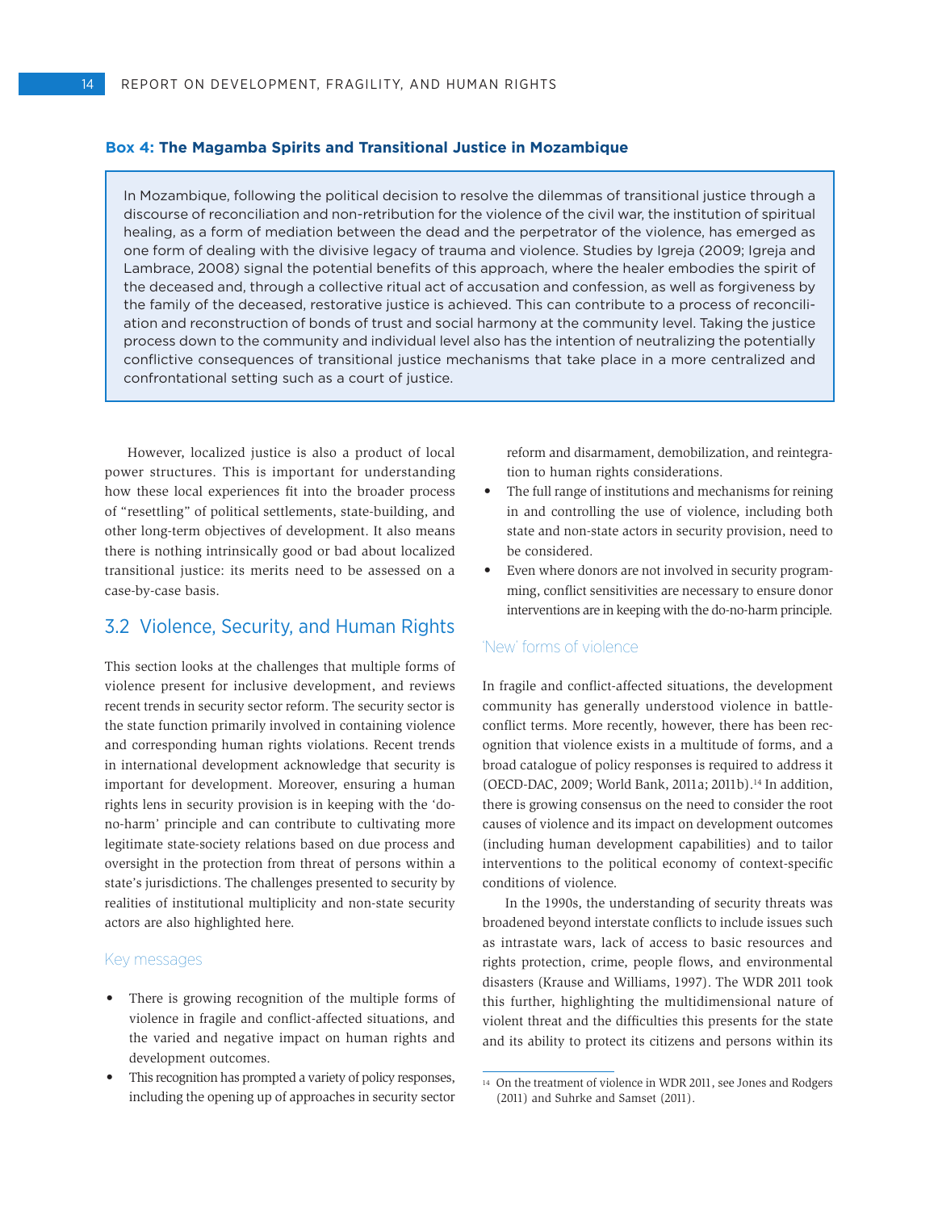#### **Box 4: The Magamba Spirits and Transitional Justice in Mozambique**

In Mozambique, following the political decision to resolve the dilemmas of transitional justice through a discourse of reconciliation and non-retribution for the violence of the civil war, the institution of spiritual healing, as a form of mediation between the dead and the perpetrator of the violence, has emerged as one form of dealing with the divisive legacy of trauma and violence. Studies by Igreja (2009; Igreja and Lambrace, 2008) signal the potential benefits of this approach, where the healer embodies the spirit of the deceased and, through a collective ritual act of accusation and confession, as well as forgiveness by the family of the deceased, restorative justice is achieved. This can contribute to a process of reconciliation and reconstruction of bonds of trust and social harmony at the community level. Taking the justice process down to the community and individual level also has the intention of neutralizing the potentially conflictive consequences of transitional justice mechanisms that take place in a more centralized and confrontational setting such as a court of justice.

However, localized justice is also a product of local power structures. This is important for understanding how these local experiences fit into the broader process of "resettling" of political settlements, state-building, and other long-term objectives of development. It also means there is nothing intrinsically good or bad about localized transitional justice: its merits need to be assessed on a case-by-case basis.

# 3.2 Violence, Security, and Human Rights

This section looks at the challenges that multiple forms of violence present for inclusive development, and reviews recent trends in security sector reform. The security sector is the state function primarily involved in containing violence and corresponding human rights violations. Recent trends in international development acknowledge that security is important for development. Moreover, ensuring a human rights lens in security provision is in keeping with the 'dono-harm' principle and can contribute to cultivating more legitimate state-society relations based on due process and oversight in the protection from threat of persons within a state's jurisdictions. The challenges presented to security by realities of institutional multiplicity and non-state security actors are also highlighted here.

#### Key messages

- • There is growing recognition of the multiple forms of violence in fragile and conflict-affected situations, and the varied and negative impact on human rights and development outcomes.
- This recognition has prompted a variety of policy responses, including the opening up of approaches in security sector

reform and disarmament, demobilization, and reintegration to human rights considerations.

- The full range of institutions and mechanisms for reining in and controlling the use of violence, including both state and non-state actors in security provision, need to be considered.
- Even where donors are not involved in security programming, conflict sensitivities are necessary to ensure donor interventions are in keeping with the do-no-harm principle.

#### 'New' forms of violence

In fragile and conflict-affected situations, the development community has generally understood violence in battleconflict terms. More recently, however, there has been recognition that violence exists in a multitude of forms, and a broad catalogue of policy responses is required to address it (OECD-DAC, 2009; World Bank, 2011a; 2011b).14 In addition, there is growing consensus on the need to consider the root causes of violence and its impact on development outcomes (including human development capabilities) and to tailor interventions to the political economy of context-specific conditions of violence.

In the 1990s, the understanding of security threats was broadened beyond interstate conflicts to include issues such as intrastate wars, lack of access to basic resources and rights protection, crime, people flows, and environmental disasters (Krause and Williams, 1997). The WDR 2011 took this further, highlighting the multidimensional nature of violent threat and the difficulties this presents for the state and its ability to protect its citizens and persons within its

<sup>14</sup> On the treatment of violence in WDR 2011, see Jones and Rodgers (2011) and Suhrke and Samset (2011).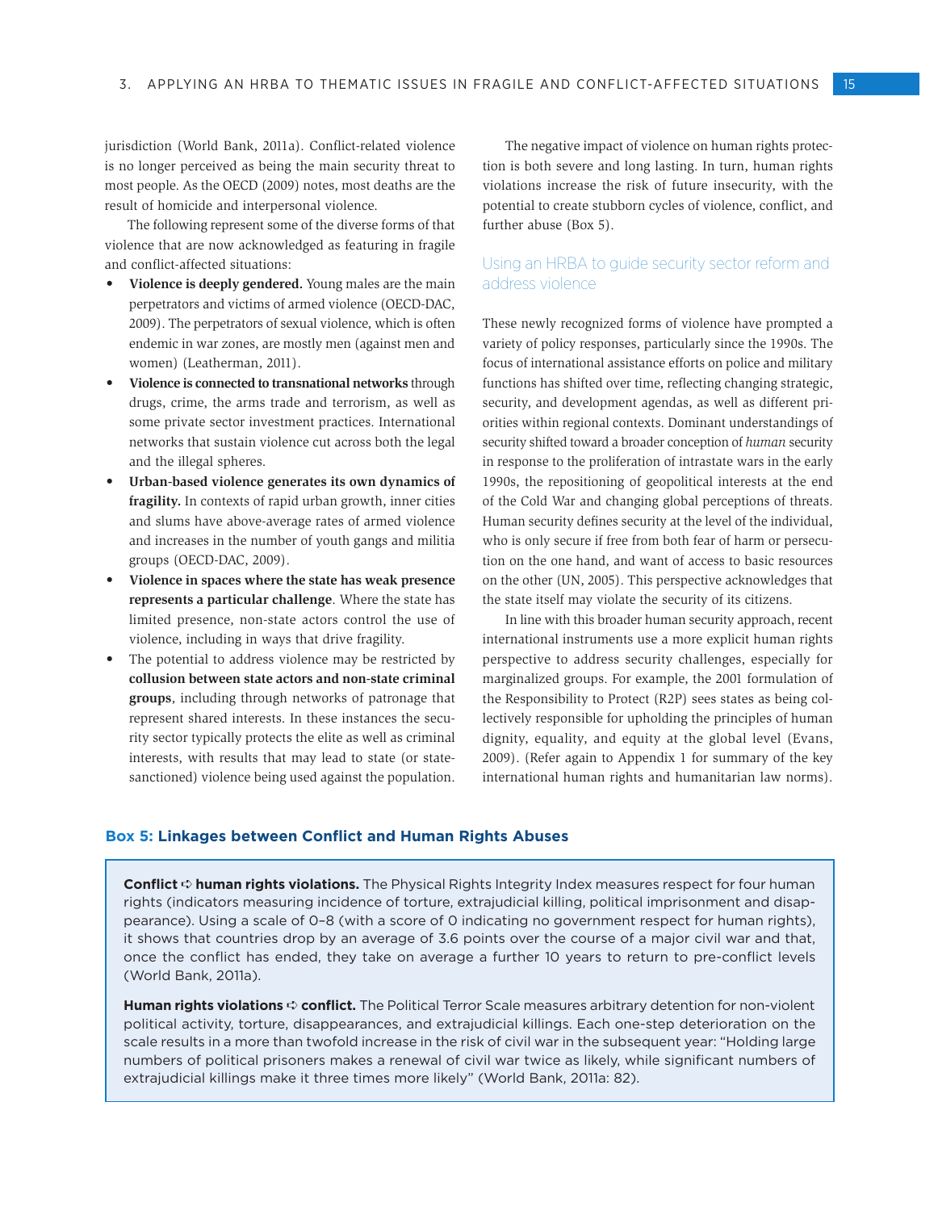jurisdiction (World Bank, 2011a). Conflict-related violence is no longer perceived as being the main security threat to most people. As the OECD (2009) notes, most deaths are the result of homicide and interpersonal violence.

The following represent some of the diverse forms of that violence that are now acknowledged as featuring in fragile and conflict-affected situations:

- • **Violence is deeply gendered.** Young males are the main perpetrators and victims of armed violence (OECD-DAC, 2009). The perpetrators of sexual violence, which is often endemic in war zones, are mostly men (against men and women) (Leatherman, 2011).
- **Violence is connected to transnational networks** through drugs, crime, the arms trade and terrorism, as well as some private sector investment practices. International networks that sustain violence cut across both the legal and the illegal spheres.
- Urban-based violence generates its own dynamics of **fragility.** In contexts of rapid urban growth, inner cities and slums have above-average rates of armed violence and increases in the number of youth gangs and militia groups (OECD-DAC, 2009).
- Violence in spaces where the state has weak presence **represents a particular challenge**. Where the state has limited presence, non-state actors control the use of violence, including in ways that drive fragility.
- The potential to address violence may be restricted by **collusion between state actors and non-state criminal groups**, including through networks of patronage that represent shared interests. In these instances the security sector typically protects the elite as well as criminal interests, with results that may lead to state (or statesanctioned) violence being used against the population.

The negative impact of violence on human rights protection is both severe and long lasting. In turn, human rights violations increase the risk of future insecurity, with the potential to create stubborn cycles of violence, conflict, and further abuse (Box 5).

## Using an HRBA to guide security sector reform and address violence

These newly recognized forms of violence have prompted a variety of policy responses, particularly since the 1990s. The focus of international assistance efforts on police and military functions has shifted over time, reflecting changing strategic, security, and development agendas, as well as different priorities within regional contexts. Dominant understandings of security shifted toward a broader conception of *human* security in response to the proliferation of intrastate wars in the early 1990s, the repositioning of geopolitical interests at the end of the Cold War and changing global perceptions of threats. Human security defines security at the level of the individual, who is only secure if free from both fear of harm or persecution on the one hand, and want of access to basic resources on the other (UN, 2005). This perspective acknowledges that the state itself may violate the security of its citizens.

In line with this broader human security approach, recent international instruments use a more explicit human rights perspective to address security challenges, especially for marginalized groups. For example, the 2001 formulation of the Responsibility to Protect (R2P) sees states as being collectively responsible for upholding the principles of human dignity, equality, and equity at the global level (Evans, 2009). (Refer again to Appendix 1 for summary of the key international human rights and humanitarian law norms).

#### **Box 5: Linkages between Conflict and Human Rights Abuses**

**Conflict** ➪ **human rights violations.** The Physical Rights Integrity Index measures respect for four human rights (indicators measuring incidence of torture, extrajudicial killing, political imprisonment and disappearance). Using a scale of 0–8 (with a score of 0 indicating no government respect for human rights), it shows that countries drop by an average of 3.6 points over the course of a major civil war and that, once the conflict has ended, they take on average a further 10 years to return to pre-conflict levels (World Bank, 2011a).

**Human rights violations**  $\Leftrightarrow$  **conflict.** The Political Terror Scale measures arbitrary detention for non-violent political activity, torture, disappearances, and extrajudicial killings. Each one-step deterioration on the scale results in a more than twofold increase in the risk of civil war in the subsequent year: "Holding large numbers of political prisoners makes a renewal of civil war twice as likely, while significant numbers of extrajudicial killings make it three times more likely" (World Bank, 2011a: 82).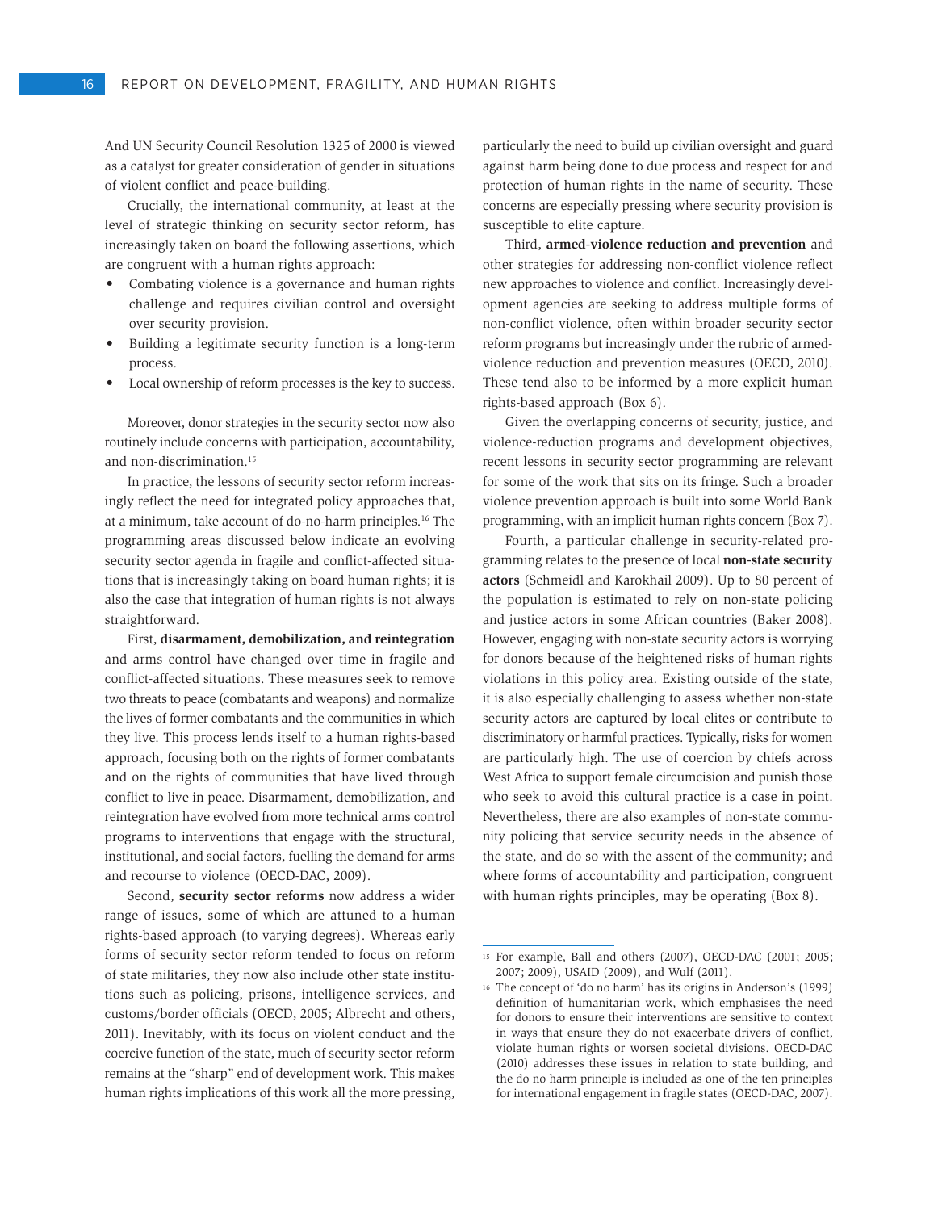And UN Security Council Resolution 1325 of 2000 is viewed as a catalyst for greater consideration of gender in situations of violent conflict and peace-building.

Crucially, the international community, at least at the level of strategic thinking on security sector reform, has increasingly taken on board the following assertions, which are congruent with a human rights approach:

- Combating violence is a governance and human rights challenge and requires civilian control and oversight over security provision.
- Building a legitimate security function is a long-term process.
- Local ownership of reform processes is the key to success.

Moreover, donor strategies in the security sector now also routinely include concerns with participation, accountability, and non-discrimination.15

In practice, the lessons of security sector reform increasingly reflect the need for integrated policy approaches that, at a minimum, take account of do-no-harm principles.16 The programming areas discussed below indicate an evolving security sector agenda in fragile and conflict-affected situations that is increasingly taking on board human rights; it is also the case that integration of human rights is not always straightforward.

First, **disarmament, demobilization, and reintegration**  and arms control have changed over time in fragile and conflict-affected situations. These measures seek to remove two threats to peace (combatants and weapons) and normalize the lives of former combatants and the communities in which they live. This process lends itself to a human rights-based approach, focusing both on the rights of former combatants and on the rights of communities that have lived through conflict to live in peace. Disarmament, demobilization, and reintegration have evolved from more technical arms control programs to interventions that engage with the structural, institutional, and social factors, fuelling the demand for arms and recourse to violence (OECD-DAC, 2009).

Second, **security sector reforms** now address a wider range of issues, some of which are attuned to a human rights-based approach (to varying degrees). Whereas early forms of security sector reform tended to focus on reform of state militaries, they now also include other state institutions such as policing, prisons, intelligence services, and customs/border officials (OECD, 2005; Albrecht and others, 2011). Inevitably, with its focus on violent conduct and the coercive function of the state, much of security sector reform remains at the "sharp" end of development work. This makes human rights implications of this work all the more pressing,

particularly the need to build up civilian oversight and guard against harm being done to due process and respect for and protection of human rights in the name of security. These concerns are especially pressing where security provision is susceptible to elite capture.

Third, **armed-violence reduction and prevention** and other strategies for addressing non-conflict violence reflect new approaches to violence and conflict. Increasingly development agencies are seeking to address multiple forms of non-conflict violence, often within broader security sector reform programs but increasingly under the rubric of armedviolence reduction and prevention measures (OECD, 2010). These tend also to be informed by a more explicit human rights-based approach (Box 6).

Given the overlapping concerns of security, justice, and violence-reduction programs and development objectives, recent lessons in security sector programming are relevant for some of the work that sits on its fringe. Such a broader violence prevention approach is built into some World Bank programming, with an implicit human rights concern (Box 7).

Fourth, a particular challenge in security-related programming relates to the presence of local **non-state security actors** (Schmeidl and Karokhail 2009). Up to 80 percent of the population is estimated to rely on non-state policing and justice actors in some African countries (Baker 2008). However, engaging with non-state security actors is worrying for donors because of the heightened risks of human rights violations in this policy area. Existing outside of the state, it is also especially challenging to assess whether non-state security actors are captured by local elites or contribute to discriminatory or harmful practices. Typically, risks for women are particularly high. The use of coercion by chiefs across West Africa to support female circumcision and punish those who seek to avoid this cultural practice is a case in point. Nevertheless, there are also examples of non-state community policing that service security needs in the absence of the state, and do so with the assent of the community; and where forms of accountability and participation, congruent with human rights principles, may be operating (Box 8).

<sup>15</sup> For example, Ball and others (2007), OECD-DAC (2001; 2005; 2007; 2009), USAID (2009), and Wulf (2011).

<sup>16</sup> The concept of 'do no harm' has its origins in Anderson's (1999) definition of humanitarian work, which emphasises the need for donors to ensure their interventions are sensitive to context in ways that ensure they do not exacerbate drivers of conflict, violate human rights or worsen societal divisions. OECD-DAC (2010) addresses these issues in relation to state building, and the do no harm principle is included as one of the ten principles for international engagement in fragile states (OECD-DAC, 2007).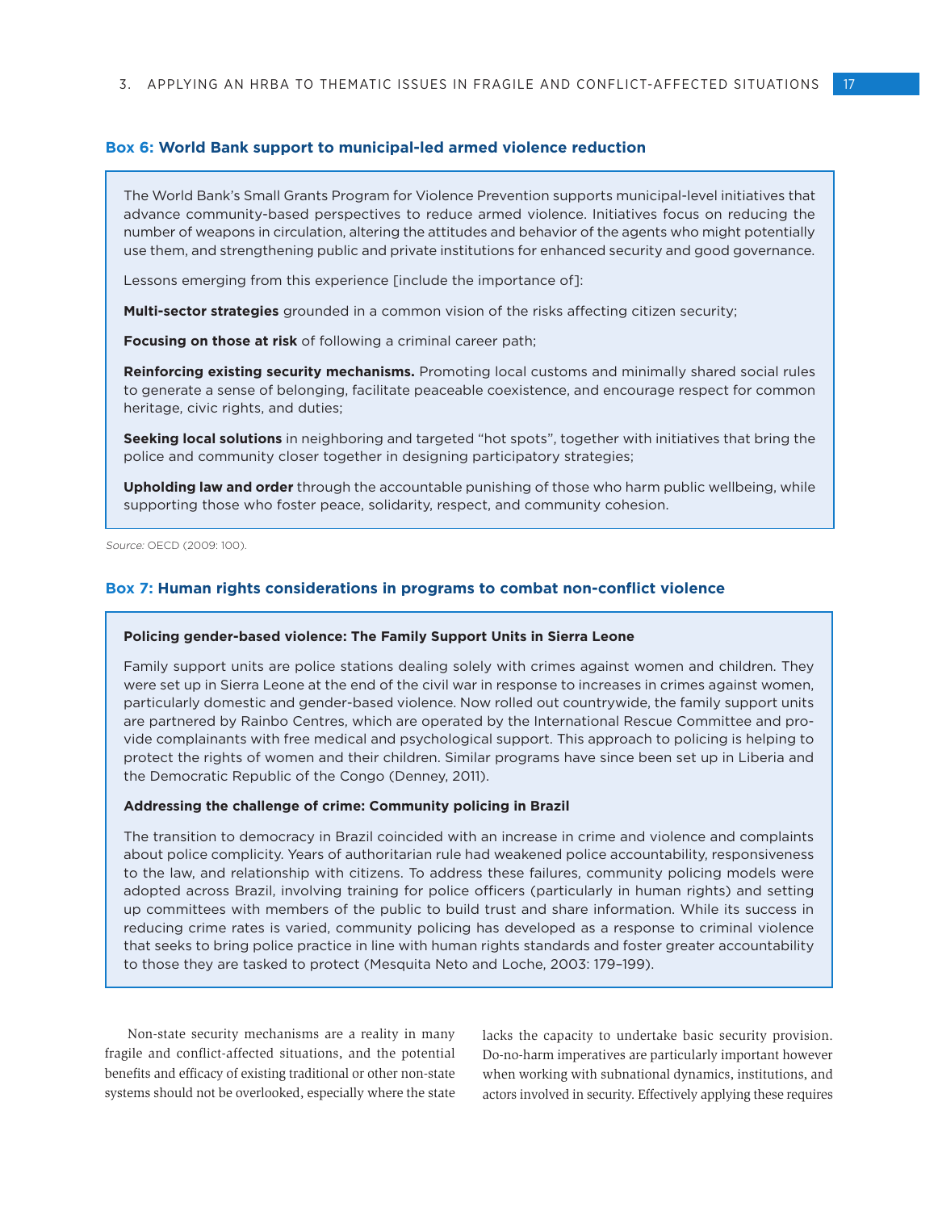#### **Box 6: World Bank support to municipal-led armed violence reduction**

The World Bank's Small Grants Program for Violence Prevention supports municipal-level initiatives that advance community-based perspectives to reduce armed violence. Initiatives focus on reducing the number of weapons in circulation, altering the attitudes and behavior of the agents who might potentially use them, and strengthening public and private institutions for enhanced security and good governance.

Lessons emerging from this experience [include the importance of]:

**Multi-sector strategies** grounded in a common vision of the risks affecting citizen security;

**Focusing on those at risk** of following a criminal career path;

**Reinforcing existing security mechanisms.** Promoting local customs and minimally shared social rules to generate a sense of belonging, facilitate peaceable coexistence, and encourage respect for common heritage, civic rights, and duties;

**Seeking local solutions** in neighboring and targeted "hot spots", together with initiatives that bring the police and community closer together in designing participatory strategies;

**Upholding law and order** through the accountable punishing of those who harm public wellbeing, while supporting those who foster peace, solidarity, respect, and community cohesion.

Source: OECD (2009: 100).

#### **Box 7: Human rights considerations in programs to combat non-conflict violence**

#### **Policing gender-based violence: The Family Support Units in Sierra Leone**

Family support units are police stations dealing solely with crimes against women and children. They were set up in Sierra Leone at the end of the civil war in response to increases in crimes against women, particularly domestic and gender-based violence. Now rolled out countrywide, the family support units are partnered by Rainbo Centres, which are operated by the International Rescue Committee and provide complainants with free medical and psychological support. This approach to policing is helping to protect the rights of women and their children. Similar programs have since been set up in Liberia and the Democratic Republic of the Congo (Denney, 2011).

#### **Addressing the challenge of crime: Community policing in Brazil**

The transition to democracy in Brazil coincided with an increase in crime and violence and complaints about police complicity. Years of authoritarian rule had weakened police accountability, responsiveness to the law, and relationship with citizens. To address these failures, community policing models were adopted across Brazil, involving training for police officers (particularly in human rights) and setting up committees with members of the public to build trust and share information. While its success in reducing crime rates is varied, community policing has developed as a response to criminal violence that seeks to bring police practice in line with human rights standards and foster greater accountability to those they are tasked to protect (Mesquita Neto and Loche, 2003: 179–199).

Non-state security mechanisms are a reality in many fragile and conflict-affected situations, and the potential benefits and efficacy of existing traditional or other non-state systems should not be overlooked, especially where the state

lacks the capacity to undertake basic security provision. Do-no-harm imperatives are particularly important however when working with subnational dynamics, institutions, and actors involved in security. Effectively applying these requires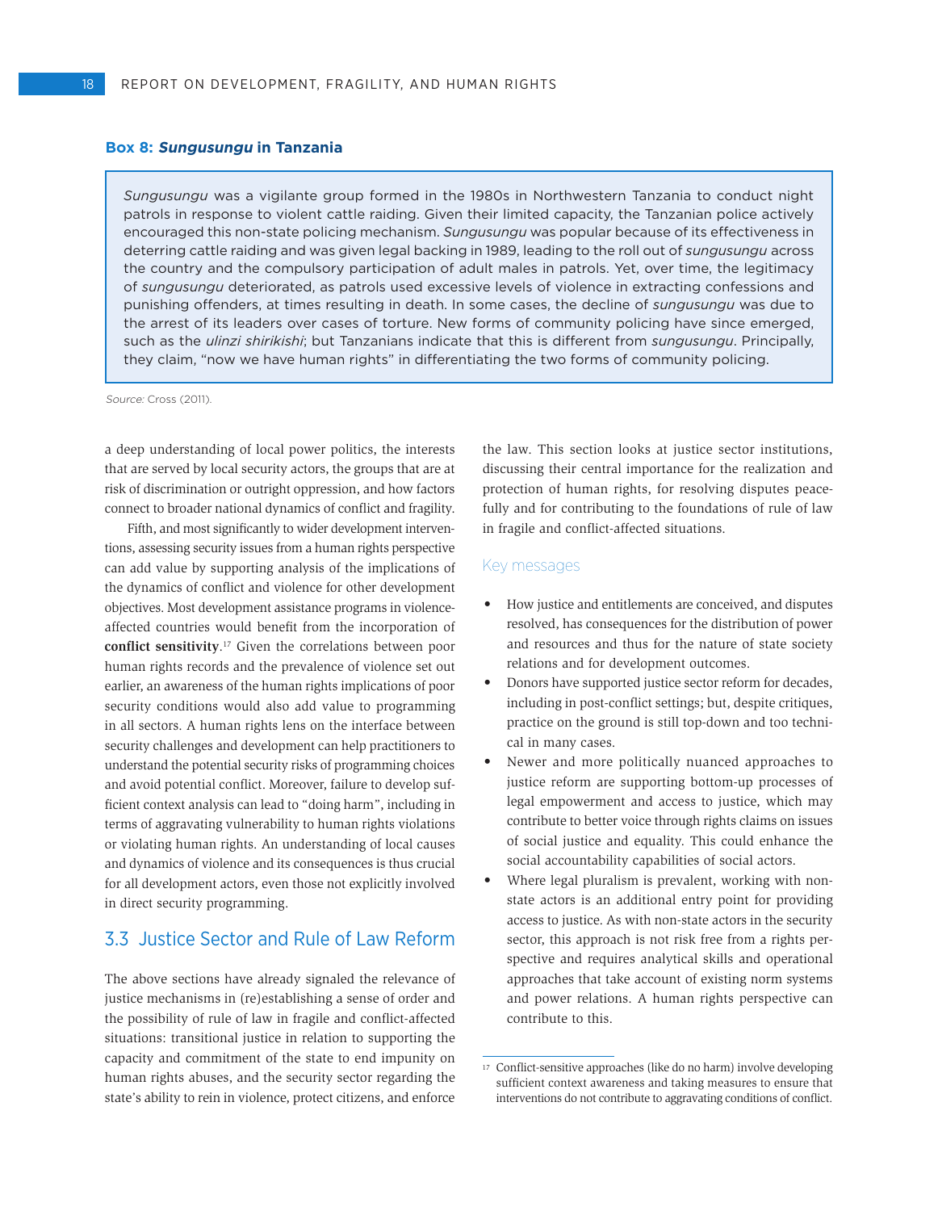#### **Box 8: Sungusungu in Tanzania**

*Sungusungu* was a vigilante group formed in the 1980s in Northwestern Tanzania to conduct night patrols in response to violent cattle raiding. Given their limited capacity, the Tanzanian police actively encouraged this non-state policing mechanism. *Sungusungu* was popular because of its effectiveness in deterring cattle raiding and was given legal backing in 1989, leading to the roll out of *sungusungu* across the country and the compulsory participation of adult males in patrols. Yet, over time, the legitimacy of *sungusungu* deteriorated, as patrols used excessive levels of violence in extracting confessions and punishing offenders, at times resulting in death. In some cases, the decline of *sungusungu* was due to the arrest of its leaders over cases of torture. New forms of community policing have since emerged, such as the *ulinzi shirikishi*; but Tanzanians indicate that this is different from *sungusungu*. Principally, they claim, "now we have human rights" in differentiating the two forms of community policing.

Source: Cross (2011).

a deep understanding of local power politics, the interests that are served by local security actors, the groups that are at risk of discrimination or outright oppression, and how factors connect to broader national dynamics of conflict and fragility.

Fifth, and most significantly to wider development interventions, assessing security issues from a human rights perspective can add value by supporting analysis of the implications of the dynamics of conflict and violence for other development objectives. Most development assistance programs in violenceaffected countries would benefit from the incorporation of **conflict sensitivity**. 17 Given the correlations between poor human rights records and the prevalence of violence set out earlier, an awareness of the human rights implications of poor security conditions would also add value to programming in all sectors. A human rights lens on the interface between security challenges and development can help practitioners to understand the potential security risks of programming choices and avoid potential conflict. Moreover, failure to develop sufficient context analysis can lead to "doing harm", including in terms of aggravating vulnerability to human rights violations or violating human rights. An understanding of local causes and dynamics of violence and its consequences is thus crucial for all development actors, even those not explicitly involved in direct security programming.

# 3.3 Justice Sector and Rule of Law Reform

The above sections have already signaled the relevance of justice mechanisms in (re)establishing a sense of order and the possibility of rule of law in fragile and conflict-affected situations: transitional justice in relation to supporting the capacity and commitment of the state to end impunity on human rights abuses, and the security sector regarding the state's ability to rein in violence, protect citizens, and enforce

the law. This section looks at justice sector institutions, discussing their central importance for the realization and protection of human rights, for resolving disputes peacefully and for contributing to the foundations of rule of law in fragile and conflict-affected situations.

#### Key messages

- How justice and entitlements are conceived, and disputes resolved, has consequences for the distribution of power and resources and thus for the nature of state society relations and for development outcomes.
- Donors have supported justice sector reform for decades, including in post-conflict settings; but, despite critiques, practice on the ground is still top-down and too technical in many cases.
- Newer and more politically nuanced approaches to justice reform are supporting bottom-up processes of legal empowerment and access to justice, which may contribute to better voice through rights claims on issues of social justice and equality. This could enhance the social accountability capabilities of social actors.
- Where legal pluralism is prevalent, working with nonstate actors is an additional entry point for providing access to justice. As with non-state actors in the security sector, this approach is not risk free from a rights perspective and requires analytical skills and operational approaches that take account of existing norm systems and power relations. A human rights perspective can contribute to this.

<sup>17</sup> Conflict-sensitive approaches (like do no harm) involve developing sufficient context awareness and taking measures to ensure that interventions do not contribute to aggravating conditions of conflict.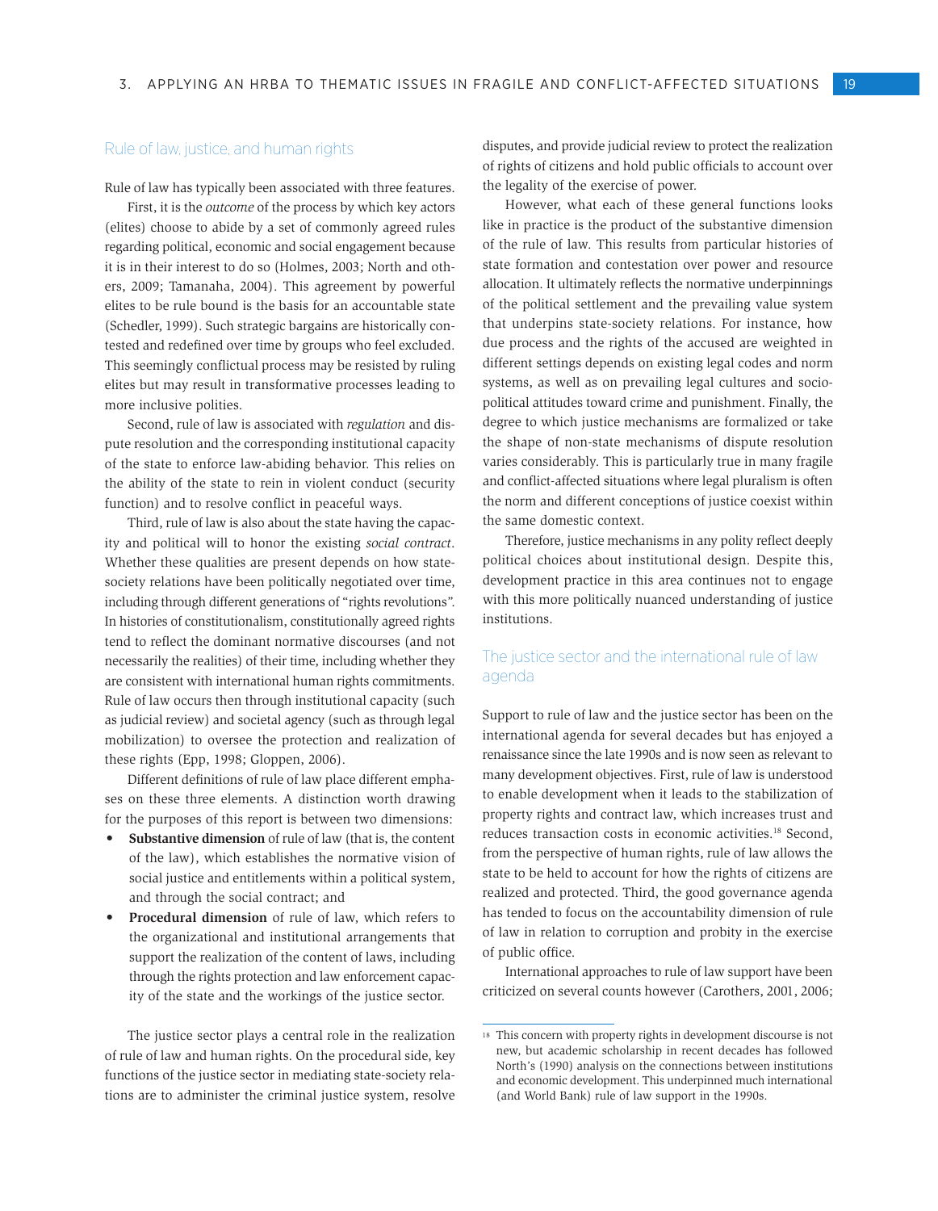#### Rule of law, justice, and human rights

Rule of law has typically been associated with three features.

First, it is the *outcome* of the process by which key actors (elites) choose to abide by a set of commonly agreed rules regarding political, economic and social engagement because it is in their interest to do so (Holmes, 2003; North and others, 2009; Tamanaha, 2004). This agreement by powerful elites to be rule bound is the basis for an accountable state (Schedler, 1999). Such strategic bargains are historically contested and redefined over time by groups who feel excluded. This seemingly conflictual process may be resisted by ruling elites but may result in transformative processes leading to more inclusive polities.

Second, rule of law is associated with *regulation* and dispute resolution and the corresponding institutional capacity of the state to enforce law-abiding behavior. This relies on the ability of the state to rein in violent conduct (security function) and to resolve conflict in peaceful ways.

Third, rule of law is also about the state having the capacity and political will to honor the existing *social contract*. Whether these qualities are present depends on how statesociety relations have been politically negotiated over time, including through different generations of "rights revolutions". In histories of constitutionalism, constitutionally agreed rights tend to reflect the dominant normative discourses (and not necessarily the realities) of their time, including whether they are consistent with international human rights commitments. Rule of law occurs then through institutional capacity (such as judicial review) and societal agency (such as through legal mobilization) to oversee the protection and realization of these rights (Epp, 1998; Gloppen, 2006).

Different definitions of rule of law place different emphases on these three elements. A distinction worth drawing for the purposes of this report is between two dimensions:

- **Substantive dimension** of rule of law (that is, the content of the law), which establishes the normative vision of social justice and entitlements within a political system, and through the social contract; and
- Procedural dimension of rule of law, which refers to the organizational and institutional arrangements that support the realization of the content of laws, including through the rights protection and law enforcement capacity of the state and the workings of the justice sector.

The justice sector plays a central role in the realization of rule of law and human rights. On the procedural side, key functions of the justice sector in mediating state-society relations are to administer the criminal justice system, resolve

disputes, and provide judicial review to protect the realization of rights of citizens and hold public officials to account over the legality of the exercise of power.

However, what each of these general functions looks like in practice is the product of the substantive dimension of the rule of law. This results from particular histories of state formation and contestation over power and resource allocation. It ultimately reflects the normative underpinnings of the political settlement and the prevailing value system that underpins state-society relations. For instance, how due process and the rights of the accused are weighted in different settings depends on existing legal codes and norm systems, as well as on prevailing legal cultures and sociopolitical attitudes toward crime and punishment. Finally, the degree to which justice mechanisms are formalized or take the shape of non-state mechanisms of dispute resolution varies considerably. This is particularly true in many fragile and conflict-affected situations where legal pluralism is often the norm and different conceptions of justice coexist within the same domestic context.

Therefore, justice mechanisms in any polity reflect deeply political choices about institutional design. Despite this, development practice in this area continues not to engage with this more politically nuanced understanding of justice institutions.

## The justice sector and the international rule of law agenda

Support to rule of law and the justice sector has been on the international agenda for several decades but has enjoyed a renaissance since the late 1990s and is now seen as relevant to many development objectives. First, rule of law is understood to enable development when it leads to the stabilization of property rights and contract law, which increases trust and reduces transaction costs in economic activities.18 Second, from the perspective of human rights, rule of law allows the state to be held to account for how the rights of citizens are realized and protected. Third, the good governance agenda has tended to focus on the accountability dimension of rule of law in relation to corruption and probity in the exercise of public office.

International approaches to rule of law support have been criticized on several counts however (Carothers, 2001, 2006;

<sup>18</sup> This concern with property rights in development discourse is not new, but academic scholarship in recent decades has followed North's (1990) analysis on the connections between institutions and economic development. This underpinned much international (and World Bank) rule of law support in the 1990s.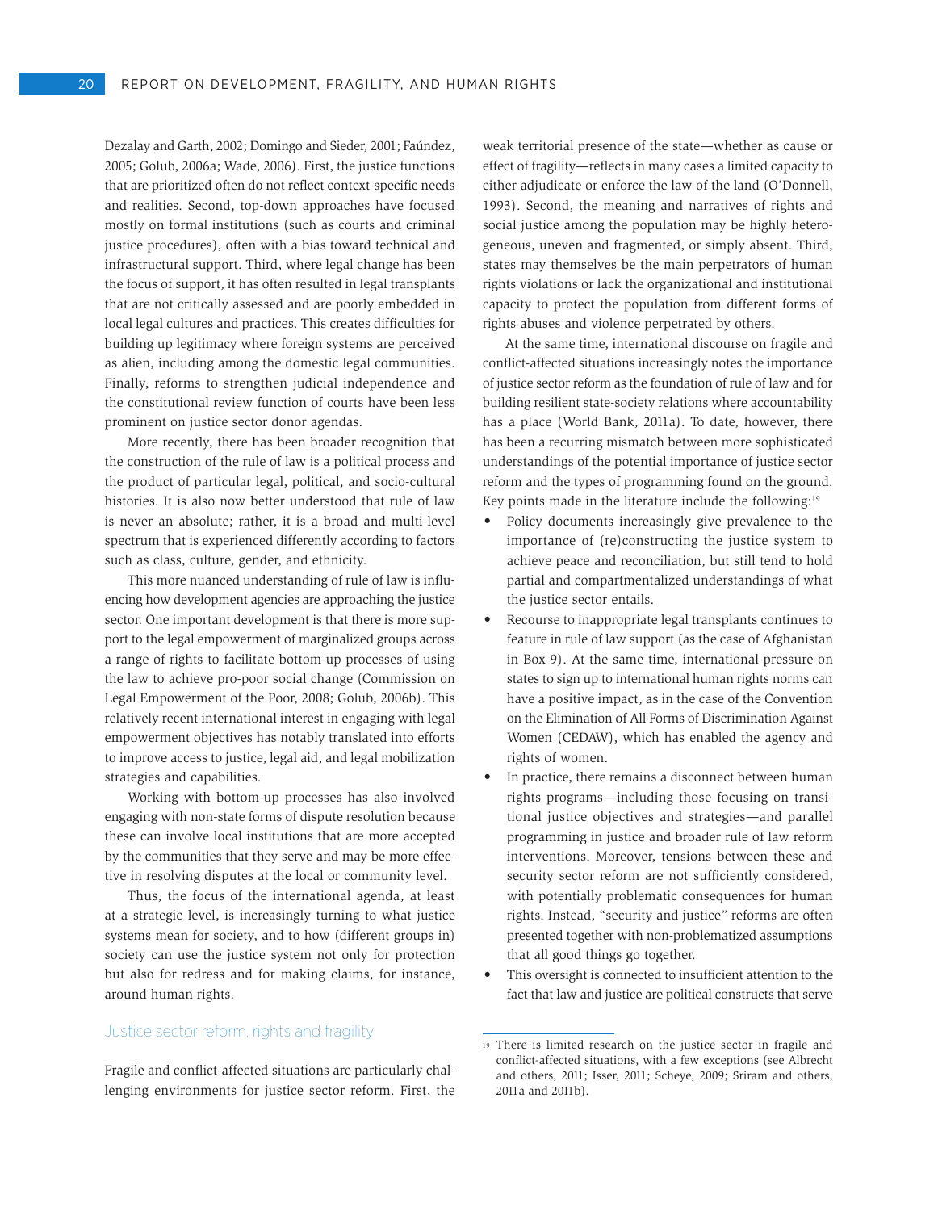Dezalay and Garth, 2002; Domingo and Sieder, 2001; Faúndez, 2005; Golub, 2006a; Wade, 2006). First, the justice functions that are prioritized often do not reflect context-specific needs and realities. Second, top-down approaches have focused mostly on formal institutions (such as courts and criminal justice procedures), often with a bias toward technical and infrastructural support. Third, where legal change has been the focus of support, it has often resulted in legal transplants that are not critically assessed and are poorly embedded in local legal cultures and practices. This creates difficulties for building up legitimacy where foreign systems are perceived as alien, including among the domestic legal communities. Finally, reforms to strengthen judicial independence and the constitutional review function of courts have been less prominent on justice sector donor agendas.

More recently, there has been broader recognition that the construction of the rule of law is a political process and the product of particular legal, political, and socio-cultural histories. It is also now better understood that rule of law is never an absolute; rather, it is a broad and multi-level spectrum that is experienced differently according to factors such as class, culture, gender, and ethnicity.

This more nuanced understanding of rule of law is influencing how development agencies are approaching the justice sector. One important development is that there is more support to the legal empowerment of marginalized groups across a range of rights to facilitate bottom-up processes of using the law to achieve pro-poor social change (Commission on Legal Empowerment of the Poor, 2008; Golub, 2006b). This relatively recent international interest in engaging with legal empowerment objectives has notably translated into efforts to improve access to justice, legal aid, and legal mobilization strategies and capabilities.

Working with bottom-up processes has also involved engaging with non-state forms of dispute resolution because these can involve local institutions that are more accepted by the communities that they serve and may be more effective in resolving disputes at the local or community level.

Thus, the focus of the international agenda, at least at a strategic level, is increasingly turning to what justice systems mean for society, and to how (different groups in) society can use the justice system not only for protection but also for redress and for making claims, for instance, around human rights.

#### Justice sector reform, rights and fragility

Fragile and conflict-affected situations are particularly challenging environments for justice sector reform. First, the weak territorial presence of the state—whether as cause or effect of fragility—reflects in many cases a limited capacity to either adjudicate or enforce the law of the land (O'Donnell, 1993). Second, the meaning and narratives of rights and social justice among the population may be highly heterogeneous, uneven and fragmented, or simply absent. Third, states may themselves be the main perpetrators of human rights violations or lack the organizational and institutional capacity to protect the population from different forms of rights abuses and violence perpetrated by others.

At the same time, international discourse on fragile and conflict-affected situations increasingly notes the importance of justice sector reform as the foundation of rule of law and for building resilient state-society relations where accountability has a place (World Bank, 2011a). To date, however, there has been a recurring mismatch between more sophisticated understandings of the potential importance of justice sector reform and the types of programming found on the ground. Key points made in the literature include the following:<sup>19</sup>

- Policy documents increasingly give prevalence to the importance of (re)constructing the justice system to achieve peace and reconciliation, but still tend to hold partial and compartmentalized understandings of what the justice sector entails.
- • Recourse to inappropriate legal transplants continues to feature in rule of law support (as the case of Afghanistan in Box 9). At the same time, international pressure on states to sign up to international human rights norms can have a positive impact, as in the case of the Convention on the Elimination of All Forms of Discrimination Against Women (CEDAW), which has enabled the agency and rights of women.
- In practice, there remains a disconnect between human rights programs—including those focusing on transitional justice objectives and strategies—and parallel programming in justice and broader rule of law reform interventions. Moreover, tensions between these and security sector reform are not sufficiently considered, with potentially problematic consequences for human rights. Instead, "security and justice" reforms are often presented together with non-problematized assumptions that all good things go together.
- This oversight is connected to insufficient attention to the fact that law and justice are political constructs that serve

<sup>19</sup> There is limited research on the justice sector in fragile and conflict-affected situations, with a few exceptions (see Albrecht and others, 2011; Isser, 2011; Scheye, 2009; Sriram and others, 2011a and 2011b).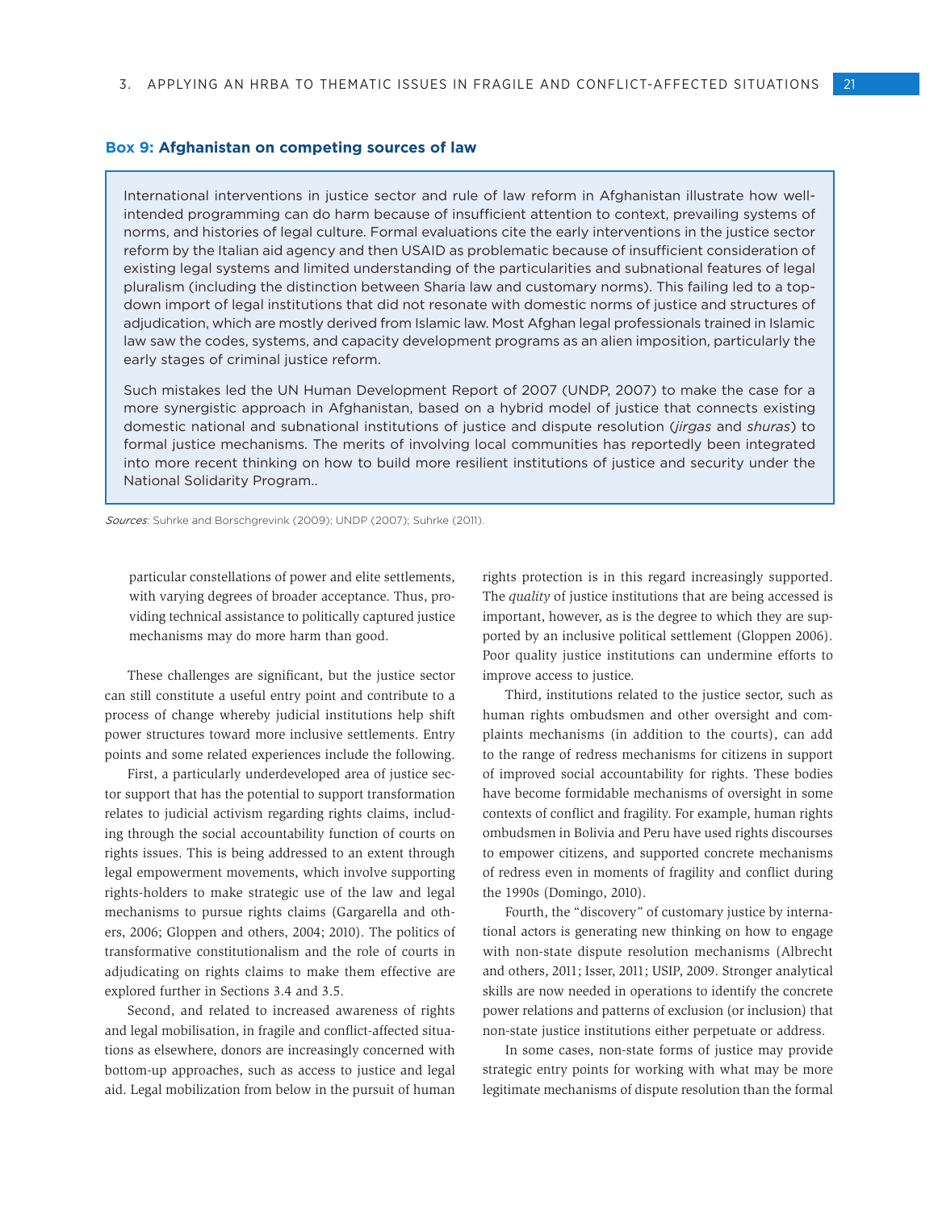#### **Box 9: Afghanistan on competing sources of law**

International interventions in justice sector and rule of law reform in Afghanistan illustrate how wellintended programming can do harm because of insufficient attention to context, prevailing systems of norms, and histories of legal culture. Formal evaluations cite the early interventions in the justice sector reform by the Italian aid agency and then USAID as problematic because of insufficient consideration of existing legal systems and limited understanding of the particularities and subnational features of legal pluralism (including the distinction between Sharia law and customary norms). This failing led to a topdown import of legal institutions that did not resonate with domestic norms of justice and structures of adjudication, which are mostly derived from Islamic law. Most Afghan legal professionals trained in Islamic law saw the codes, systems, and capacity development programs as an alien imposition, particularly the early stages of criminal justice reform.

Such mistakes led the UN Human Development Report of 2007 (UNDP, 2007) to make the case for a more synergistic approach in Afghanistan, based on a hybrid model of justice that connects existing domestic national and subnational institutions of justice and dispute resolution (*jirgas* and *shuras*) to formal justice mechanisms. The merits of involving local communities has reportedly been integrated into more recent thinking on how to build more resilient institutions of justice and security under the National Solidarity Program..

*Sources*: Suhrke and Borschgrevink (2009); UNDP (2007); Suhrke (2011).

particular constellations of power and elite settlements, with varying degrees of broader acceptance. Thus, providing technical assistance to politically captured justice mechanisms may do more harm than good.

These challenges are significant, but the justice sector can still constitute a useful entry point and contribute to a process of change whereby judicial institutions help shift power structures toward more inclusive settlements. Entry points and some related experiences include the following.

First, a particularly underdeveloped area of justice sector support that has the potential to support transformation relates to judicial activism regarding rights claims, including through the social accountability function of courts on rights issues. This is being addressed to an extent through legal empowerment movements, which involve supporting rights-holders to make strategic use of the law and legal mechanisms to pursue rights claims (Gargarella and others, 2006; Gloppen and others, 2004; 2010). The politics of transformative constitutionalism and the role of courts in adjudicating on rights claims to make them effective are explored further in Sections 3.4 and 3.5.

Second, and related to increased awareness of rights and legal mobilisation, in fragile and conflict-affected situations as elsewhere, donors are increasingly concerned with bottom-up approaches, such as access to justice and legal aid. Legal mobilization from below in the pursuit of human

rights protection is in this regard increasingly supported. The *quality* of justice institutions that are being accessed is important, however, as is the degree to which they are supported by an inclusive political settlement (Gloppen 2006). Poor quality justice institutions can undermine efforts to improve access to justice.

Third, institutions related to the justice sector, such as human rights ombudsmen and other oversight and complaints mechanisms (in addition to the courts), can add to the range of redress mechanisms for citizens in support of improved social accountability for rights. These bodies have become formidable mechanisms of oversight in some contexts of conflict and fragility. For example, human rights ombudsmen in Bolivia and Peru have used rights discourses to empower citizens, and supported concrete mechanisms of redress even in moments of fragility and conflict during the 1990s (Domingo, 2010).

Fourth, the "discovery" of customary justice by international actors is generating new thinking on how to engage with non-state dispute resolution mechanisms (Albrecht and others, 2011; Isser, 2011; USIP, 2009. Stronger analytical skills are now needed in operations to identify the concrete power relations and patterns of exclusion (or inclusion) that non-state justice institutions either perpetuate or address.

In some cases, non-state forms of justice may provide strategic entry points for working with what may be more legitimate mechanisms of dispute resolution than the formal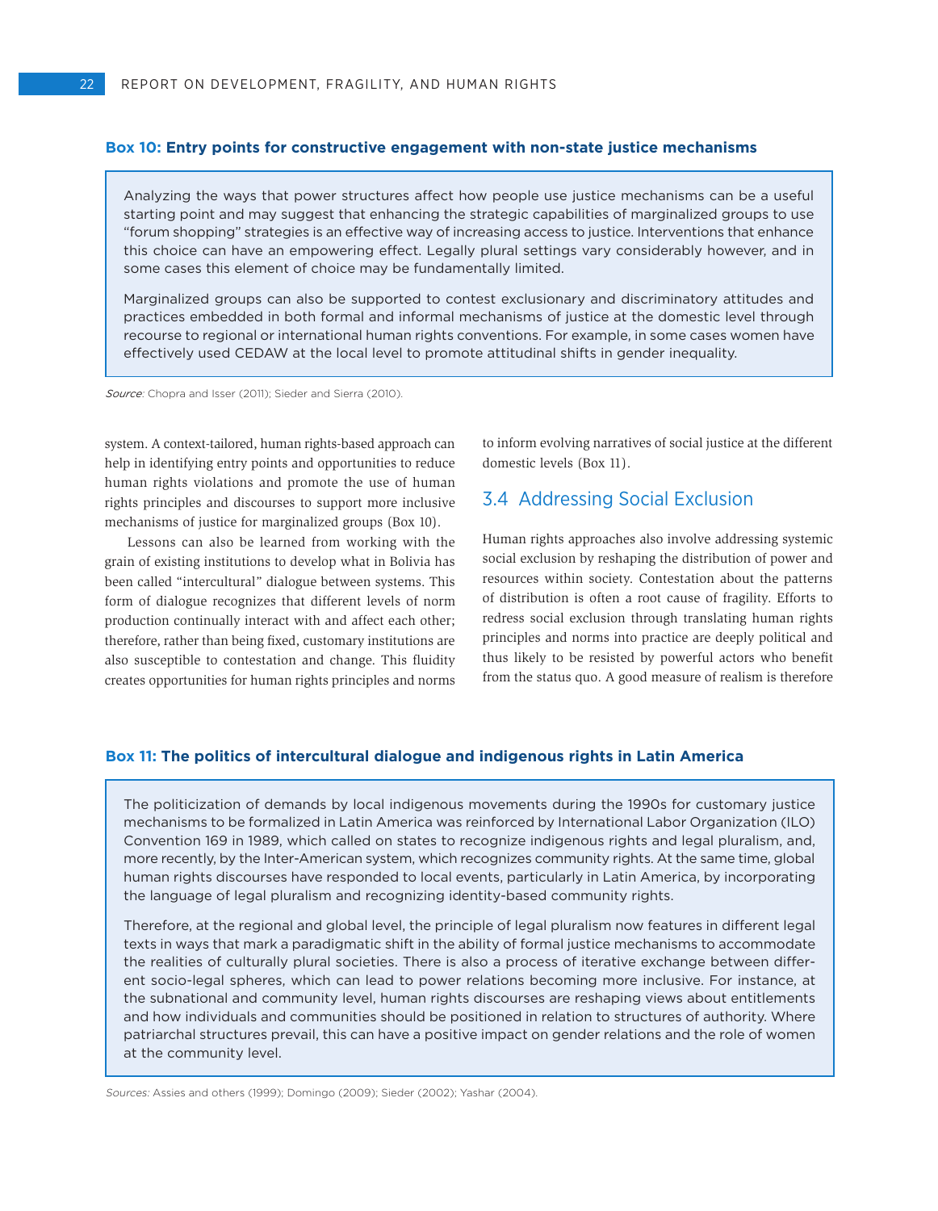#### **Box 10: Entry points for constructive engagement with non-state justice mechanisms**

Analyzing the ways that power structures affect how people use justice mechanisms can be a useful starting point and may suggest that enhancing the strategic capabilities of marginalized groups to use "forum shopping" strategies is an effective way of increasing access to justice. Interventions that enhance this choice can have an empowering effect. Legally plural settings vary considerably however, and in some cases this element of choice may be fundamentally limited.

Marginalized groups can also be supported to contest exclusionary and discriminatory attitudes and practices embedded in both formal and informal mechanisms of justice at the domestic level through recourse to regional or international human rights conventions. For example, in some cases women have effectively used CEDAW at the local level to promote attitudinal shifts in gender inequality.

*Source*: Chopra and Isser (2011); Sieder and Sierra (2010).

system. A context-tailored, human rights-based approach can help in identifying entry points and opportunities to reduce human rights violations and promote the use of human rights principles and discourses to support more inclusive mechanisms of justice for marginalized groups (Box 10).

Lessons can also be learned from working with the grain of existing institutions to develop what in Bolivia has been called "intercultural" dialogue between systems. This form of dialogue recognizes that different levels of norm production continually interact with and affect each other; therefore, rather than being fixed, customary institutions are also susceptible to contestation and change. This fluidity creates opportunities for human rights principles and norms to inform evolving narratives of social justice at the different domestic levels (Box 11).

# 3.4 Addressing Social Exclusion

Human rights approaches also involve addressing systemic social exclusion by reshaping the distribution of power and resources within society. Contestation about the patterns of distribution is often a root cause of fragility. Efforts to redress social exclusion through translating human rights principles and norms into practice are deeply political and thus likely to be resisted by powerful actors who benefit from the status quo. A good measure of realism is therefore

#### **Box 11: The politics of intercultural dialogue and indigenous rights in Latin America**

The politicization of demands by local indigenous movements during the 1990s for customary justice mechanisms to be formalized in Latin America was reinforced by International Labor Organization (ILO) Convention 169 in 1989, which called on states to recognize indigenous rights and legal pluralism, and, more recently, by the Inter-American system, which recognizes community rights. At the same time, global human rights discourses have responded to local events, particularly in Latin America, by incorporating the language of legal pluralism and recognizing identity-based community rights.

Therefore, at the regional and global level, the principle of legal pluralism now features in different legal texts in ways that mark a paradigmatic shift in the ability of formal justice mechanisms to accommodate the realities of culturally plural societies. There is also a process of iterative exchange between different socio-legal spheres, which can lead to power relations becoming more inclusive. For instance, at the subnational and community level, human rights discourses are reshaping views about entitlements and how individuals and communities should be positioned in relation to structures of authority. Where patriarchal structures prevail, this can have a positive impact on gender relations and the role of women at the community level.

Sources: Assies and others (1999); Domingo (2009); Sieder (2002); Yashar (2004).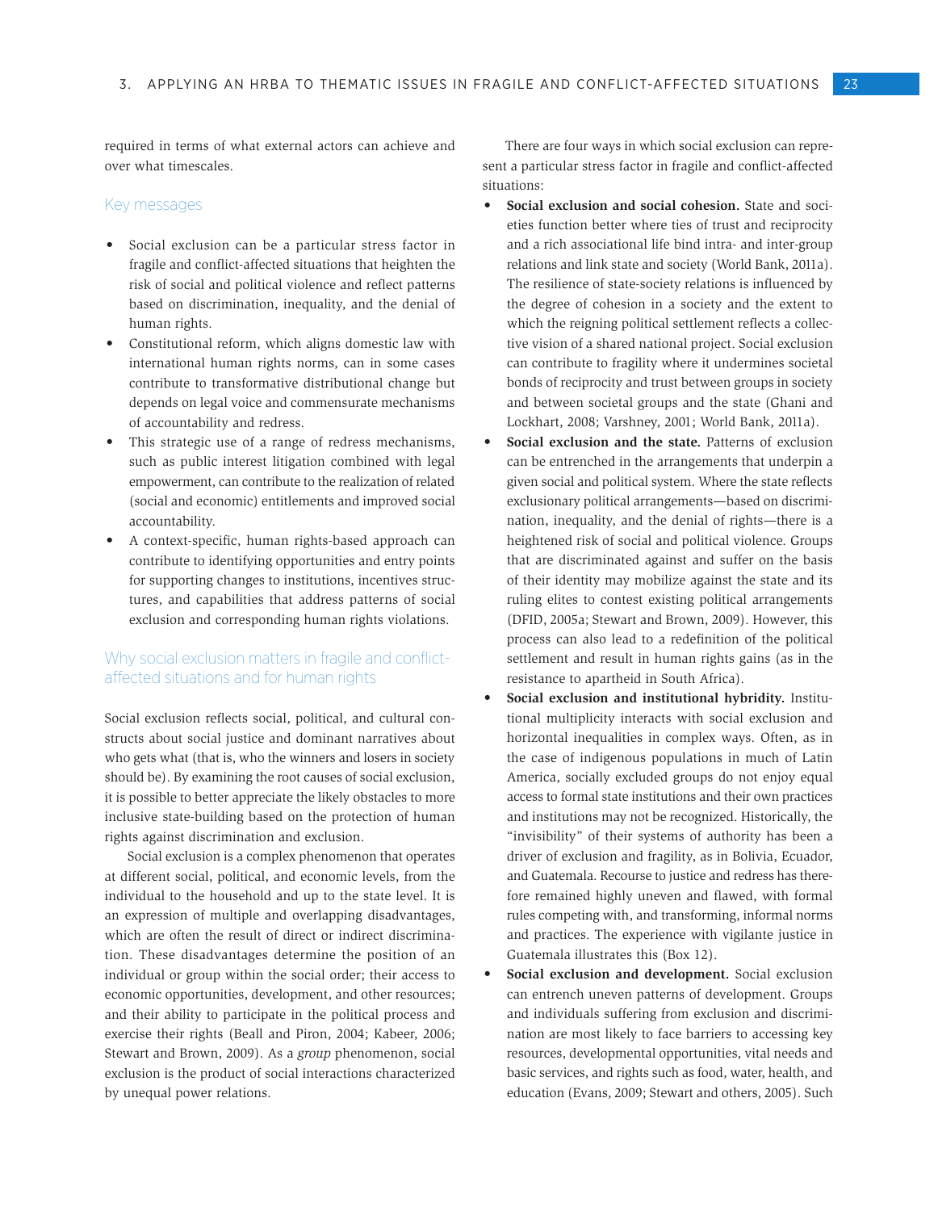required in terms of what external actors can achieve and over what timescales.

#### Key messages

- Social exclusion can be a particular stress factor in fragile and conflict-affected situations that heighten the risk of social and political violence and reflect patterns based on discrimination, inequality, and the denial of human rights.
- Constitutional reform, which aligns domestic law with international human rights norms, can in some cases contribute to transformative distributional change but depends on legal voice and commensurate mechanisms of accountability and redress.
- This strategic use of a range of redress mechanisms, such as public interest litigation combined with legal empowerment, can contribute to the realization of related (social and economic) entitlements and improved social accountability.
- • A context-specific, human rights-based approach can contribute to identifying opportunities and entry points for supporting changes to institutions, incentives structures, and capabilities that address patterns of social exclusion and corresponding human rights violations.

# Why social exclusion matters in fragile and conflictaffected situations and for human rights

Social exclusion reflects social, political, and cultural constructs about social justice and dominant narratives about who gets what (that is, who the winners and losers in society should be). By examining the root causes of social exclusion, it is possible to better appreciate the likely obstacles to more inclusive state-building based on the protection of human rights against discrimination and exclusion.

Social exclusion is a complex phenomenon that operates at different social, political, and economic levels, from the individual to the household and up to the state level. It is an expression of multiple and overlapping disadvantages, which are often the result of direct or indirect discrimination. These disadvantages determine the position of an individual or group within the social order; their access to economic opportunities, development, and other resources; and their ability to participate in the political process and exercise their rights (Beall and Piron, 2004; Kabeer, 2006; Stewart and Brown, 2009). As a *group* phenomenon, social exclusion is the product of social interactions characterized by unequal power relations.

There are four ways in which social exclusion can represent a particular stress factor in fragile and conflict-affected situations:

- **Social exclusion and social cohesion.** State and societies function better where ties of trust and reciprocity and a rich associational life bind intra- and inter-group relations and link state and society (World Bank, 2011a). The resilience of state-society relations is influenced by the degree of cohesion in a society and the extent to which the reigning political settlement reflects a collective vision of a shared national project. Social exclusion can contribute to fragility where it undermines societal bonds of reciprocity and trust between groups in society and between societal groups and the state (Ghani and Lockhart, 2008; Varshney, 2001; World Bank, 2011a).
- **Social exclusion and the state.** Patterns of exclusion can be entrenched in the arrangements that underpin a given social and political system. Where the state reflects exclusionary political arrangements—based on discrimination, inequality, and the denial of rights—there is a heightened risk of social and political violence. Groups that are discriminated against and suffer on the basis of their identity may mobilize against the state and its ruling elites to contest existing political arrangements (DFID, 2005a; Stewart and Brown, 2009). However, this process can also lead to a redefinition of the political settlement and result in human rights gains (as in the resistance to apartheid in South Africa).
- Social exclusion and institutional hybridity. Institutional multiplicity interacts with social exclusion and horizontal inequalities in complex ways. Often, as in the case of indigenous populations in much of Latin America, socially excluded groups do not enjoy equal access to formal state institutions and their own practices and institutions may not be recognized. Historically, the "invisibility" of their systems of authority has been a driver of exclusion and fragility, as in Bolivia, Ecuador, and Guatemala. Recourse to justice and redress has therefore remained highly uneven and flawed, with formal rules competing with, and transforming, informal norms and practices. The experience with vigilante justice in Guatemala illustrates this (Box 12).
- Social exclusion and development. Social exclusion can entrench uneven patterns of development. Groups and individuals suffering from exclusion and discrimination are most likely to face barriers to accessing key resources, developmental opportunities, vital needs and basic services, and rights such as food, water, health, and education (Evans, 2009; Stewart and others, 2005). Such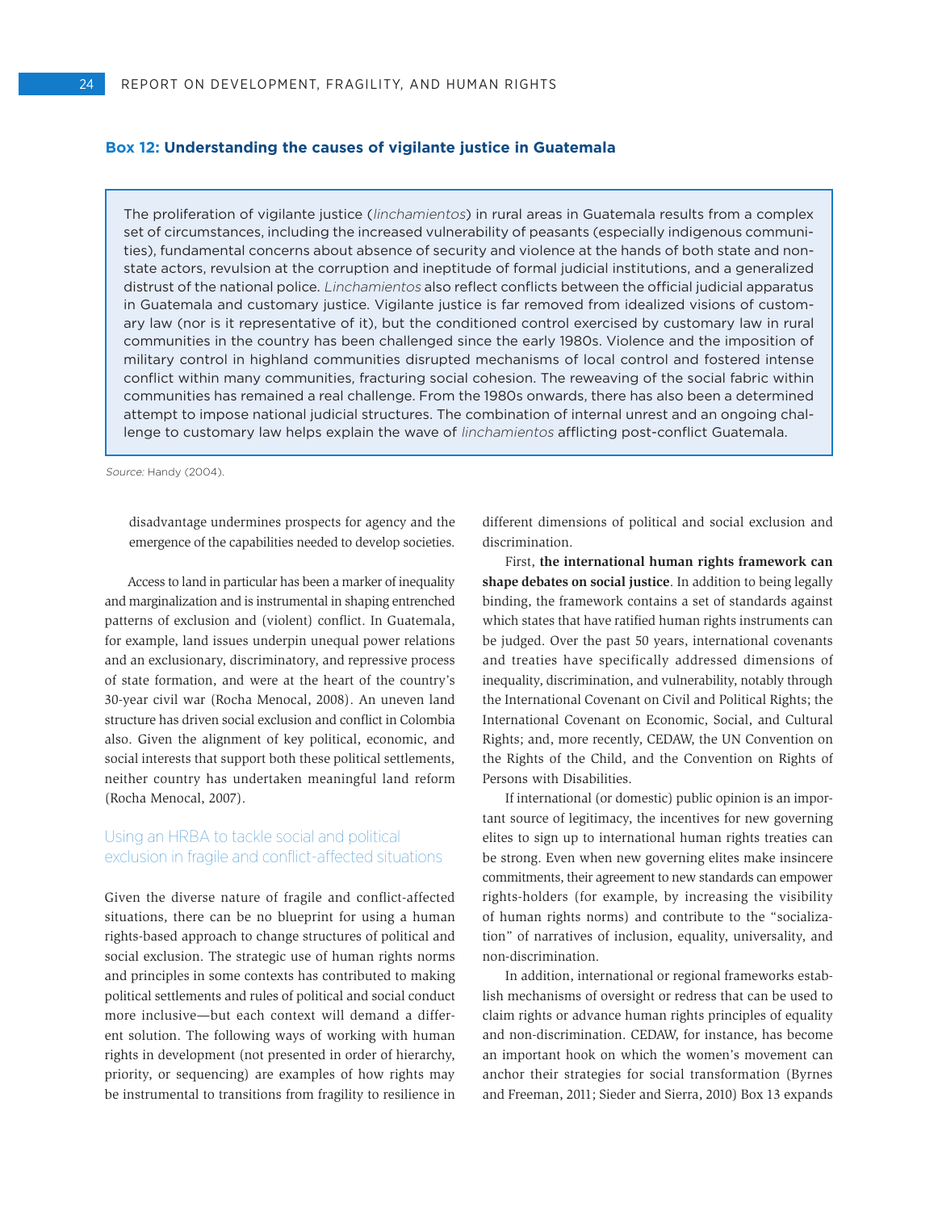#### **Box 12: Understanding the causes of vigilante justice in Guatemala**

The proliferation of vigilante justice (linchamientos) in rural areas in Guatemala results from a complex set of circumstances, including the increased vulnerability of peasants (especially indigenous communities), fundamental concerns about absence of security and violence at the hands of both state and nonstate actors, revulsion at the corruption and ineptitude of formal judicial institutions, and a generalized distrust of the national police. Linchamientos also reflect conflicts between the official judicial apparatus in Guatemala and customary justice. Vigilante justice is far removed from idealized visions of customary law (nor is it representative of it), but the conditioned control exercised by customary law in rural communities in the country has been challenged since the early 1980s. Violence and the imposition of military control in highland communities disrupted mechanisms of local control and fostered intense conflict within many communities, fracturing social cohesion. The reweaving of the social fabric within communities has remained a real challenge. From the 1980s onwards, there has also been a determined attempt to impose national judicial structures. The combination of internal unrest and an ongoing challenge to customary law helps explain the wave of linchamientos afflicting post-conflict Guatemala.

Source: Handy (2004).

disadvantage undermines prospects for agency and the emergence of the capabilities needed to develop societies.

Access to land in particular has been a marker of inequality and marginalization and is instrumental in shaping entrenched patterns of exclusion and (violent) conflict. In Guatemala, for example, land issues underpin unequal power relations and an exclusionary, discriminatory, and repressive process of state formation, and were at the heart of the country's 30-year civil war (Rocha Menocal, 2008). An uneven land structure has driven social exclusion and conflict in Colombia also. Given the alignment of key political, economic, and social interests that support both these political settlements, neither country has undertaken meaningful land reform (Rocha Menocal, 2007).

## Using an HRBA to tackle social and political exclusion in fragile and conflict-affected situations

Given the diverse nature of fragile and conflict-affected situations, there can be no blueprint for using a human rights-based approach to change structures of political and social exclusion. The strategic use of human rights norms and principles in some contexts has contributed to making political settlements and rules of political and social conduct more inclusive—but each context will demand a different solution. The following ways of working with human rights in development (not presented in order of hierarchy, priority, or sequencing) are examples of how rights may be instrumental to transitions from fragility to resilience in different dimensions of political and social exclusion and discrimination.

First, **the international human rights framework can shape debates on social justice**. In addition to being legally binding, the framework contains a set of standards against which states that have ratified human rights instruments can be judged. Over the past 50 years, international covenants and treaties have specifically addressed dimensions of inequality, discrimination, and vulnerability, notably through the International Covenant on Civil and Political Rights; the International Covenant on Economic, Social, and Cultural Rights; and, more recently, CEDAW, the UN Convention on the Rights of the Child, and the Convention on Rights of Persons with Disabilities.

If international (or domestic) public opinion is an important source of legitimacy, the incentives for new governing elites to sign up to international human rights treaties can be strong. Even when new governing elites make insincere commitments, their agreement to new standards can empower rights-holders (for example, by increasing the visibility of human rights norms) and contribute to the "socialization" of narratives of inclusion, equality, universality, and non-discrimination.

In addition, international or regional frameworks establish mechanisms of oversight or redress that can be used to claim rights or advance human rights principles of equality and non-discrimination. CEDAW, for instance, has become an important hook on which the women's movement can anchor their strategies for social transformation (Byrnes and Freeman, 2011; Sieder and Sierra, 2010) Box 13 expands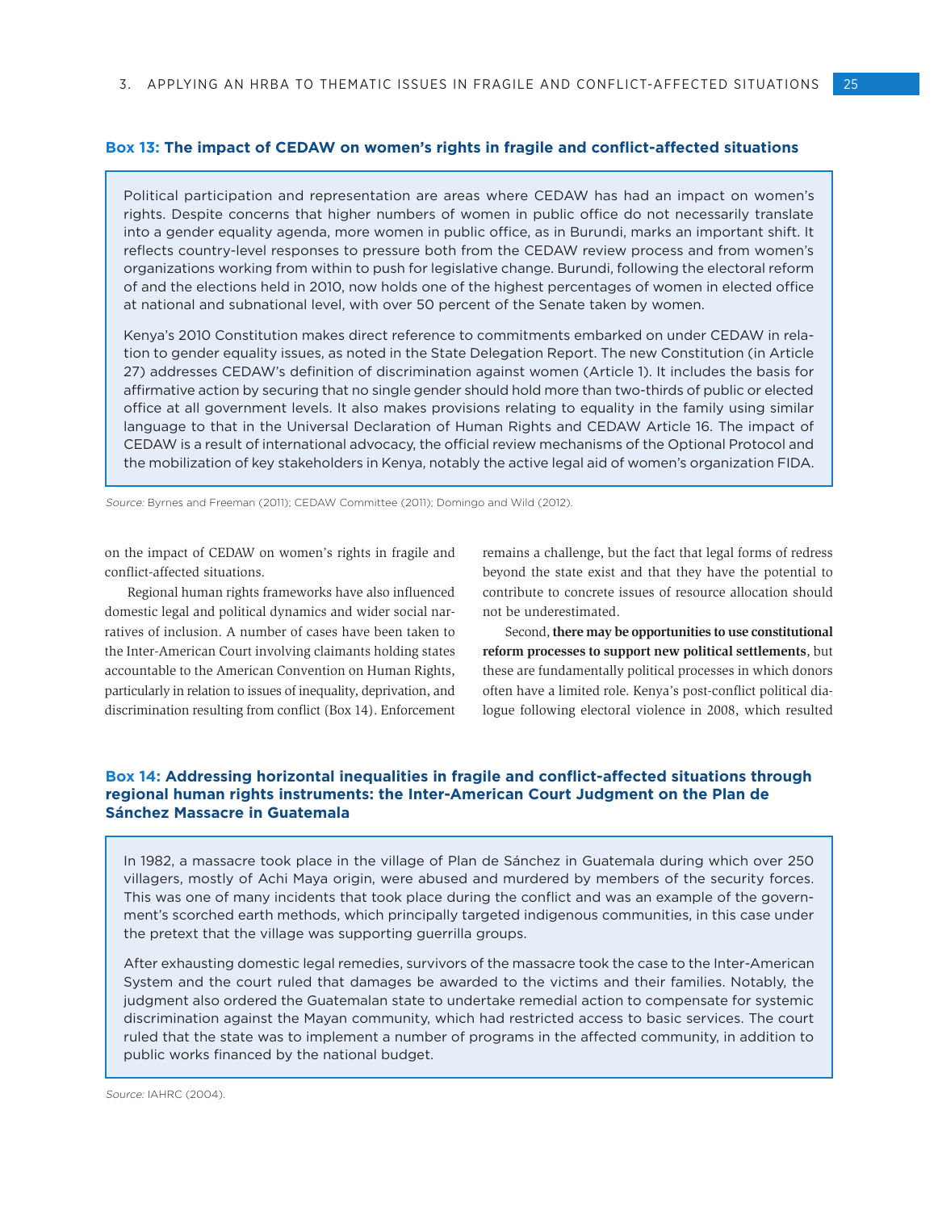#### **Box 13: The impact of CEDAW on women's rights in fragile and conflict-affected situations**

Political participation and representation are areas where CEDAW has had an impact on women's rights. Despite concerns that higher numbers of women in public office do not necessarily translate into a gender equality agenda, more women in public office, as in Burundi, marks an important shift. It reflects country-level responses to pressure both from the CEDAW review process and from women's organizations working from within to push for legislative change. Burundi, following the electoral reform of and the elections held in 2010, now holds one of the highest percentages of women in elected office at national and subnational level, with over 50 percent of the Senate taken by women.

Kenya's 2010 Constitution makes direct reference to commitments embarked on under CEDAW in relation to gender equality issues, as noted in the State Delegation Report. The new Constitution (in Article 27) addresses CEDAW's definition of discrimination against women (Article 1). It includes the basis for affirmative action by securing that no single gender should hold more than two-thirds of public or elected office at all government levels. It also makes provisions relating to equality in the family using similar language to that in the Universal Declaration of Human Rights and CEDAW Article 16. The impact of CEDAW is a result of international advocacy, the official review mechanisms of the Optional Protocol and the mobilization of key stakeholders in Kenya, notably the active legal aid of women's organization FIDA.

Source: Byrnes and Freeman (2011); CEDAW Committee (2011); Domingo and Wild (2012).

on the impact of CEDAW on women's rights in fragile and conflict-affected situations.

Regional human rights frameworks have also influenced domestic legal and political dynamics and wider social narratives of inclusion. A number of cases have been taken to the Inter-American Court involving claimants holding states accountable to the American Convention on Human Rights, particularly in relation to issues of inequality, deprivation, and discrimination resulting from conflict (Box 14). Enforcement

remains a challenge, but the fact that legal forms of redress beyond the state exist and that they have the potential to contribute to concrete issues of resource allocation should not be underestimated.

Second, **there may be opportunities to use constitutional reform processes to support new political settlements**, but these are fundamentally political processes in which donors often have a limited role. Kenya's post-conflict political dialogue following electoral violence in 2008, which resulted

#### **Box 14: Addressing horizontal inequalities in fragile and conflict-affected situations through regional human rights instruments: the Inter-American Court Judgment on the Plan de Sánchez Massacre in Guatemala**

In 1982, a massacre took place in the village of Plan de Sánchez in Guatemala during which over 250 villagers, mostly of Achi Maya origin, were abused and murdered by members of the security forces. This was one of many incidents that took place during the conflict and was an example of the government's scorched earth methods, which principally targeted indigenous communities, in this case under the pretext that the village was supporting guerrilla groups.

After exhausting domestic legal remedies, survivors of the massacre took the case to the Inter-American System and the court ruled that damages be awarded to the victims and their families. Notably, the judgment also ordered the Guatemalan state to undertake remedial action to compensate for systemic discrimination against the Mayan community, which had restricted access to basic services. The court ruled that the state was to implement a number of programs in the affected community, in addition to public works financed by the national budget.

Source: IAHRC (2004).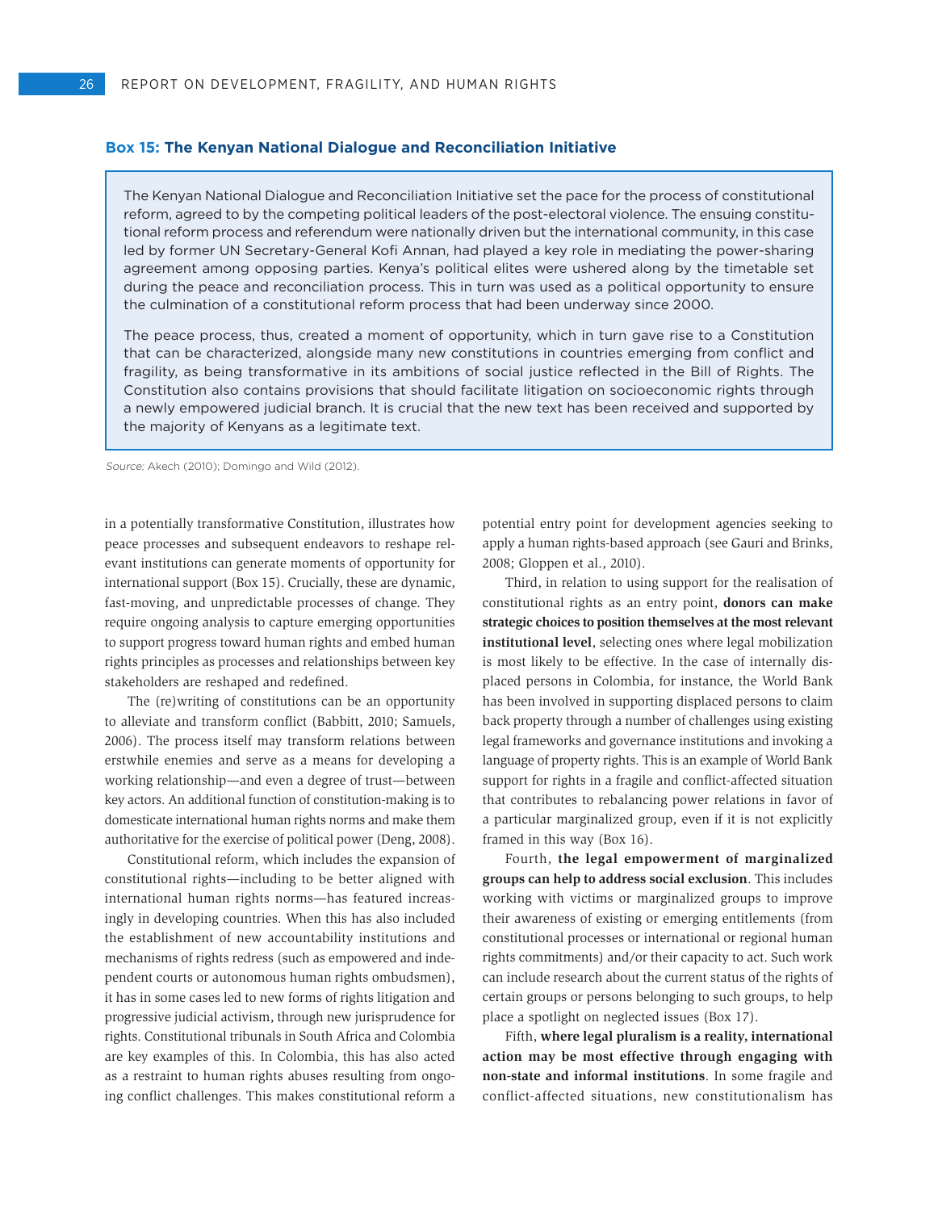#### **Box 15: The Kenyan National Dialogue and Reconciliation Initiative**

The Kenyan National Dialogue and Reconciliation Initiative set the pace for the process of constitutional reform, agreed to by the competing political leaders of the post-electoral violence. The ensuing constitutional reform process and referendum were nationally driven but the international community, in this case led by former UN Secretary-General Kofi Annan, had played a key role in mediating the power-sharing agreement among opposing parties. Kenya's political elites were ushered along by the timetable set during the peace and reconciliation process. This in turn was used as a political opportunity to ensure the culmination of a constitutional reform process that had been underway since 2000.

The peace process, thus, created a moment of opportunity, which in turn gave rise to a Constitution that can be characterized, alongside many new constitutions in countries emerging from conflict and fragility, as being transformative in its ambitions of social justice reflected in the Bill of Rights. The Constitution also contains provisions that should facilitate litigation on socioeconomic rights through a newly empowered judicial branch. It is crucial that the new text has been received and supported by the majority of Kenyans as a legitimate text.

Source: Akech (2010); Domingo and Wild (2012).

in a potentially transformative Constitution, illustrates how peace processes and subsequent endeavors to reshape relevant institutions can generate moments of opportunity for international support (Box 15). Crucially, these are dynamic, fast-moving, and unpredictable processes of change. They require ongoing analysis to capture emerging opportunities to support progress toward human rights and embed human rights principles as processes and relationships between key stakeholders are reshaped and redefined.

The (re)writing of constitutions can be an opportunity to alleviate and transform conflict (Babbitt, 2010; Samuels, 2006). The process itself may transform relations between erstwhile enemies and serve as a means for developing a working relationship—and even a degree of trust—between key actors. An additional function of constitution-making is to domesticate international human rights norms and make them authoritative for the exercise of political power (Deng, 2008).

Constitutional reform, which includes the expansion of constitutional rights—including to be better aligned with international human rights norms—has featured increasingly in developing countries. When this has also included the establishment of new accountability institutions and mechanisms of rights redress (such as empowered and independent courts or autonomous human rights ombudsmen), it has in some cases led to new forms of rights litigation and progressive judicial activism, through new jurisprudence for rights. Constitutional tribunals in South Africa and Colombia are key examples of this. In Colombia, this has also acted as a restraint to human rights abuses resulting from ongoing conflict challenges. This makes constitutional reform a

potential entry point for development agencies seeking to apply a human rights-based approach (see Gauri and Brinks, 2008; Gloppen et al., 2010).

Third, in relation to using support for the realisation of constitutional rights as an entry point, **donors can make strategic choices to position themselves at the most relevant institutional level**, selecting ones where legal mobilization is most likely to be effective. In the case of internally displaced persons in Colombia, for instance, the World Bank has been involved in supporting displaced persons to claim back property through a number of challenges using existing legal frameworks and governance institutions and invoking a language of property rights. This is an example of World Bank support for rights in a fragile and conflict-affected situation that contributes to rebalancing power relations in favor of a particular marginalized group, even if it is not explicitly framed in this way (Box 16).

Fourth, **the legal empowerment of marginalized groups can help to address social exclusion**. This includes working with victims or marginalized groups to improve their awareness of existing or emerging entitlements (from constitutional processes or international or regional human rights commitments) and/or their capacity to act. Such work can include research about the current status of the rights of certain groups or persons belonging to such groups, to help place a spotlight on neglected issues (Box 17).

Fifth, **where legal pluralism is a reality, international action may be most effective through engaging with non-state and informal institutions**. In some fragile and conflict-affected situations, new constitutionalism has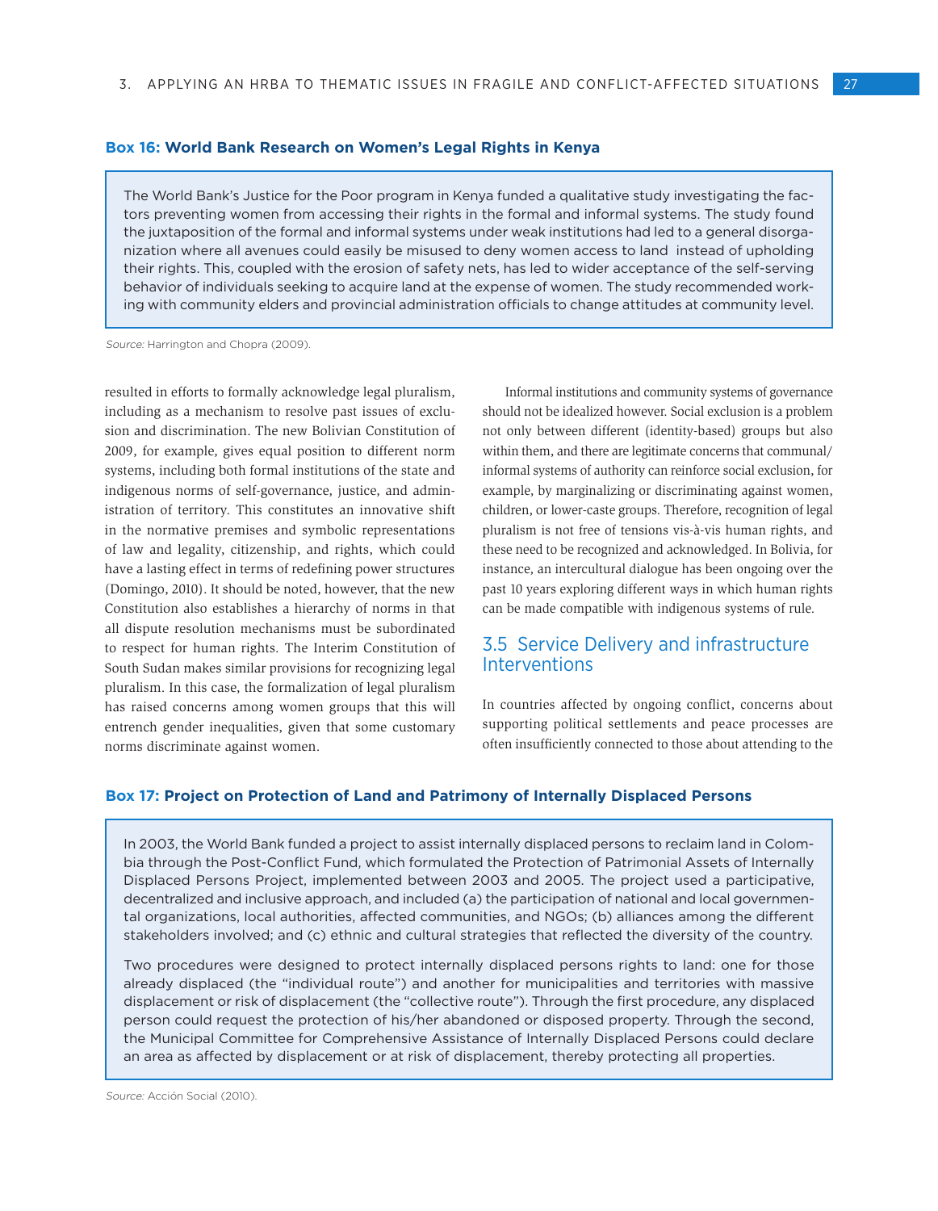The World Bank's Justice for the Poor program in Kenya funded a qualitative study investigating the factors preventing women from accessing their rights in the formal and informal systems. The study found the juxtaposition of the formal and informal systems under weak institutions had led to a general disorganization where all avenues could easily be misused to deny women access to land instead of upholding their rights. This, coupled with the erosion of safety nets, has led to wider acceptance of the self-serving behavior of individuals seeking to acquire land at the expense of women. The study recommended working with community elders and provincial administration officials to change attitudes at community level.

Source: Harrington and Chopra (2009).

resulted in efforts to formally acknowledge legal pluralism, including as a mechanism to resolve past issues of exclusion and discrimination. The new Bolivian Constitution of 2009, for example, gives equal position to different norm systems, including both formal institutions of the state and indigenous norms of self-governance, justice, and administration of territory. This constitutes an innovative shift in the normative premises and symbolic representations of law and legality, citizenship, and rights, which could have a lasting effect in terms of redefining power structures (Domingo, 2010). It should be noted, however, that the new Constitution also establishes a hierarchy of norms in that all dispute resolution mechanisms must be subordinated to respect for human rights. The Interim Constitution of South Sudan makes similar provisions for recognizing legal pluralism. In this case, the formalization of legal pluralism has raised concerns among women groups that this will entrench gender inequalities, given that some customary norms discriminate against women.

Informal institutions and community systems of governance should not be idealized however. Social exclusion is a problem not only between different (identity-based) groups but also within them, and there are legitimate concerns that communal/ informal systems of authority can reinforce social exclusion, for example, by marginalizing or discriminating against women, children, or lower-caste groups. Therefore, recognition of legal pluralism is not free of tensions vis-à-vis human rights, and these need to be recognized and acknowledged. In Bolivia, for instance, an intercultural dialogue has been ongoing over the past 10 years exploring different ways in which human rights can be made compatible with indigenous systems of rule.

# 3.5 Service Delivery and infrastructure Interventions

In countries affected by ongoing conflict, concerns about supporting political settlements and peace processes are often insufficiently connected to those about attending to the

#### **Box 17: Project on Protection of Land and Patrimony of Internally Displaced Persons**

In 2003, the World Bank funded a project to assist internally displaced persons to reclaim land in Colombia through the Post-Conflict Fund, which formulated the Protection of Patrimonial Assets of Internally Displaced Persons Project, implemented between 2003 and 2005. The project used a participative, decentralized and inclusive approach, and included (a) the participation of national and local governmental organizations, local authorities, affected communities, and NGOs; (b) alliances among the different stakeholders involved; and (c) ethnic and cultural strategies that reflected the diversity of the country.

Two procedures were designed to protect internally displaced persons rights to land: one for those already displaced (the "individual route") and another for municipalities and territories with massive displacement or risk of displacement (the "collective route"). Through the first procedure, any displaced person could request the protection of his/her abandoned or disposed property. Through the second, the Municipal Committee for Comprehensive Assistance of Internally Displaced Persons could declare an area as affected by displacement or at risk of displacement, thereby protecting all properties.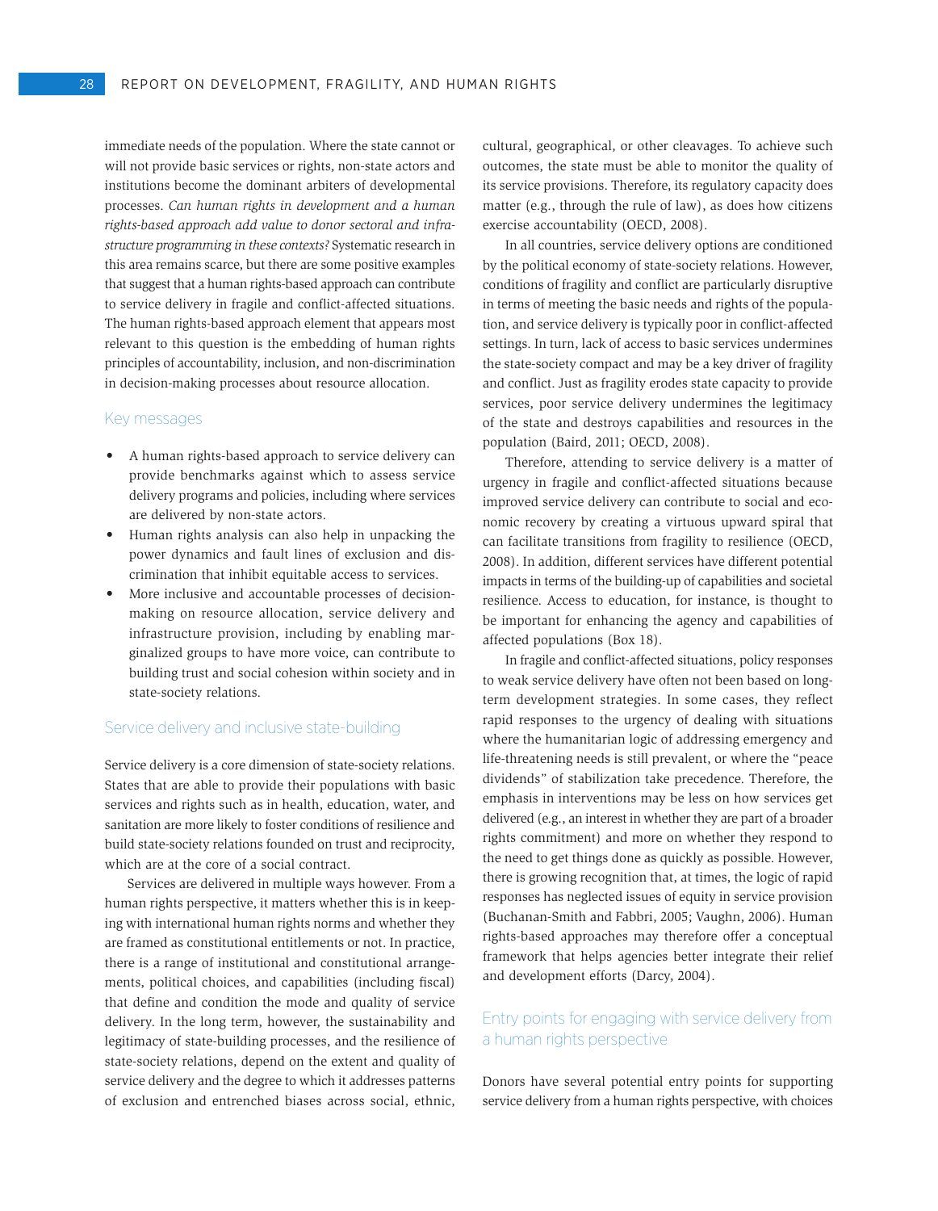immediate needs of the population. Where the state cannot or will not provide basic services or rights, non-state actors and institutions become the dominant arbiters of developmental processes. *Can human rights in development and a human rights-based approach add value to donor sectoral and infrastructure programming in these contexts?* Systematic research in this area remains scarce, but there are some positive examples that suggest that a human rights-based approach can contribute to service delivery in fragile and conflict-affected situations. The human rights-based approach element that appears most relevant to this question is the embedding of human rights principles of accountability, inclusion, and non-discrimination in decision-making processes about resource allocation.

#### Key messages

- • A human rights-based approach to service delivery can provide benchmarks against which to assess service delivery programs and policies, including where services are delivered by non-state actors.
- • Human rights analysis can also help in unpacking the power dynamics and fault lines of exclusion and discrimination that inhibit equitable access to services.
- More inclusive and accountable processes of decisionmaking on resource allocation, service delivery and infrastructure provision, including by enabling marginalized groups to have more voice, can contribute to building trust and social cohesion within society and in state-society relations.

#### Service delivery and inclusive state-building

Service delivery is a core dimension of state-society relations. States that are able to provide their populations with basic services and rights such as in health, education, water, and sanitation are more likely to foster conditions of resilience and build state-society relations founded on trust and reciprocity, which are at the core of a social contract.

Services are delivered in multiple ways however. From a human rights perspective, it matters whether this is in keeping with international human rights norms and whether they are framed as constitutional entitlements or not. In practice, there is a range of institutional and constitutional arrangements, political choices, and capabilities (including fiscal) that define and condition the mode and quality of service delivery. In the long term, however, the sustainability and legitimacy of state-building processes, and the resilience of state-society relations, depend on the extent and quality of service delivery and the degree to which it addresses patterns of exclusion and entrenched biases across social, ethnic,

cultural, geographical, or other cleavages. To achieve such outcomes, the state must be able to monitor the quality of its service provisions. Therefore, its regulatory capacity does matter (e.g., through the rule of law), as does how citizens exercise accountability (OECD, 2008).

In all countries, service delivery options are conditioned by the political economy of state-society relations. However, conditions of fragility and conflict are particularly disruptive in terms of meeting the basic needs and rights of the population, and service delivery is typically poor in conflict-affected settings. In turn, lack of access to basic services undermines the state-society compact and may be a key driver of fragility and conflict. Just as fragility erodes state capacity to provide services, poor service delivery undermines the legitimacy of the state and destroys capabilities and resources in the population (Baird, 2011; OECD, 2008).

Therefore, attending to service delivery is a matter of urgency in fragile and conflict-affected situations because improved service delivery can contribute to social and economic recovery by creating a virtuous upward spiral that can facilitate transitions from fragility to resilience (OECD, 2008). In addition, different services have different potential impacts in terms of the building-up of capabilities and societal resilience. Access to education, for instance, is thought to be important for enhancing the agency and capabilities of affected populations (Box 18).

In fragile and conflict-affected situations, policy responses to weak service delivery have often not been based on longterm development strategies. In some cases, they reflect rapid responses to the urgency of dealing with situations where the humanitarian logic of addressing emergency and life-threatening needs is still prevalent, or where the "peace dividends" of stabilization take precedence. Therefore, the emphasis in interventions may be less on how services get delivered (e.g., an interest in whether they are part of a broader rights commitment) and more on whether they respond to the need to get things done as quickly as possible. However, there is growing recognition that, at times, the logic of rapid responses has neglected issues of equity in service provision (Buchanan-Smith and Fabbri, 2005; Vaughn, 2006). Human rights-based approaches may therefore offer a conceptual framework that helps agencies better integrate their relief and development efforts (Darcy, 2004).

# Entry points for engaging with service delivery from a human rights perspective

Donors have several potential entry points for supporting service delivery from a human rights perspective, with choices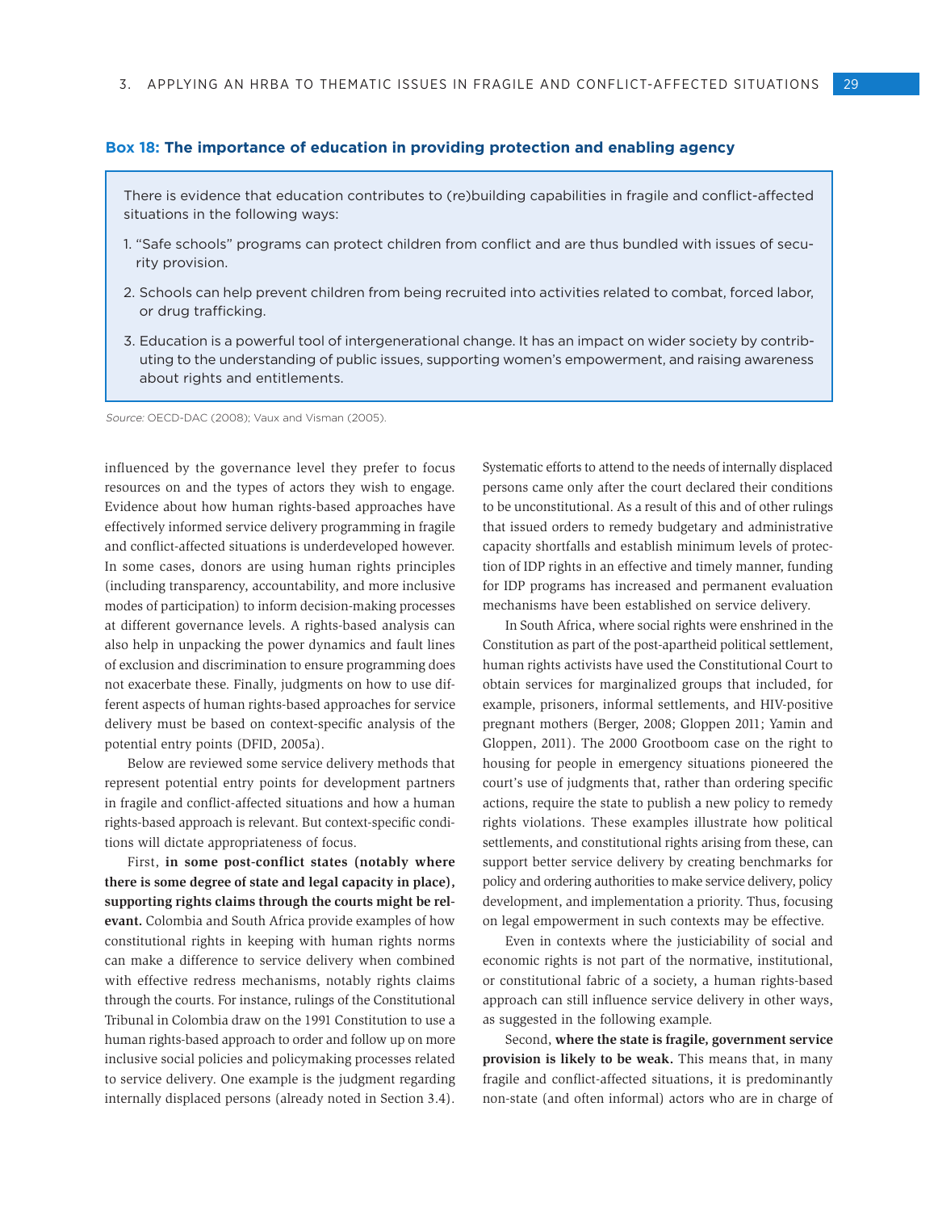#### **Box 18: The importance of education in providing protection and enabling agency**

There is evidence that education contributes to (re)building capabilities in fragile and conflict-affected situations in the following ways:

- 1. "Safe schools" programs can protect children from conflict and are thus bundled with issues of security provision.
- 2. Schools can help prevent children from being recruited into activities related to combat, forced labor, or drug trafficking.
- 3. Education is a powerful tool of intergenerational change. It has an impact on wider society by contributing to the understanding of public issues, supporting women's empowerment, and raising awareness about rights and entitlements.

Source: OECD-DAC (2008); Vaux and Visman (2005).

influenced by the governance level they prefer to focus resources on and the types of actors they wish to engage. Evidence about how human rights-based approaches have effectively informed service delivery programming in fragile and conflict-affected situations is underdeveloped however. In some cases, donors are using human rights principles (including transparency, accountability, and more inclusive modes of participation) to inform decision-making processes at different governance levels. A rights-based analysis can also help in unpacking the power dynamics and fault lines of exclusion and discrimination to ensure programming does not exacerbate these. Finally, judgments on how to use different aspects of human rights-based approaches for service delivery must be based on context-specific analysis of the potential entry points (DFID, 2005a).

Below are reviewed some service delivery methods that represent potential entry points for development partners in fragile and conflict-affected situations and how a human rights-based approach is relevant. But context-specific conditions will dictate appropriateness of focus.

First, **in some post-conflict states (notably where there is some degree of state and legal capacity in place), supporting rights claims through the courts might be relevant.** Colombia and South Africa provide examples of how constitutional rights in keeping with human rights norms can make a difference to service delivery when combined with effective redress mechanisms, notably rights claims through the courts. For instance, rulings of the Constitutional Tribunal in Colombia draw on the 1991 Constitution to use a human rights-based approach to order and follow up on more inclusive social policies and policymaking processes related to service delivery. One example is the judgment regarding internally displaced persons (already noted in Section 3.4).

Systematic efforts to attend to the needs of internally displaced persons came only after the court declared their conditions to be unconstitutional. As a result of this and of other rulings that issued orders to remedy budgetary and administrative capacity shortfalls and establish minimum levels of protection of IDP rights in an effective and timely manner, funding for IDP programs has increased and permanent evaluation mechanisms have been established on service delivery.

In South Africa, where social rights were enshrined in the Constitution as part of the post-apartheid political settlement, human rights activists have used the Constitutional Court to obtain services for marginalized groups that included, for example, prisoners, informal settlements, and HIV-positive pregnant mothers (Berger, 2008; Gloppen 2011; Yamin and Gloppen, 2011). The 2000 Grootboom case on the right to housing for people in emergency situations pioneered the court's use of judgments that, rather than ordering specific actions, require the state to publish a new policy to remedy rights violations. These examples illustrate how political settlements, and constitutional rights arising from these, can support better service delivery by creating benchmarks for policy and ordering authorities to make service delivery, policy development, and implementation a priority. Thus, focusing on legal empowerment in such contexts may be effective.

Even in contexts where the justiciability of social and economic rights is not part of the normative, institutional, or constitutional fabric of a society, a human rights-based approach can still influence service delivery in other ways, as suggested in the following example.

Second, **where the state is fragile, government service provision is likely to be weak.** This means that, in many fragile and conflict-affected situations, it is predominantly non-state (and often informal) actors who are in charge of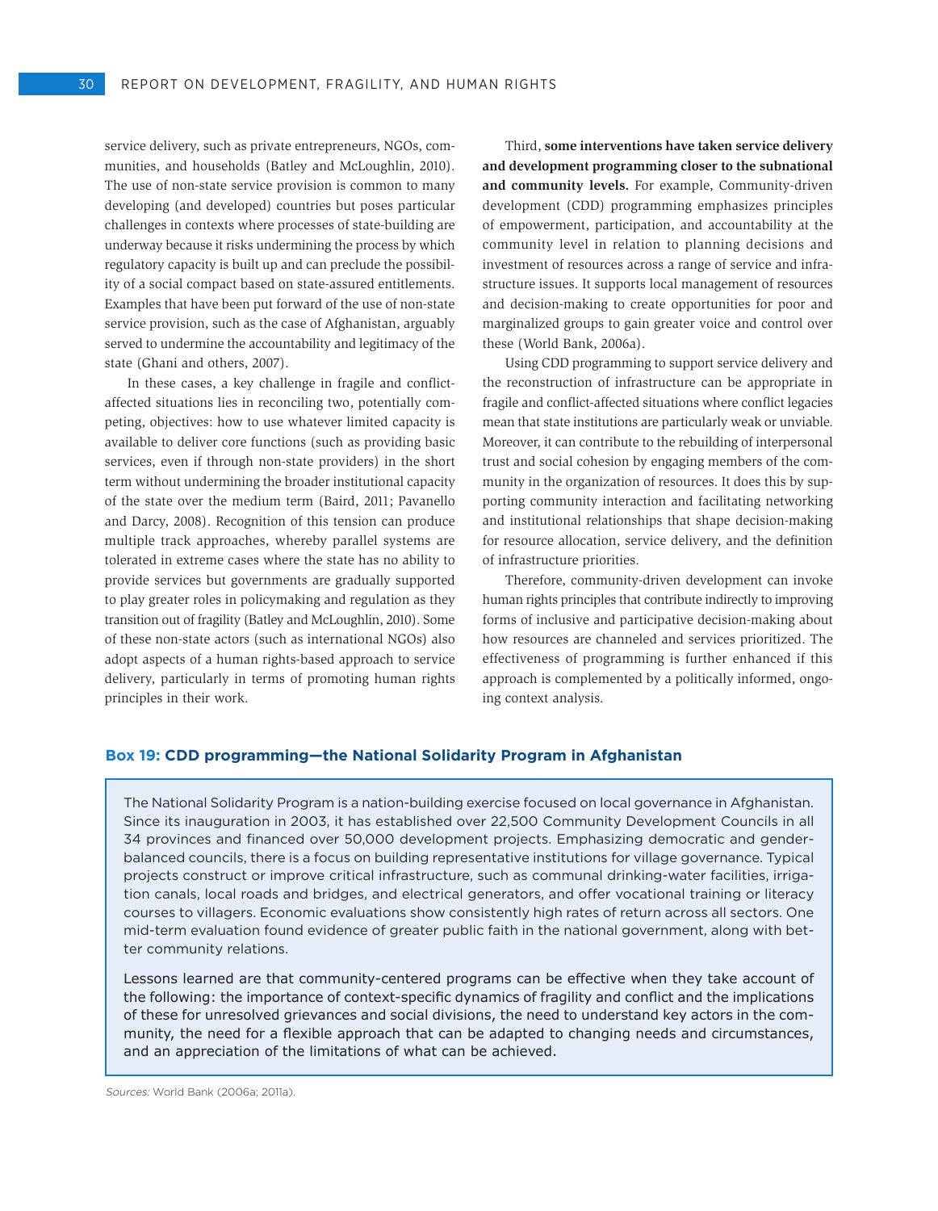service delivery, such as private entrepreneurs, NGOs, communities, and households (Batley and McLoughlin, 2010). The use of non-state service provision is common to many developing (and developed) countries but poses particular challenges in contexts where processes of state-building are underway because it risks undermining the process by which regulatory capacity is built up and can preclude the possibility of a social compact based on state-assured entitlements. Examples that have been put forward of the use of non-state service provision, such as the case of Afghanistan, arguably served to undermine the accountability and legitimacy of the state (Ghani and others, 2007).

In these cases, a key challenge in fragile and conflictaffected situations lies in reconciling two, potentially competing, objectives: how to use whatever limited capacity is available to deliver core functions (such as providing basic services, even if through non-state providers) in the short term without undermining the broader institutional capacity of the state over the medium term (Baird, 2011; Pavanello and Darcy, 2008). Recognition of this tension can produce multiple track approaches, whereby parallel systems are tolerated in extreme cases where the state has no ability to provide services but governments are gradually supported to play greater roles in policymaking and regulation as they transition out of fragility (Batley and McLoughlin, 2010). Some of these non-state actors (such as international NGOs) also adopt aspects of a human rights-based approach to service delivery, particularly in terms of promoting human rights principles in their work.

Third, **some interventions have taken service delivery and development programming closer to the subnational and community levels.** For example, Community-driven development (CDD) programming emphasizes principles of empowerment, participation, and accountability at the community level in relation to planning decisions and investment of resources across a range of service and infrastructure issues. It supports local management of resources and decision-making to create opportunities for poor and marginalized groups to gain greater voice and control over these (World Bank, 2006a).

Using CDD programming to support service delivery and the reconstruction of infrastructure can be appropriate in fragile and conflict-affected situations where conflict legacies mean that state institutions are particularly weak or unviable. Moreover, it can contribute to the rebuilding of interpersonal trust and social cohesion by engaging members of the community in the organization of resources. It does this by supporting community interaction and facilitating networking and institutional relationships that shape decision-making for resource allocation, service delivery, and the definition of infrastructure priorities.

Therefore, community-driven development can invoke human rights principles that contribute indirectly to improving forms of inclusive and participative decision-making about how resources are channeled and services prioritized. The effectiveness of programming is further enhanced if this approach is complemented by a politically informed, ongoing context analysis.

## **Box 19: CDD programming—the National Solidarity Program in Afghanistan**

The National Solidarity Program is a nation-building exercise focused on local governance in Afghanistan. Since its inauguration in 2003, it has established over 22,500 Community Development Councils in all 34 provinces and financed over 50,000 development projects. Emphasizing democratic and genderbalanced councils, there is a focus on building representative institutions for village governance. Typical projects construct or improve critical infrastructure, such as communal drinking-water facilities, irrigation canals, local roads and bridges, and electrical generators, and offer vocational training or literacy courses to villagers. Economic evaluations show consistently high rates of return across all sectors. One mid-term evaluation found evidence of greater public faith in the national government, along with better community relations.

Lessons learned are that community-centered programs can be effective when they take account of the following: the importance of context-specific dynamics of fragility and conflict and the implications of these for unresolved grievances and social divisions, the need to understand key actors in the community, the need for a flexible approach that can be adapted to changing needs and circumstances, and an appreciation of the limitations of what can be achieved.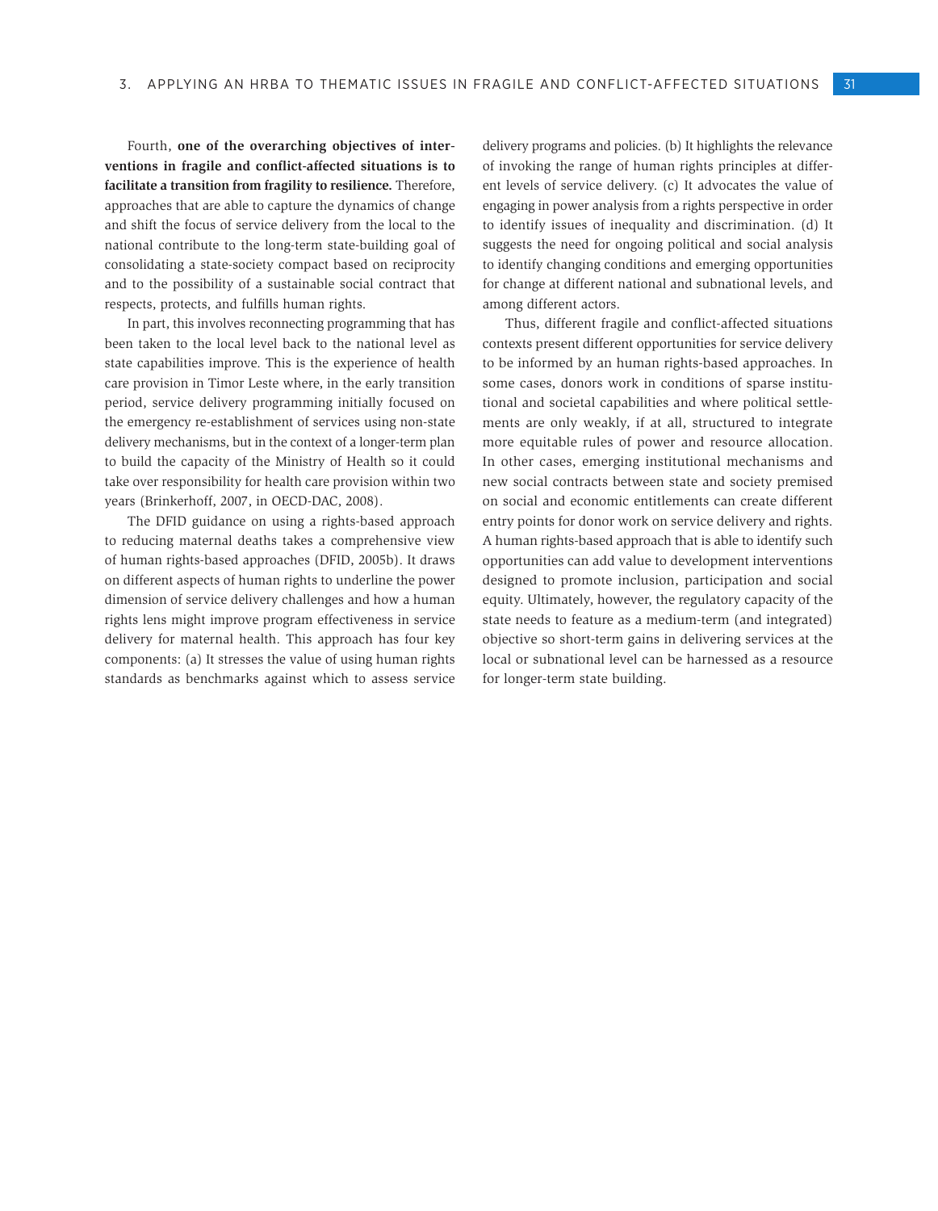Fourth, **one of the overarching objectives of interventions in fragile and conflict-affected situations is to facilitate a transition from fragility to resilience.** Therefore, approaches that are able to capture the dynamics of change and shift the focus of service delivery from the local to the national contribute to the long-term state-building goal of consolidating a state-society compact based on reciprocity and to the possibility of a sustainable social contract that respects, protects, and fulfills human rights.

In part, this involves reconnecting programming that has been taken to the local level back to the national level as state capabilities improve. This is the experience of health care provision in Timor Leste where, in the early transition period, service delivery programming initially focused on the emergency re-establishment of services using non-state delivery mechanisms, but in the context of a longer-term plan to build the capacity of the Ministry of Health so it could take over responsibility for health care provision within two years (Brinkerhoff, 2007, in OECD-DAC, 2008).

The DFID guidance on using a rights-based approach to reducing maternal deaths takes a comprehensive view of human rights-based approaches (DFID, 2005b). It draws on different aspects of human rights to underline the power dimension of service delivery challenges and how a human rights lens might improve program effectiveness in service delivery for maternal health. This approach has four key components: (a) It stresses the value of using human rights standards as benchmarks against which to assess service delivery programs and policies. (b) It highlights the relevance of invoking the range of human rights principles at different levels of service delivery. (c) It advocates the value of engaging in power analysis from a rights perspective in order to identify issues of inequality and discrimination. (d) It suggests the need for ongoing political and social analysis to identify changing conditions and emerging opportunities for change at different national and subnational levels, and among different actors.

Thus, different fragile and conflict-affected situations contexts present different opportunities for service delivery to be informed by an human rights-based approaches. In some cases, donors work in conditions of sparse institutional and societal capabilities and where political settlements are only weakly, if at all, structured to integrate more equitable rules of power and resource allocation. In other cases, emerging institutional mechanisms and new social contracts between state and society premised on social and economic entitlements can create different entry points for donor work on service delivery and rights. A human rights-based approach that is able to identify such opportunities can add value to development interventions designed to promote inclusion, participation and social equity. Ultimately, however, the regulatory capacity of the state needs to feature as a medium-term (and integrated) objective so short-term gains in delivering services at the local or subnational level can be harnessed as a resource for longer-term state building.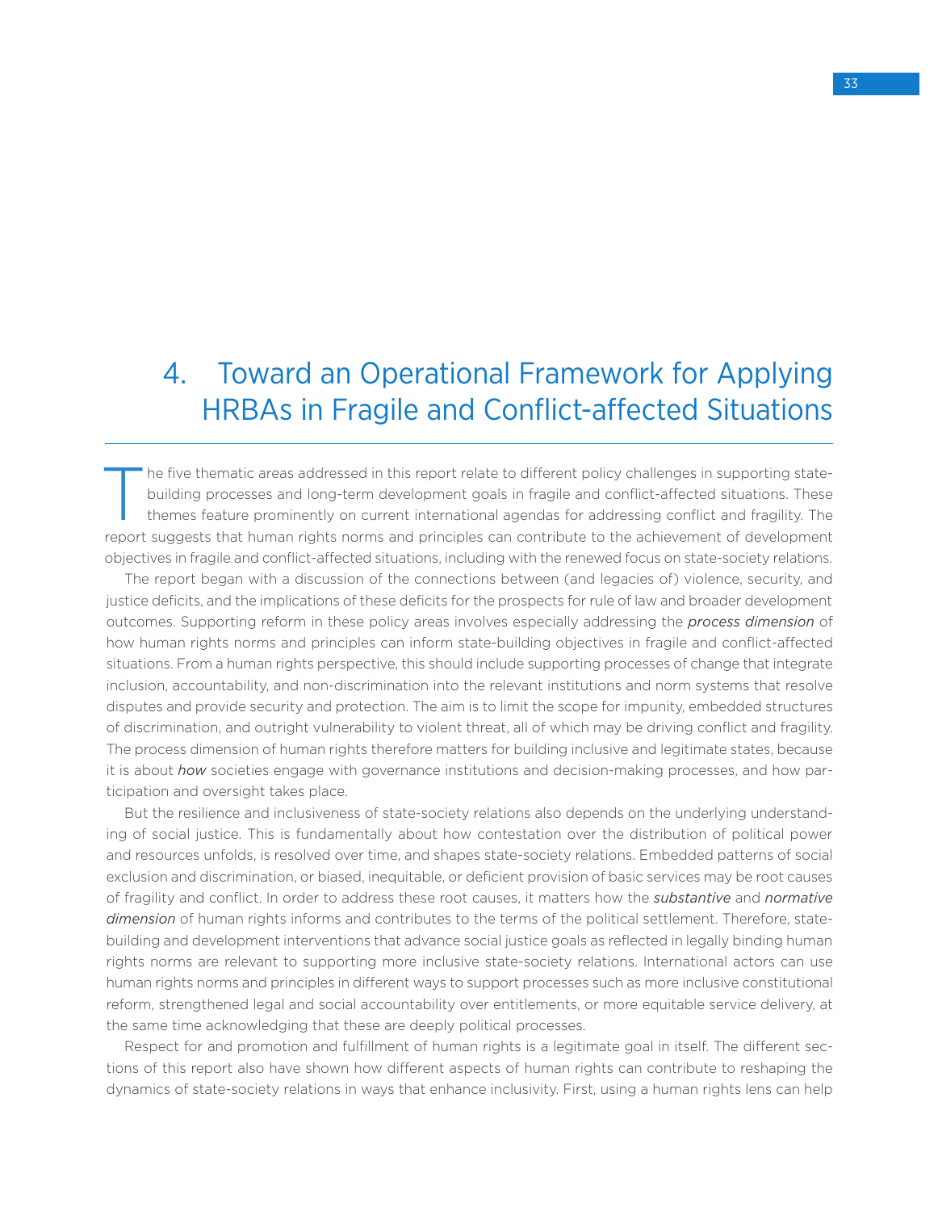# 4. Toward an Operational Framework for Applying HRBAs in Fragile and Conflict-affected Situations

The five thematic areas addressed in this report relate to different policy challenges in supporting state-<br>building processes and long-term development goals in fragile and conflict-affected situations. These<br>themes featu building processes and long-term development goals in fragile and conflict-affected situations. These themes feature prominently on current international agendas for addressing conflict and fragility. The report suggests that human rights norms and principles can contribute to the achievement of development objectives in fragile and conflict-affected situations, including with the renewed focus on state-society relations.

The report began with a discussion of the connections between (and legacies of) violence, security, and justice deficits, and the implications of these deficits for the prospects for rule of law and broader development outcomes. Supporting reform in these policy areas involves especially addressing the *process dimension* of how human rights norms and principles can inform state-building objectives in fragile and conflict-affected situations. From a human rights perspective, this should include supporting processes of change that integrate inclusion, accountability, and non-discrimination into the relevant institutions and norm systems that resolve disputes and provide security and protection. The aim is to limit the scope for impunity, embedded structures of discrimination, and outright vulnerability to violent threat, all of which may be driving conflict and fragility. The process dimension of human rights therefore matters for building inclusive and legitimate states, because it is about *how* societies engage with governance institutions and decision-making processes, and how participation and oversight takes place.

But the resilience and inclusiveness of state-society relations also depends on the underlying understanding of social justice. This is fundamentally about how contestation over the distribution of political power and resources unfolds, is resolved over time, and shapes state-society relations. Embedded patterns of social exclusion and discrimination, or biased, inequitable, or deficient provision of basic services may be root causes of fragility and conflict. In order to address these root causes, it matters how the *substantive* and *normative dimension* of human rights informs and contributes to the terms of the political settlement. Therefore, statebuilding and development interventions that advance social justice goals as reflected in legally binding human rights norms are relevant to supporting more inclusive state-society relations. International actors can use human rights norms and principles in different ways to support processes such as more inclusive constitutional reform, strengthened legal and social accountability over entitlements, or more equitable service delivery, at the same time acknowledging that these are deeply political processes.

Respect for and promotion and fulfillment of human rights is a legitimate goal in itself. The different sections of this report also have shown how different aspects of human rights can contribute to reshaping the dynamics of state-society relations in ways that enhance inclusivity. First, using a human rights lens can help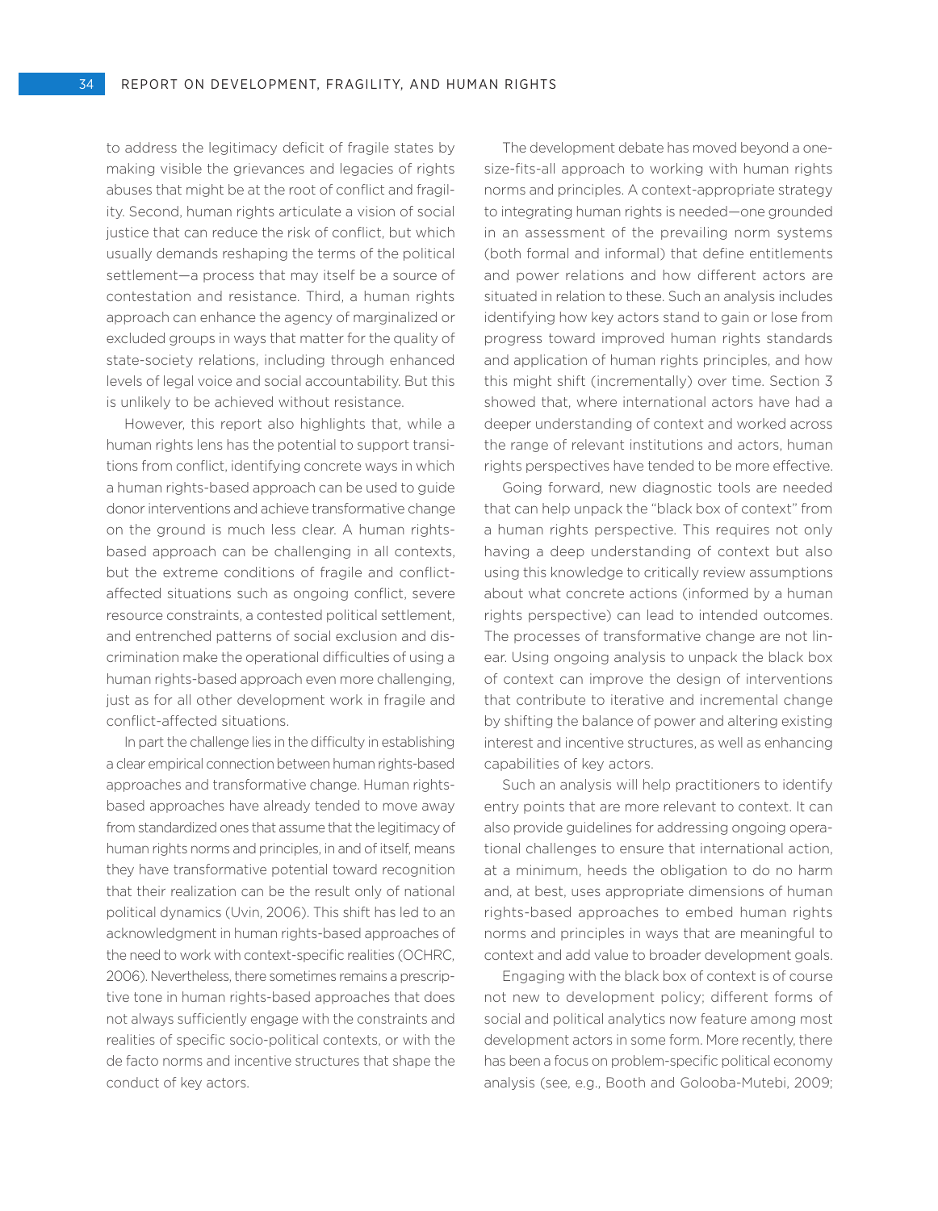to address the legitimacy deficit of fragile states by making visible the grievances and legacies of rights abuses that might be at the root of conflict and fragility. Second, human rights articulate a vision of social justice that can reduce the risk of conflict, but which usually demands reshaping the terms of the political settlement—a process that may itself be a source of contestation and resistance. Third, a human rights approach can enhance the agency of marginalized or excluded groups in ways that matter for the quality of state-society relations, including through enhanced levels of legal voice and social accountability. But this is unlikely to be achieved without resistance.

However, this report also highlights that, while a human rights lens has the potential to support transitions from conflict, identifying concrete ways in which a human rights-based approach can be used to guide donor interventions and achieve transformative change on the ground is much less clear. A human rightsbased approach can be challenging in all contexts, but the extreme conditions of fragile and conflictaffected situations such as ongoing conflict, severe resource constraints, a contested political settlement, and entrenched patterns of social exclusion and discrimination make the operational difficulties of using a human rights-based approach even more challenging, just as for all other development work in fragile and conflict-affected situations.

In part the challenge lies in the difficulty in establishing a clear empirical connection between human rights-based approaches and transformative change. Human rightsbased approaches have already tended to move away from standardized ones that assume that the legitimacy of human rights norms and principles, in and of itself, means they have transformative potential toward recognition that their realization can be the result only of national political dynamics (Uvin, 2006). This shift has led to an acknowledgment in human rights-based approaches of the need to work with context-specific realities (OCHRC, 2006). Nevertheless, there sometimes remains a prescriptive tone in human rights-based approaches that does not always sufficiently engage with the constraints and realities of specific socio-political contexts, or with the de facto norms and incentive structures that shape the conduct of key actors.

The development debate has moved beyond a onesize-fits-all approach to working with human rights norms and principles. A context-appropriate strategy to integrating human rights is needed—one grounded in an assessment of the prevailing norm systems (both formal and informal) that define entitlements and power relations and how different actors are situated in relation to these. Such an analysis includes identifying how key actors stand to gain or lose from progress toward improved human rights standards and application of human rights principles, and how this might shift (incrementally) over time. Section 3 showed that, where international actors have had a deeper understanding of context and worked across the range of relevant institutions and actors, human rights perspectives have tended to be more effective.

Going forward, new diagnostic tools are needed that can help unpack the "black box of context" from a human rights perspective. This requires not only having a deep understanding of context but also using this knowledge to critically review assumptions about what concrete actions (informed by a human rights perspective) can lead to intended outcomes. The processes of transformative change are not linear. Using ongoing analysis to unpack the black box of context can improve the design of interventions that contribute to iterative and incremental change by shifting the balance of power and altering existing interest and incentive structures, as well as enhancing capabilities of key actors.

Such an analysis will help practitioners to identify entry points that are more relevant to context. It can also provide guidelines for addressing ongoing operational challenges to ensure that international action, at a minimum, heeds the obligation to do no harm and, at best, uses appropriate dimensions of human rights-based approaches to embed human rights norms and principles in ways that are meaningful to context and add value to broader development goals.

Engaging with the black box of context is of course not new to development policy; different forms of social and political analytics now feature among most development actors in some form. More recently, there has been a focus on problem-specific political economy analysis (see, e.g., Booth and Golooba-Mutebi, 2009;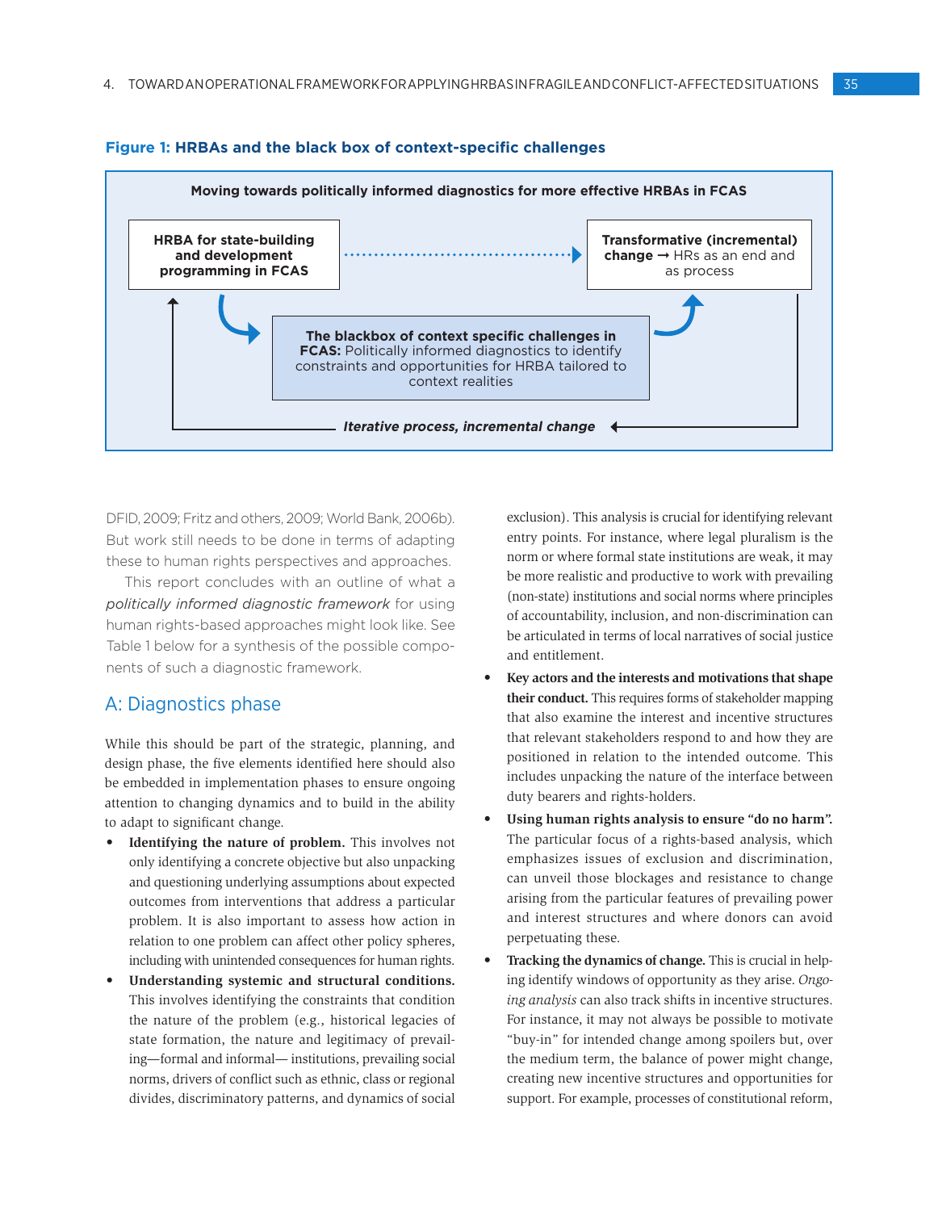

#### **Figure 1: HRBAs and the black box of context-specific challenges**

DFID, 2009; Fritz and others, 2009; World Bank, 2006b). But work still needs to be done in terms of adapting these to human rights perspectives and approaches.

This report concludes with an outline of what a *politically informed diagnostic framework* for using human rights-based approaches might look like. See Table 1 below for a synthesis of the possible components of such a diagnostic framework.

## A: Diagnostics phase

While this should be part of the strategic, planning, and design phase, the five elements identified here should also be embedded in implementation phases to ensure ongoing attention to changing dynamics and to build in the ability to adapt to significant change.

- **Identifying the nature of problem.** This involves not only identifying a concrete objective but also unpacking and questioning underlying assumptions about expected outcomes from interventions that address a particular problem. It is also important to assess how action in relation to one problem can affect other policy spheres, including with unintended consequences for human rights.
- Understanding systemic and structural conditions. This involves identifying the constraints that condition the nature of the problem (e.g., historical legacies of state formation, the nature and legitimacy of prevailing—formal and informal— institutions, prevailing social norms, drivers of conflict such as ethnic, class or regional divides, discriminatory patterns, and dynamics of social

exclusion). This analysis is crucial for identifying relevant entry points. For instance, where legal pluralism is the norm or where formal state institutions are weak, it may be more realistic and productive to work with prevailing (non-state) institutions and social norms where principles of accountability, inclusion, and non-discrimination can be articulated in terms of local narratives of social justice and entitlement.

- Key actors and the interests and motivations that shape **their conduct.** This requires forms of stakeholder mapping that also examine the interest and incentive structures that relevant stakeholders respond to and how they are positioned in relation to the intended outcome. This includes unpacking the nature of the interface between duty bearers and rights-holders.
- Using human rights analysis to ensure "do no harm". The particular focus of a rights-based analysis, which emphasizes issues of exclusion and discrimination, can unveil those blockages and resistance to change arising from the particular features of prevailing power and interest structures and where donors can avoid perpetuating these.
- • **Tracking the dynamics of change.** This is crucial in helping identify windows of opportunity as they arise. *Ongoing analysis* can also track shifts in incentive structures. For instance, it may not always be possible to motivate "buy-in" for intended change among spoilers but, over the medium term, the balance of power might change, creating new incentive structures and opportunities for support. For example, processes of constitutional reform,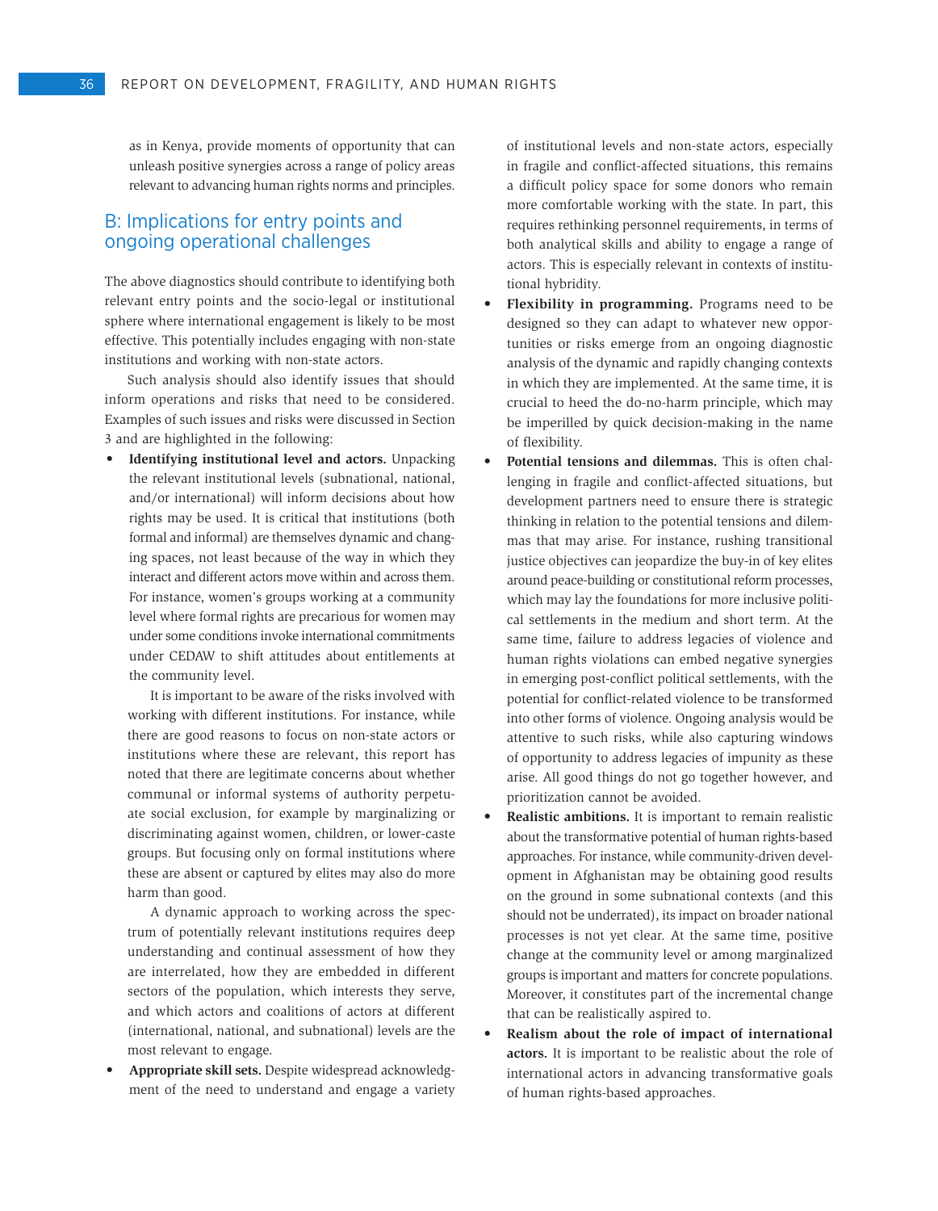as in Kenya, provide moments of opportunity that can unleash positive synergies across a range of policy areas relevant to advancing human rights norms and principles.

# B: Implications for entry points and ongoing operational challenges

The above diagnostics should contribute to identifying both relevant entry points and the socio-legal or institutional sphere where international engagement is likely to be most effective. This potentially includes engaging with non-state institutions and working with non-state actors.

Such analysis should also identify issues that should inform operations and risks that need to be considered. Examples of such issues and risks were discussed in Section 3 and are highlighted in the following:

• **Identifying institutional level and actors.** Unpacking the relevant institutional levels (subnational, national, and/or international) will inform decisions about how rights may be used. It is critical that institutions (both formal and informal) are themselves dynamic and changing spaces, not least because of the way in which they interact and different actors move within and across them. For instance, women's groups working at a community level where formal rights are precarious for women may under some conditions invoke international commitments under CEDAW to shift attitudes about entitlements at the community level.

It is important to be aware of the risks involved with working with different institutions. For instance, while there are good reasons to focus on non-state actors or institutions where these are relevant, this report has noted that there are legitimate concerns about whether communal or informal systems of authority perpetuate social exclusion, for example by marginalizing or discriminating against women, children, or lower-caste groups. But focusing only on formal institutions where these are absent or captured by elites may also do more harm than good.

A dynamic approach to working across the spectrum of potentially relevant institutions requires deep understanding and continual assessment of how they are interrelated, how they are embedded in different sectors of the population, which interests they serve, and which actors and coalitions of actors at different (international, national, and subnational) levels are the most relevant to engage.

Appropriate skill sets. Despite widespread acknowledgment of the need to understand and engage a variety of institutional levels and non-state actors, especially in fragile and conflict-affected situations, this remains a difficult policy space for some donors who remain more comfortable working with the state. In part, this requires rethinking personnel requirements, in terms of both analytical skills and ability to engage a range of actors. This is especially relevant in contexts of institutional hybridity.

- • **Flexibility in programming.** Programs need to be designed so they can adapt to whatever new opportunities or risks emerge from an ongoing diagnostic analysis of the dynamic and rapidly changing contexts in which they are implemented. At the same time, it is crucial to heed the do-no-harm principle, which may be imperilled by quick decision-making in the name of flexibility.
- **Potential tensions and dilemmas.** This is often challenging in fragile and conflict-affected situations, but development partners need to ensure there is strategic thinking in relation to the potential tensions and dilemmas that may arise. For instance, rushing transitional justice objectives can jeopardize the buy-in of key elites around peace-building or constitutional reform processes, which may lay the foundations for more inclusive political settlements in the medium and short term. At the same time, failure to address legacies of violence and human rights violations can embed negative synergies in emerging post-conflict political settlements, with the potential for conflict-related violence to be transformed into other forms of violence. Ongoing analysis would be attentive to such risks, while also capturing windows of opportunity to address legacies of impunity as these arise. All good things do not go together however, and prioritization cannot be avoided.
- • **Realistic ambitions.** It is important to remain realistic about the transformative potential of human rights-based approaches. For instance, while community-driven development in Afghanistan may be obtaining good results on the ground in some subnational contexts (and this should not be underrated), its impact on broader national processes is not yet clear. At the same time, positive change at the community level or among marginalized groups is important and matters for concrete populations. Moreover, it constitutes part of the incremental change that can be realistically aspired to.
- Realism about the role of impact of international **actors.** It is important to be realistic about the role of international actors in advancing transformative goals of human rights-based approaches.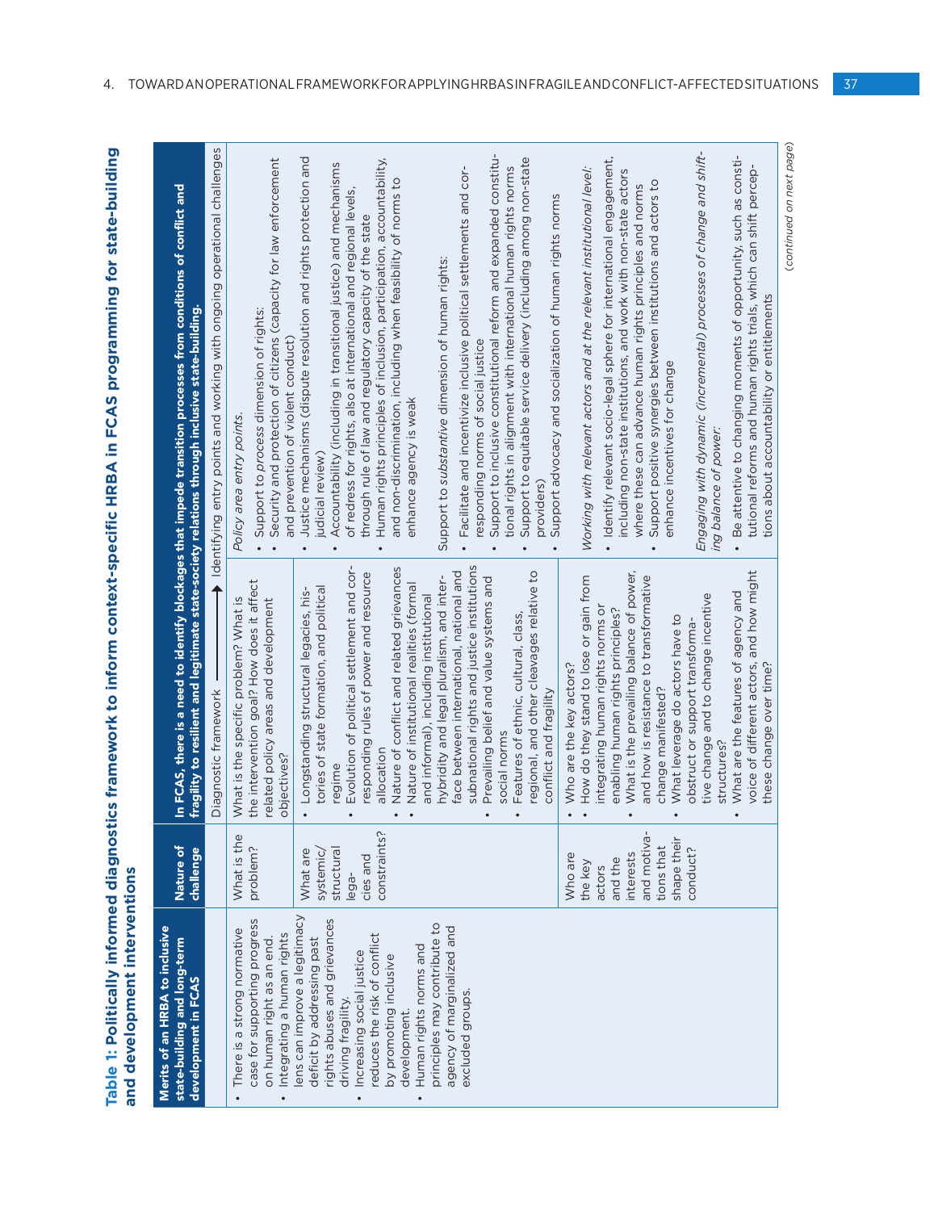| and development interventions                                                                                                                                                                                                                                                                                                       |                                                                                                 |                                                                                                                                                                                                                                                                                                                                                                                                                                                                                | Table 1: Politically informed diagnostics framework to inform context-specific HRBA in FCAS programming for state-building                                                                                                                                                                                                                                                                                                                                                                                                                                                                                                       |
|-------------------------------------------------------------------------------------------------------------------------------------------------------------------------------------------------------------------------------------------------------------------------------------------------------------------------------------|-------------------------------------------------------------------------------------------------|--------------------------------------------------------------------------------------------------------------------------------------------------------------------------------------------------------------------------------------------------------------------------------------------------------------------------------------------------------------------------------------------------------------------------------------------------------------------------------|----------------------------------------------------------------------------------------------------------------------------------------------------------------------------------------------------------------------------------------------------------------------------------------------------------------------------------------------------------------------------------------------------------------------------------------------------------------------------------------------------------------------------------------------------------------------------------------------------------------------------------|
| Merits of an HRBA to inclusive<br>state-building and long-term<br>development in FCAS                                                                                                                                                                                                                                               | Nature of<br>challenge                                                                          | ragility to resilient and legitimate state-society relations through inclusive state-building.                                                                                                                                                                                                                                                                                                                                                                                 | n FCAS, there is a need to identify blockages that impede transition processes from conditions of conflict and                                                                                                                                                                                                                                                                                                                                                                                                                                                                                                                   |
|                                                                                                                                                                                                                                                                                                                                     |                                                                                                 | Diagnostic framework                                                                                                                                                                                                                                                                                                                                                                                                                                                           | ◆ Identifying entry points and working with ongoing operational challenges                                                                                                                                                                                                                                                                                                                                                                                                                                                                                                                                                       |
| case for supporting progress<br>There is a strong normative<br>Integrating a human rights<br>on human right as an end.                                                                                                                                                                                                              | What is the<br>problem?                                                                         | the intervention goal? How does it affect<br>What is the specific problem? What is<br>elated policy areas and development<br>objectives?                                                                                                                                                                                                                                                                                                                                       | Security and protection of citizens (capacity for law enforcement<br>Support to process dimension of rights:<br>and prevention of violent conduct)<br>Policy area entry points.                                                                                                                                                                                                                                                                                                                                                                                                                                                  |
| ens can improve a legitimacy<br>rights abuses and grievances<br>principles may contribute to<br>agency of marginalized and<br>reduces the risk of conflict<br>deficit by addressing past<br>Human rights norms and<br>Increasing social justice<br>by promoting inclusive<br>excluded groups.<br>driving fragility.<br>development. | constraints?<br>structural<br>What are<br>systemic,<br>cies and<br>lega-                        | subnational rights and justice institutions<br>Evolution of political settlement and cor-<br>Nature of conflict and related grievances<br>responding rules of power and resource<br>face between international, national and<br>hybridity and legal pluralism, and inter-<br>Nature of institutional realities (formal<br>tories of state formation, and political<br>Longstanding structural legacies, his-<br>and informal), including institutional<br>allocation<br>regime | Justice mechanisms (dispute resolution and rights protection and<br>Human rights principles of inclusion, participation, accountability,<br>Accountability (including in transitional justice) and mechanisms<br>Facilitate and incentivize inclusive political settlements and cor-<br>and non-discrimination, including when feasibility of norms to<br>of redress for rights, also at international and regional levels,<br>through rule of law and regulatory capacity of the state<br>Support to substantive dimension of human rights:<br>responding norms of social justice<br>enhance agency is weak<br>judicial review) |
|                                                                                                                                                                                                                                                                                                                                     |                                                                                                 | regional, and other cleavages relative to<br>Prevailing belief and value systems and<br>Features of ethnic, cultural, class,<br>conflict and fragility<br>social norms                                                                                                                                                                                                                                                                                                         | Support to inclusive constitutional reform and expanded constitu-<br>Support to equitable service delivery (including among non-state<br>tional rights in alignment with international human rights norms<br>Support advocacy and socialization of human rights norms<br>providers)                                                                                                                                                                                                                                                                                                                                              |
|                                                                                                                                                                                                                                                                                                                                     | and motiva<br>shape their<br>tions that<br>interests<br>Who are<br>and the<br>the key<br>actors | What is the prevailing balance of power,<br>and how is resistance to transformative<br>How do they stand to lose or gain from<br>integrating human rights norms or<br>enabling human rights principles?<br>What leverage do actors have to<br>Who are the key actors?<br>change manifested?                                                                                                                                                                                    | Identify relevant socio-legal sphere for international engagement,<br>Working with relevant actors and at the relevant institutional level:<br>including non-state institutions, and work with non-state actors<br>Support positive synergies between institutions and actors to<br>where these can advance human rights principles and norms<br>enhance incentives for change                                                                                                                                                                                                                                                   |
|                                                                                                                                                                                                                                                                                                                                     | conduct?                                                                                        | voice of different actors, and how might<br>What are the features of agency and<br>tive change and to change incentive<br>obstruct or support transforma-<br>these change over time?<br>structures?                                                                                                                                                                                                                                                                            | Engaging with dynamic (incremental) processes of change and shift-<br>Be attentive to changing moments of opportunity, such as consti-<br>tutional reforms and human rights trials, which can shift percep-<br>tions about accountability or entitlements<br>ing balance of power:                                                                                                                                                                                                                                                                                                                                               |

(continued on next page) (*continued on next page*)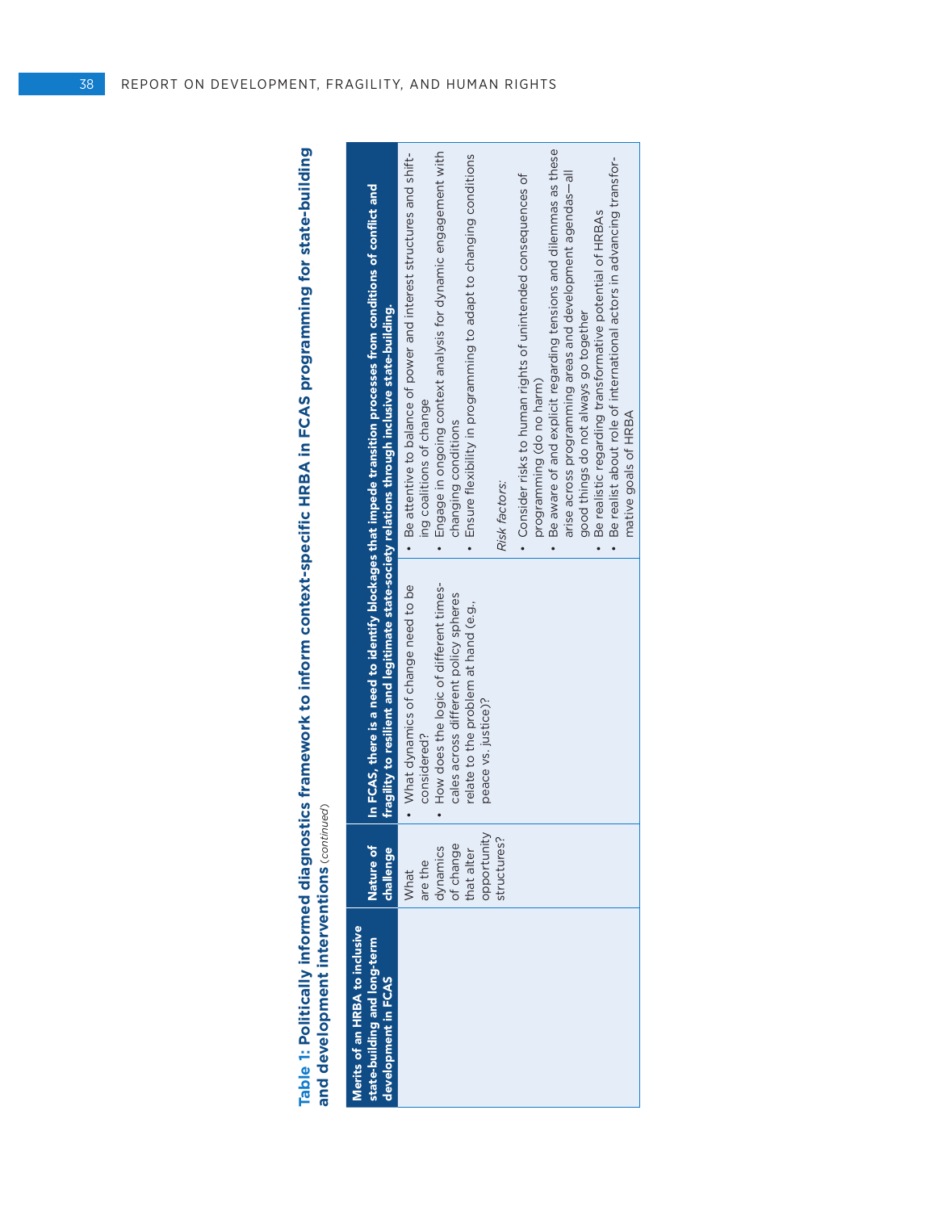**Table 1: Politically informed diagnostics framework to inform context-specific HRBA in FCAS programming for state-building**  Table 1: Politically informed diagnostics framework to inform context-specific HRBA in FCAS programming for state-building<br>and development interventions (continued) (*continued*)**and development interventions**

| Nature of<br>challenge<br>Merits of an HRBA to inclusive<br>state-building and long-term<br>development in FCAS |                                                                                                                                                                                                     |                                                                                                                                                                                                                                                                                                                                                                                                                                                                                                                                                                                                                                                                                              |
|-----------------------------------------------------------------------------------------------------------------|-----------------------------------------------------------------------------------------------------------------------------------------------------------------------------------------------------|----------------------------------------------------------------------------------------------------------------------------------------------------------------------------------------------------------------------------------------------------------------------------------------------------------------------------------------------------------------------------------------------------------------------------------------------------------------------------------------------------------------------------------------------------------------------------------------------------------------------------------------------------------------------------------------------|
|                                                                                                                 | fragility to resilient and legitimate state-society relations through inclusive state-building.                                                                                                     | In FCAS, there is a need to identify blockages that impede transition processes from conditions of conflict and                                                                                                                                                                                                                                                                                                                                                                                                                                                                                                                                                                              |
| opportunity<br>structures?<br>of change<br>dynamics<br>that alter<br>are the<br>What                            | How does the logic of different times-<br>What dynamics of change need to be<br>cales across different policy spheres<br>relate to the problem at hand (e.g.,<br>peace vs. justice)?<br>considered? | Be aware of and explicit regarding tensions and dilemmas as these<br>Engage in ongoing context analysis for dynamic engagement with<br>Be attentive to balance of power and interest structures and shift-<br>Ensure flexibility in programming to adapt to changing conditions<br>Be realist about role of international actors in advancing transfor-<br>arise across programming areas and development agendas-all<br>• Consider risks to human rights of unintended consequences of<br>Be realistic regarding transformative potential of HRBAs<br>good things do not always go together<br>programming (do no harm)<br>ing coalitions of change<br>changing conditions<br>Risk factors: |
|                                                                                                                 |                                                                                                                                                                                                     | mative goals of HRBA                                                                                                                                                                                                                                                                                                                                                                                                                                                                                                                                                                                                                                                                         |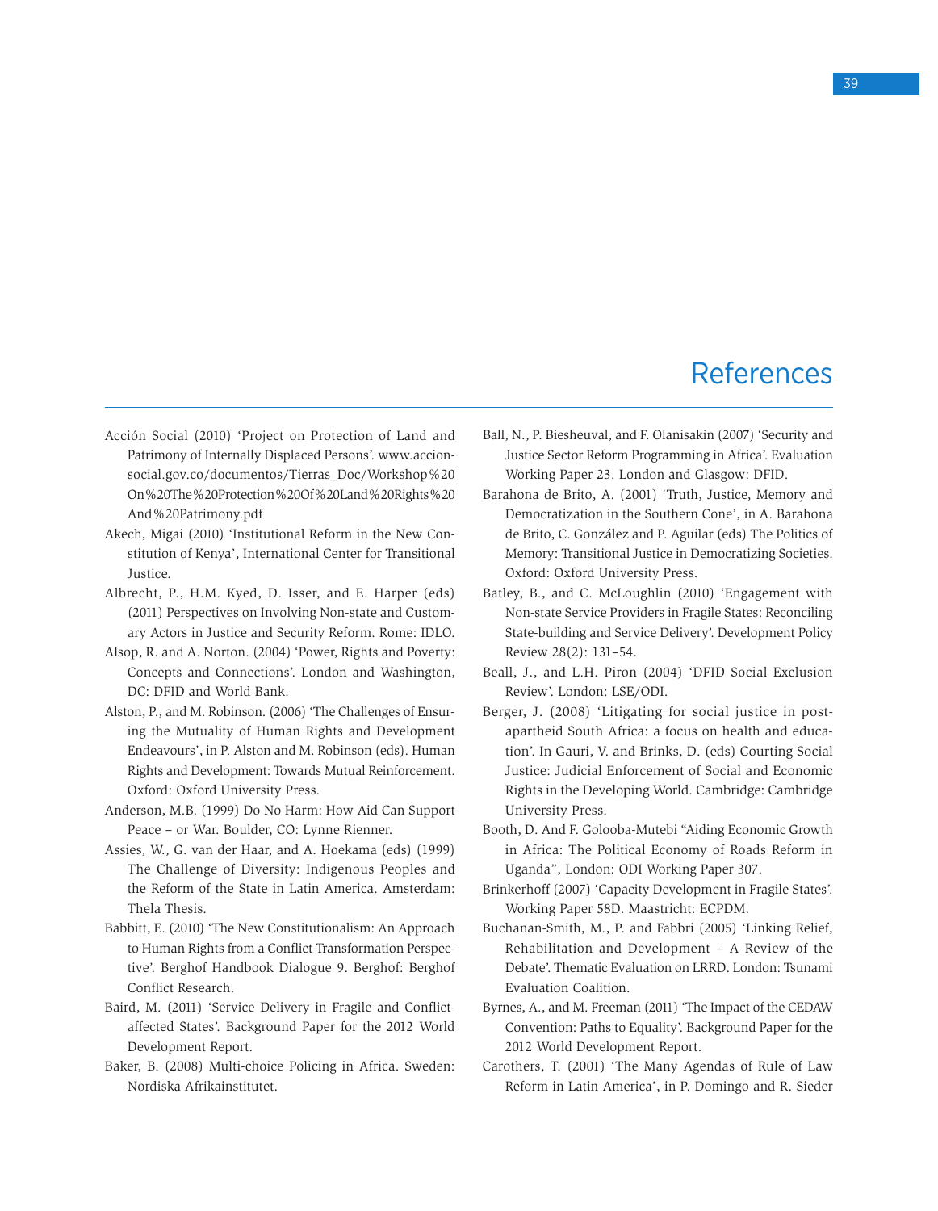# References

- Acción Social (2010) 'Project on Protection of Land and Patrimony of Internally Displaced Persons'. www.accionsocial.gov.co/documentos/Tierras\_Doc/Workshop%20 On%20The%20Protection%20Of%20Land%20Rights%20 And%20Patrimony.pdf
- Akech, Migai (2010) 'Institutional Reform in the New Constitution of Kenya', International Center for Transitional Justice.
- Albrecht, P., H.M. Kyed, D. Isser, and E. Harper (eds) (2011) Perspectives on Involving Non-state and Customary Actors in Justice and Security Reform. Rome: IDLO.
- Alsop, R. and A. Norton. (2004) 'Power, Rights and Poverty: Concepts and Connections'. London and Washington, DC: DFID and World Bank.
- Alston, P., and M. Robinson. (2006) 'The Challenges of Ensuring the Mutuality of Human Rights and Development Endeavours', in P. Alston and M. Robinson (eds). Human Rights and Development: Towards Mutual Reinforcement. Oxford: Oxford University Press.
- Anderson, M.B. (1999) Do No Harm: How Aid Can Support Peace – or War. Boulder, CO: Lynne Rienner.
- Assies, W., G. van der Haar, and A. Hoekama (eds) (1999) The Challenge of Diversity: Indigenous Peoples and the Reform of the State in Latin America. Amsterdam: Thela Thesis.
- Babbitt, E. (2010) 'The New Constitutionalism: An Approach to Human Rights from a Conflict Transformation Perspective'. Berghof Handbook Dialogue 9. Berghof: Berghof Conflict Research.
- Baird, M. (2011) 'Service Delivery in Fragile and Conflictaffected States'. Background Paper for the 2012 World Development Report.
- Baker, B. (2008) Multi-choice Policing in Africa. Sweden: Nordiska Afrikainstitutet.
- Ball, N., P. Biesheuval, and F. Olanisakin (2007) 'Security and Justice Sector Reform Programming in Africa'. Evaluation Working Paper 23. London and Glasgow: DFID.
- Barahona de Brito, A. (2001) 'Truth, Justice, Memory and Democratization in the Southern Cone', in A. Barahona de Brito, C. González and P. Aguilar (eds) The Politics of Memory: Transitional Justice in Democratizing Societies. Oxford: Oxford University Press.
- Batley, B., and C. McLoughlin (2010) 'Engagement with Non-state Service Providers in Fragile States: Reconciling State-building and Service Delivery'. Development Policy Review 28(2): 131–54.
- Beall, J., and L.H. Piron (2004) 'DFID Social Exclusion Review'. London: LSE/ODI.
- Berger, J. (2008) 'Litigating for social justice in postapartheid South Africa: a focus on health and education'. In Gauri, V. and Brinks, D. (eds) Courting Social Justice: Judicial Enforcement of Social and Economic Rights in the Developing World. Cambridge: Cambridge University Press.
- Booth, D. And F. Golooba-Mutebi "Aiding Economic Growth in Africa: The Political Economy of Roads Reform in Uganda", London: ODI Working Paper 307.
- Brinkerhoff (2007) 'Capacity Development in Fragile States'. Working Paper 58D. Maastricht: ECPDM.
- Buchanan-Smith, M., P. and Fabbri (2005) 'Linking Relief, Rehabilitation and Development – A Review of the Debate'. Thematic Evaluation on LRRD. London: Tsunami Evaluation Coalition.
- Byrnes, A., and M. Freeman (2011) 'The Impact of the CEDAW Convention: Paths to Equality'. Background Paper for the 2012 World Development Report.
- Carothers, T. (2001) 'The Many Agendas of Rule of Law Reform in Latin America', in P. Domingo and R. Sieder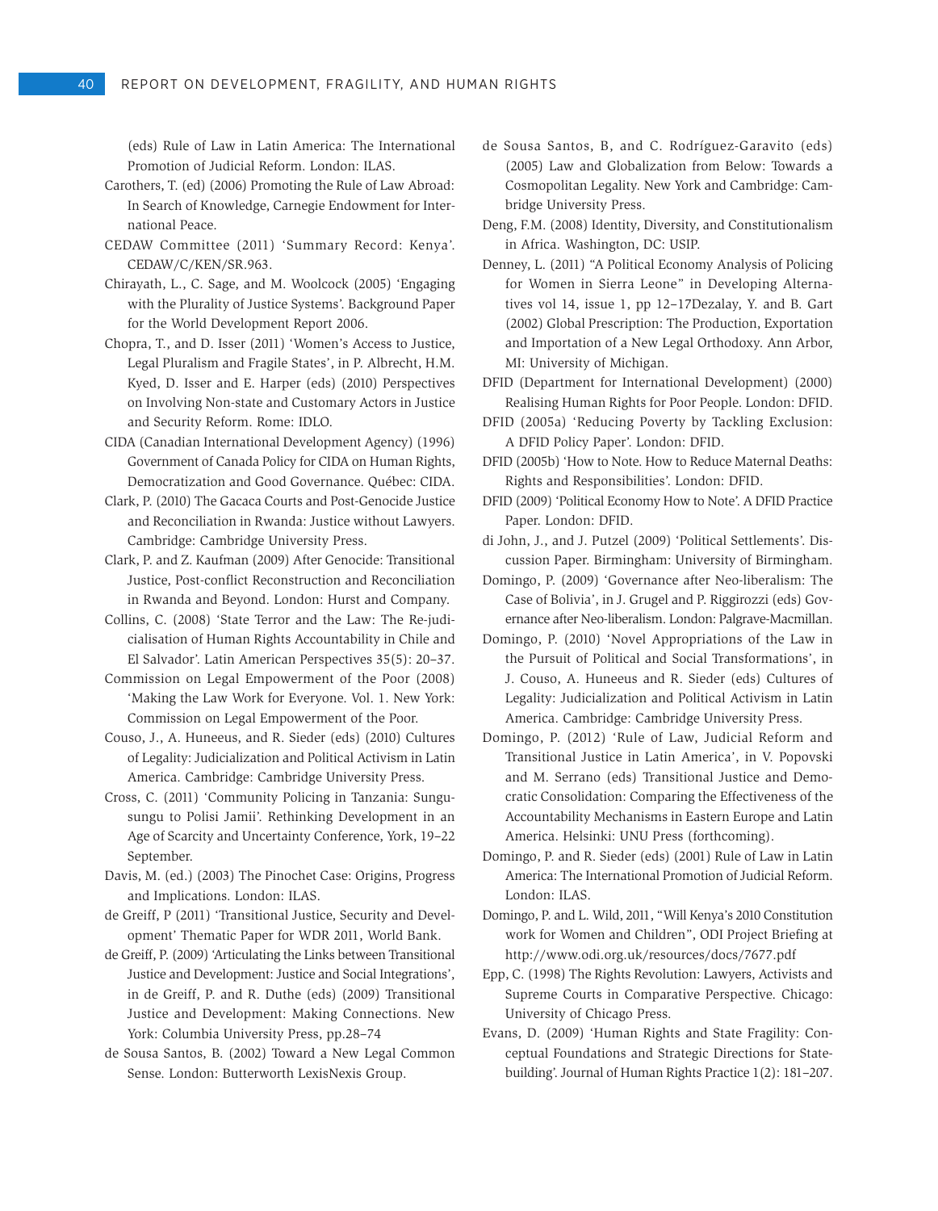(eds) Rule of Law in Latin America: The International Promotion of Judicial Reform. London: ILAS.

- Carothers, T. (ed) (2006) Promoting the Rule of Law Abroad: In Search of Knowledge, Carnegie Endowment for International Peace.
- CEDAW Committee (2011) 'Summary Record: Kenya'. CEDAW/C/KEN/SR.963.
- Chirayath, L., C. Sage, and M. Woolcock (2005) 'Engaging with the Plurality of Justice Systems'. Background Paper for the World Development Report 2006.
- Chopra, T., and D. Isser (2011) 'Women's Access to Justice, Legal Pluralism and Fragile States', in P. Albrecht, H.M. Kyed, D. Isser and E. Harper (eds) (2010) Perspectives on Involving Non-state and Customary Actors in Justice and Security Reform. Rome: IDLO.
- CIDA (Canadian International Development Agency) (1996) Government of Canada Policy for CIDA on Human Rights, Democratization and Good Governance. Québec: CIDA.
- Clark, P. (2010) The Gacaca Courts and Post-Genocide Justice and Reconciliation in Rwanda: Justice without Lawyers. Cambridge: Cambridge University Press.
- Clark, P. and Z. Kaufman (2009) After Genocide: Transitional Justice, Post-conflict Reconstruction and Reconciliation in Rwanda and Beyond. London: Hurst and Company.
- Collins, C. (2008) 'State Terror and the Law: The Re-judicialisation of Human Rights Accountability in Chile and El Salvador'. Latin American Perspectives 35(5): 20–37.
- Commission on Legal Empowerment of the Poor (2008) 'Making the Law Work for Everyone. Vol. 1. New York: Commission on Legal Empowerment of the Poor.
- Couso, J., A. Huneeus, and R. Sieder (eds) (2010) Cultures of Legality: Judicialization and Political Activism in Latin America. Cambridge: Cambridge University Press.
- Cross, C. (2011) 'Community Policing in Tanzania: Sungusungu to Polisi Jamii'. Rethinking Development in an Age of Scarcity and Uncertainty Conference, York, 19–22 September.
- Davis, M. (ed.) (2003) The Pinochet Case: Origins, Progress and Implications. London: ILAS.
- de Greiff, P (2011) 'Transitional Justice, Security and Development' Thematic Paper for WDR 2011, World Bank.
- de Greiff, P. (2009) 'Articulating the Links between Transitional Justice and Development: Justice and Social Integrations', in de Greiff, P. and R. Duthe (eds) (2009) Transitional Justice and Development: Making Connections. New York: Columbia University Press, pp.28–74
- de Sousa Santos, B. (2002) Toward a New Legal Common Sense. London: Butterworth LexisNexis Group.
- de Sousa Santos, B, and C. Rodríguez-Garavito (eds) (2005) Law and Globalization from Below: Towards a Cosmopolitan Legality. New York and Cambridge: Cambridge University Press.
- Deng, F.M. (2008) Identity, Diversity, and Constitutionalism in Africa. Washington, DC: USIP.
- Denney, L. (2011) "A Political Economy Analysis of Policing for Women in Sierra Leone" in Developing Alternatives vol 14, issue 1, pp 12–17Dezalay, Y. and B. Gart (2002) Global Prescription: The Production, Exportation and Importation of a New Legal Orthodoxy. Ann Arbor, MI: University of Michigan.
- DFID (Department for International Development) (2000) Realising Human Rights for Poor People. London: DFID.
- DFID (2005a) 'Reducing Poverty by Tackling Exclusion: A DFID Policy Paper'. London: DFID.
- DFID (2005b) 'How to Note. How to Reduce Maternal Deaths: Rights and Responsibilities'. London: DFID.
- DFID (2009) 'Political Economy How to Note'. A DFID Practice Paper. London: DFID.
- di John, J., and J. Putzel (2009) 'Political Settlements'. Discussion Paper. Birmingham: University of Birmingham.
- Domingo, P. (2009) 'Governance after Neo-liberalism: The Case of Bolivia', in J. Grugel and P. Riggirozzi (eds) Governance after Neo-liberalism. London: Palgrave-Macmillan.
- Domingo, P. (2010) 'Novel Appropriations of the Law in the Pursuit of Political and Social Transformations', in J. Couso, A. Huneeus and R. Sieder (eds) Cultures of Legality: Judicialization and Political Activism in Latin America. Cambridge: Cambridge University Press.
- Domingo, P. (2012) 'Rule of Law, Judicial Reform and Transitional Justice in Latin America', in V. Popovski and M. Serrano (eds) Transitional Justice and Democratic Consolidation: Comparing the Effectiveness of the Accountability Mechanisms in Eastern Europe and Latin America. Helsinki: UNU Press (forthcoming).
- Domingo, P. and R. Sieder (eds) (2001) Rule of Law in Latin America: The International Promotion of Judicial Reform. London: ILAS.
- Domingo, P. and L. Wild, 2011, "Will Kenya's 2010 Constitution work for Women and Children", ODI Project Briefing at http://www.odi.org.uk/resources/docs/7677.pdf
- Epp, C. (1998) The Rights Revolution: Lawyers, Activists and Supreme Courts in Comparative Perspective. Chicago: University of Chicago Press.
- Evans, D. (2009) 'Human Rights and State Fragility: Conceptual Foundations and Strategic Directions for Statebuilding'. Journal of Human Rights Practice 1(2): 181–207.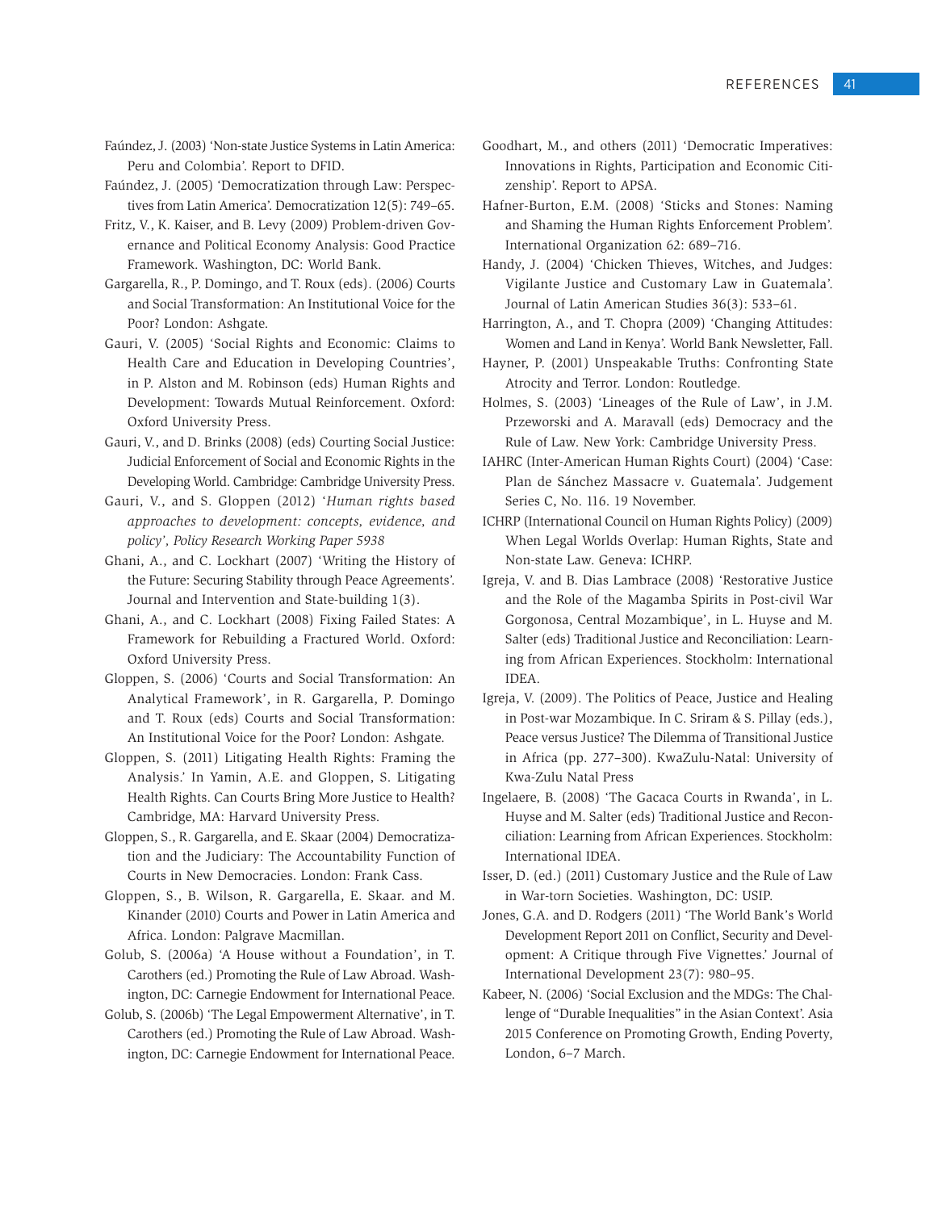- Faúndez, J. (2003) 'Non-state Justice Systems in Latin America: Peru and Colombia'. Report to DFID.
- Faúndez, J. (2005) 'Democratization through Law: Perspectives from Latin America'. Democratization 12(5): 749–65.
- Fritz, V., K. Kaiser, and B. Levy (2009) Problem-driven Governance and Political Economy Analysis: Good Practice Framework. Washington, DC: World Bank.
- Gargarella, R., P. Domingo, and T. Roux (eds). (2006) Courts and Social Transformation: An Institutional Voice for the Poor? London: Ashgate.
- Gauri, V. (2005) 'Social Rights and Economic: Claims to Health Care and Education in Developing Countries', in P. Alston and M. Robinson (eds) Human Rights and Development: Towards Mutual Reinforcement. Oxford: Oxford University Press.
- Gauri, V., and D. Brinks (2008) (eds) Courting Social Justice: Judicial Enforcement of Social and Economic Rights in the Developing World. Cambridge: Cambridge University Press.
- Gauri, V., and S. Gloppen (2012) '*Human rights based approaches to development: concepts, evidence, and policy', Policy Research Working Paper 5938*
- Ghani, A., and C. Lockhart (2007) 'Writing the History of the Future: Securing Stability through Peace Agreements'. Journal and Intervention and State-building 1(3).
- Ghani, A., and C. Lockhart (2008) Fixing Failed States: A Framework for Rebuilding a Fractured World. Oxford: Oxford University Press.
- Gloppen, S. (2006) 'Courts and Social Transformation: An Analytical Framework', in R. Gargarella, P. Domingo and T. Roux (eds) Courts and Social Transformation: An Institutional Voice for the Poor? London: Ashgate.
- Gloppen, S. (2011) Litigating Health Rights: Framing the Analysis.' In Yamin, A.E. and Gloppen, S. Litigating Health Rights. Can Courts Bring More Justice to Health? Cambridge, MA: Harvard University Press.
- Gloppen, S., R. Gargarella, and E. Skaar (2004) Democratization and the Judiciary: The Accountability Function of Courts in New Democracies. London: Frank Cass.
- Gloppen, S., B. Wilson, R. Gargarella, E. Skaar. and M. Kinander (2010) Courts and Power in Latin America and Africa. London: Palgrave Macmillan.
- Golub, S. (2006a) 'A House without a Foundation', in T. Carothers (ed.) Promoting the Rule of Law Abroad. Washington, DC: Carnegie Endowment for International Peace.
- Golub, S. (2006b) 'The Legal Empowerment Alternative', in T. Carothers (ed.) Promoting the Rule of Law Abroad. Washington, DC: Carnegie Endowment for International Peace.
- Goodhart, M., and others (2011) 'Democratic Imperatives: Innovations in Rights, Participation and Economic Citizenship'. Report to APSA.
- Hafner-Burton, E.M. (2008) 'Sticks and Stones: Naming and Shaming the Human Rights Enforcement Problem'. International Organization 62: 689–716.
- Handy, J. (2004) 'Chicken Thieves, Witches, and Judges: Vigilante Justice and Customary Law in Guatemala'. Journal of Latin American Studies 36(3): 533–61.
- Harrington, A., and T. Chopra (2009) 'Changing Attitudes: Women and Land in Kenya'. World Bank Newsletter, Fall.
- Hayner, P. (2001) Unspeakable Truths: Confronting State Atrocity and Terror. London: Routledge.
- Holmes, S. (2003) 'Lineages of the Rule of Law', in J.M. Przeworski and A. Maravall (eds) Democracy and the Rule of Law. New York: Cambridge University Press.
- IAHRC (Inter-American Human Rights Court) (2004) 'Case: Plan de Sánchez Massacre v. Guatemala'. Judgement Series C, No. 116. 19 November.
- ICHRP (International Council on Human Rights Policy) (2009) When Legal Worlds Overlap: Human Rights, State and Non-state Law. Geneva: ICHRP.
- Igreja, V. and B. Dias Lambrace (2008) 'Restorative Justice and the Role of the Magamba Spirits in Post-civil War Gorgonosa, Central Mozambique', in L. Huyse and M. Salter (eds) Traditional Justice and Reconciliation: Learning from African Experiences. Stockholm: International IDEA.
- Igreja, V. (2009). The Politics of Peace, Justice and Healing in Post-war Mozambique. In C. Sriram & S. Pillay (eds.), Peace versus Justice? The Dilemma of Transitional Justice in Africa (pp. 277–300). KwaZulu-Natal: University of Kwa-Zulu Natal Press
- Ingelaere, B. (2008) 'The Gacaca Courts in Rwanda', in L. Huyse and M. Salter (eds) Traditional Justice and Reconciliation: Learning from African Experiences. Stockholm: International IDEA.
- Isser, D. (ed.) (2011) Customary Justice and the Rule of Law in War-torn Societies. Washington, DC: USIP.
- Jones, G.A. and D. Rodgers (2011) 'The World Bank's World Development Report 2011 on Conflict, Security and Development: A Critique through Five Vignettes.' Journal of International Development 23(7): 980–95.
- Kabeer, N. (2006) 'Social Exclusion and the MDGs: The Challenge of "Durable Inequalities" in the Asian Context'. Asia 2015 Conference on Promoting Growth, Ending Poverty, London, 6–7 March.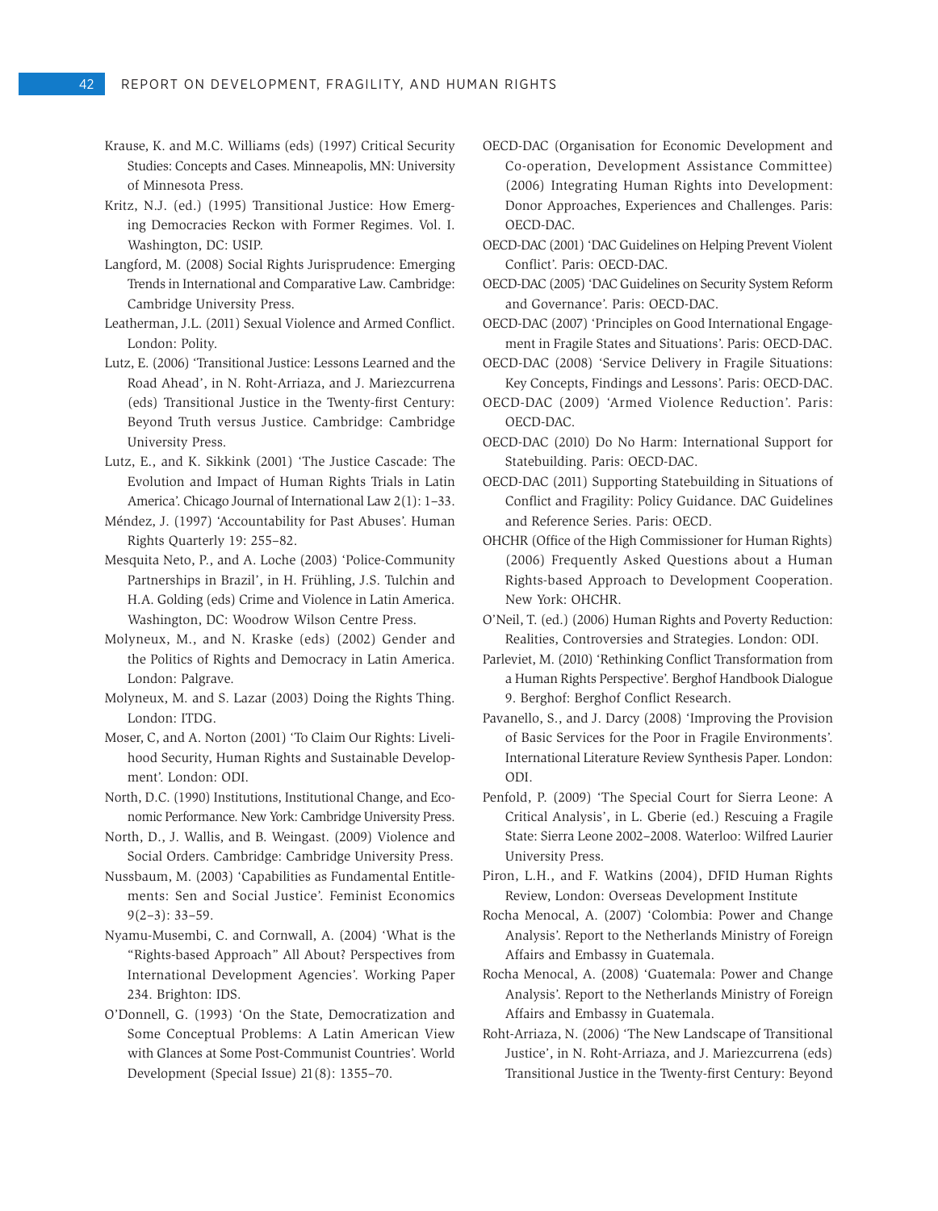- Krause, K. and M.C. Williams (eds) (1997) Critical Security Studies: Concepts and Cases. Minneapolis, MN: University of Minnesota Press.
- Kritz, N.J. (ed.) (1995) Transitional Justice: How Emerging Democracies Reckon with Former Regimes. Vol. I. Washington, DC: USIP.
- Langford, M. (2008) Social Rights Jurisprudence: Emerging Trends in International and Comparative Law. Cambridge: Cambridge University Press.
- Leatherman, J.L. (2011) Sexual Violence and Armed Conflict. London: Polity.
- Lutz, E. (2006) 'Transitional Justice: Lessons Learned and the Road Ahead', in N. Roht-Arriaza, and J. Mariezcurrena (eds) Transitional Justice in the Twenty-first Century: Beyond Truth versus Justice. Cambridge: Cambridge University Press.
- Lutz, E., and K. Sikkink (2001) 'The Justice Cascade: The Evolution and Impact of Human Rights Trials in Latin America'. Chicago Journal of International Law 2(1): 1–33.
- Méndez, J. (1997) 'Accountability for Past Abuses'. Human Rights Quarterly 19: 255–82.
- Mesquita Neto, P., and A. Loche (2003) 'Police-Community Partnerships in Brazil', in H. Frühling, J.S. Tulchin and H.A. Golding (eds) Crime and Violence in Latin America. Washington, DC: Woodrow Wilson Centre Press.
- Molyneux, M., and N. Kraske (eds) (2002) Gender and the Politics of Rights and Democracy in Latin America. London: Palgrave.
- Molyneux, M. and S. Lazar (2003) Doing the Rights Thing. London: ITDG.
- Moser, C, and A. Norton (2001) 'To Claim Our Rights: Livelihood Security, Human Rights and Sustainable Development'. London: ODI.
- North, D.C. (1990) Institutions, Institutional Change, and Economic Performance. New York: Cambridge University Press.
- North, D., J. Wallis, and B. Weingast. (2009) Violence and Social Orders. Cambridge: Cambridge University Press.
- Nussbaum, M. (2003) 'Capabilities as Fundamental Entitlements: Sen and Social Justice'. Feminist Economics 9(2–3): 33–59.
- Nyamu-Musembi, C. and Cornwall, A. (2004) 'What is the "Rights-based Approach" All About? Perspectives from International Development Agencies'. Working Paper 234. Brighton: IDS.
- O'Donnell, G. (1993) 'On the State, Democratization and Some Conceptual Problems: A Latin American View with Glances at Some Post-Communist Countries'. World Development (Special Issue) 21(8): 1355–70.
- OECD-DAC (Organisation for Economic Development and Co-operation, Development Assistance Committee) (2006) Integrating Human Rights into Development: Donor Approaches, Experiences and Challenges. Paris: OECD-DAC.
- OECD-DAC (2001) 'DAC Guidelines on Helping Prevent Violent Conflict'. Paris: OECD-DAC.
- OECD-DAC (2005) 'DAC Guidelines on Security System Reform and Governance'. Paris: OECD-DAC.
- OECD-DAC (2007) 'Principles on Good International Engagement in Fragile States and Situations'. Paris: OECD-DAC.
- OECD-DAC (2008) 'Service Delivery in Fragile Situations: Key Concepts, Findings and Lessons'. Paris: OECD-DAC.
- OECD-DAC (2009) 'Armed Violence Reduction'. Paris: OECD-DAC.
- OECD-DAC (2010) Do No Harm: International Support for Statebuilding. Paris: OECD-DAC.
- OECD-DAC (2011) Supporting Statebuilding in Situations of Conflict and Fragility: Policy Guidance. DAC Guidelines and Reference Series. Paris: OECD.
- OHCHR (Office of the High Commissioner for Human Rights) (2006) Frequently Asked Questions about a Human Rights-based Approach to Development Cooperation. New York: OHCHR.
- O'Neil, T. (ed.) (2006) Human Rights and Poverty Reduction: Realities, Controversies and Strategies. London: ODI.
- Parleviet, M. (2010) 'Rethinking Conflict Transformation from a Human Rights Perspective'. Berghof Handbook Dialogue 9. Berghof: Berghof Conflict Research.
- Pavanello, S., and J. Darcy (2008) 'Improving the Provision of Basic Services for the Poor in Fragile Environments'. International Literature Review Synthesis Paper. London: ODI.
- Penfold, P. (2009) 'The Special Court for Sierra Leone: A Critical Analysis', in L. Gberie (ed.) Rescuing a Fragile State: Sierra Leone 2002–2008. Waterloo: Wilfred Laurier University Press.
- Piron, L.H., and F. Watkins (2004), DFID Human Rights Review, London: Overseas Development Institute
- Rocha Menocal, A. (2007) 'Colombia: Power and Change Analysis'. Report to the Netherlands Ministry of Foreign Affairs and Embassy in Guatemala.
- Rocha Menocal, A. (2008) 'Guatemala: Power and Change Analysis'. Report to the Netherlands Ministry of Foreign Affairs and Embassy in Guatemala.
- Roht-Arriaza, N. (2006) 'The New Landscape of Transitional Justice', in N. Roht-Arriaza, and J. Mariezcurrena (eds) Transitional Justice in the Twenty-first Century: Beyond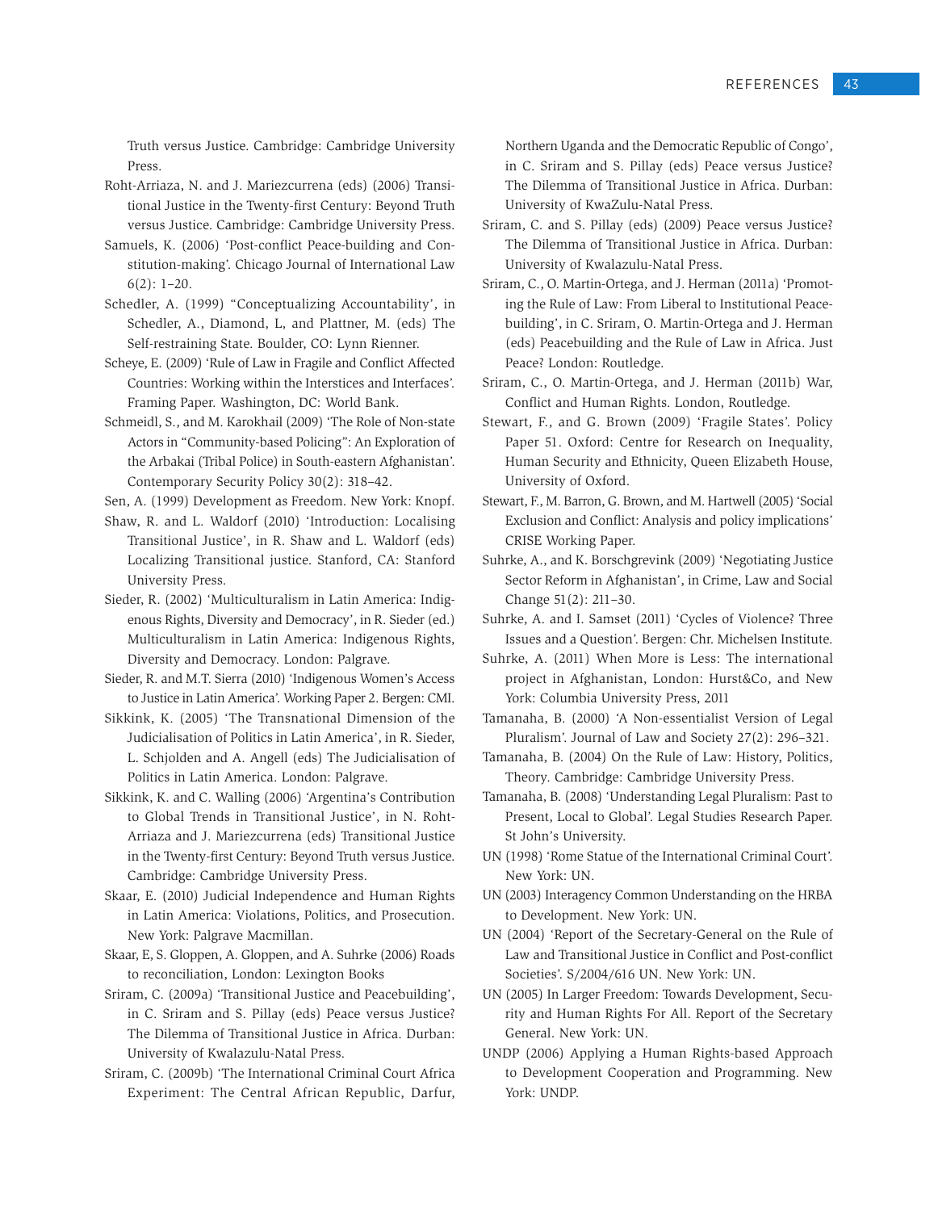Truth versus Justice. Cambridge: Cambridge University Press.

- Roht-Arriaza, N. and J. Mariezcurrena (eds) (2006) Transitional Justice in the Twenty-first Century: Beyond Truth versus Justice. Cambridge: Cambridge University Press.
- Samuels, K. (2006) 'Post-conflict Peace-building and Constitution-making'. Chicago Journal of International Law  $6(2): 1-20.$
- Schedler, A. (1999) "Conceptualizing Accountability', in Schedler, A., Diamond, L, and Plattner, M. (eds) The Self-restraining State. Boulder, CO: Lynn Rienner.
- Scheye, E. (2009) 'Rule of Law in Fragile and Conflict Affected Countries: Working within the Interstices and Interfaces'. Framing Paper. Washington, DC: World Bank.
- Schmeidl, S., and M. Karokhail (2009) 'The Role of Non-state Actors in "Community-based Policing": An Exploration of the Arbakai (Tribal Police) in South-eastern Afghanistan'. Contemporary Security Policy 30(2): 318–42.

Sen, A. (1999) Development as Freedom. New York: Knopf.

- Shaw, R. and L. Waldorf (2010) 'Introduction: Localising Transitional Justice', in R. Shaw and L. Waldorf (eds) Localizing Transitional justice. Stanford, CA: Stanford University Press.
- Sieder, R. (2002) 'Multiculturalism in Latin America: Indigenous Rights, Diversity and Democracy', in R. Sieder (ed.) Multiculturalism in Latin America: Indigenous Rights, Diversity and Democracy. London: Palgrave.
- Sieder, R. and M.T. Sierra (2010) 'Indigenous Women's Access to Justice in Latin America'. Working Paper 2. Bergen: CMI.
- Sikkink, K. (2005) 'The Transnational Dimension of the Judicialisation of Politics in Latin America', in R. Sieder, L. Schjolden and A. Angell (eds) The Judicialisation of Politics in Latin America. London: Palgrave.
- Sikkink, K. and C. Walling (2006) 'Argentina's Contribution to Global Trends in Transitional Justice', in N. Roht-Arriaza and J. Mariezcurrena (eds) Transitional Justice in the Twenty-first Century: Beyond Truth versus Justice. Cambridge: Cambridge University Press.
- Skaar, E. (2010) Judicial Independence and Human Rights in Latin America: Violations, Politics, and Prosecution. New York: Palgrave Macmillan.
- Skaar, E, S. Gloppen, A. Gloppen, and A. Suhrke (2006) Roads to reconciliation, London: Lexington Books
- Sriram, C. (2009a) 'Transitional Justice and Peacebuilding', in C. Sriram and S. Pillay (eds) Peace versus Justice? The Dilemma of Transitional Justice in Africa. Durban: University of Kwalazulu-Natal Press.
- Sriram, C. (2009b) 'The International Criminal Court Africa Experiment: The Central African Republic, Darfur,

Northern Uganda and the Democratic Republic of Congo', in C. Sriram and S. Pillay (eds) Peace versus Justice? The Dilemma of Transitional Justice in Africa. Durban: University of KwaZulu-Natal Press.

- Sriram, C. and S. Pillay (eds) (2009) Peace versus Justice? The Dilemma of Transitional Justice in Africa. Durban: University of Kwalazulu-Natal Press.
- Sriram, C., O. Martin-Ortega, and J. Herman (2011a) 'Promoting the Rule of Law: From Liberal to Institutional Peacebuilding', in C. Sriram, O. Martin-Ortega and J. Herman (eds) Peacebuilding and the Rule of Law in Africa. Just Peace? London: Routledge.
- Sriram, C., O. Martin-Ortega, and J. Herman (2011b) War, Conflict and Human Rights. London, Routledge.
- Stewart, F., and G. Brown (2009) 'Fragile States'. Policy Paper 51. Oxford: Centre for Research on Inequality, Human Security and Ethnicity, Queen Elizabeth House, University of Oxford.
- Stewart, F., M. Barron, G. Brown, and M. Hartwell (2005) 'Social Exclusion and Conflict: Analysis and policy implications' CRISE Working Paper.
- Suhrke, A., and K. Borschgrevink (2009) 'Negotiating Justice Sector Reform in Afghanistan', in Crime, Law and Social Change 51(2): 211–30.
- Suhrke, A. and I. Samset (2011) 'Cycles of Violence? Three Issues and a Question'. Bergen: Chr. Michelsen Institute.
- Suhrke, A. (2011) When More is Less: The international project in Afghanistan, London: Hurst&Co, and New York: Columbia University Press, 2011
- Tamanaha, B. (2000) 'A Non-essentialist Version of Legal Pluralism'. Journal of Law and Society 27(2): 296–321.
- Tamanaha, B. (2004) On the Rule of Law: History, Politics, Theory. Cambridge: Cambridge University Press.
- Tamanaha, B. (2008) 'Understanding Legal Pluralism: Past to Present, Local to Global'. Legal Studies Research Paper. St John's University.
- UN (1998) 'Rome Statue of the International Criminal Court'. New York: UN.
- UN (2003) Interagency Common Understanding on the HRBA to Development. New York: UN.
- UN (2004) 'Report of the Secretary-General on the Rule of Law and Transitional Justice in Conflict and Post-conflict Societies'. S/2004/616 UN. New York: UN.
- UN (2005) In Larger Freedom: Towards Development, Security and Human Rights For All. Report of the Secretary General. New York: UN.
- UNDP (2006) Applying a Human Rights-based Approach to Development Cooperation and Programming. New York: UNDP.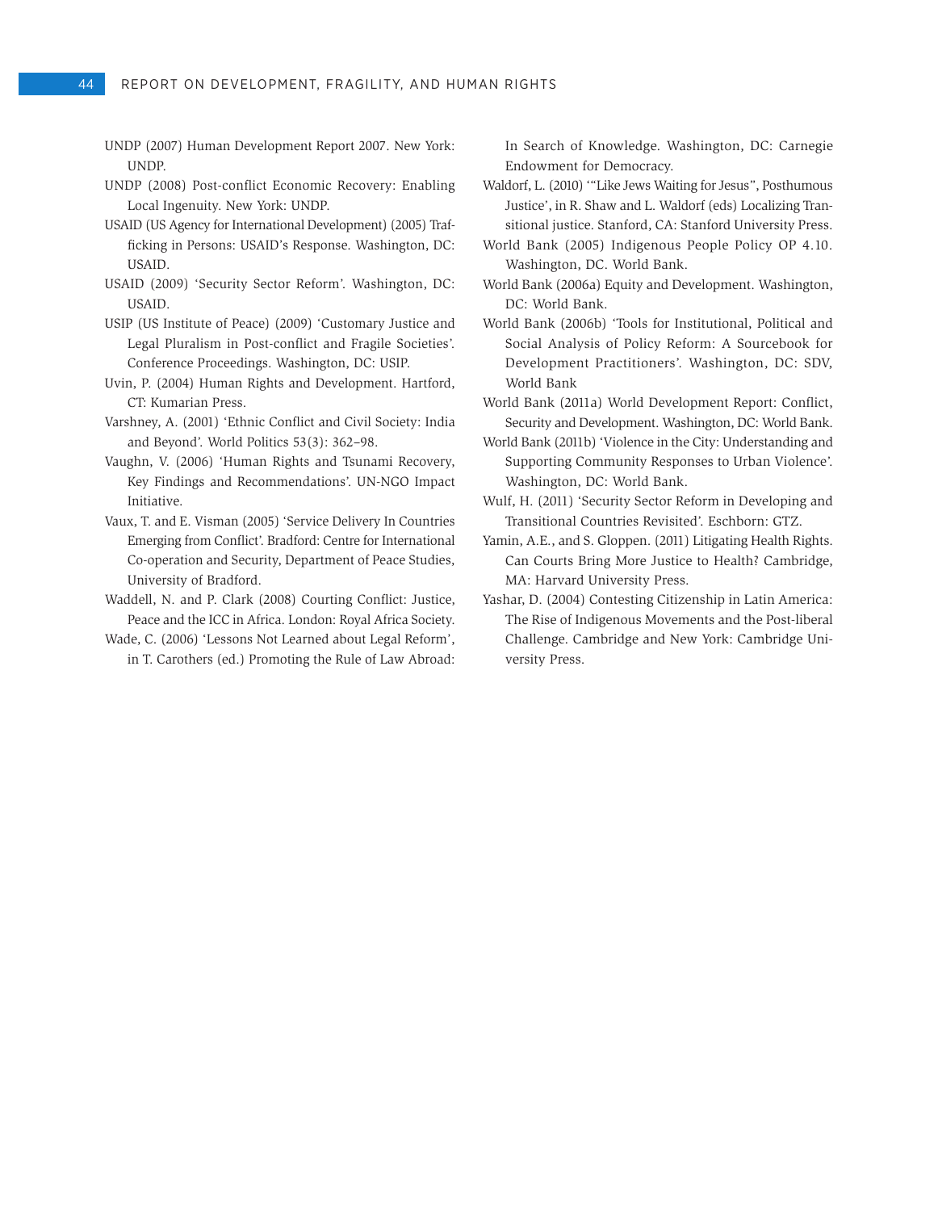- UNDP (2007) Human Development Report 2007. New York: UNDP.
- UNDP (2008) Post-conflict Economic Recovery: Enabling Local Ingenuity. New York: UNDP.
- USAID (US Agency for International Development) (2005) Trafficking in Persons: USAID's Response. Washington, DC: USAID.
- USAID (2009) 'Security Sector Reform'. Washington, DC: USAID.
- USIP (US Institute of Peace) (2009) 'Customary Justice and Legal Pluralism in Post-conflict and Fragile Societies'. Conference Proceedings. Washington, DC: USIP.
- Uvin, P. (2004) Human Rights and Development. Hartford, CT: Kumarian Press.
- Varshney, A. (2001) 'Ethnic Conflict and Civil Society: India and Beyond'. World Politics 53(3): 362–98.
- Vaughn, V. (2006) 'Human Rights and Tsunami Recovery, Key Findings and Recommendations'. UN-NGO Impact Initiative.
- Vaux, T. and E. Visman (2005) 'Service Delivery In Countries Emerging from Conflict'. Bradford: Centre for International Co-operation and Security, Department of Peace Studies, University of Bradford.
- Waddell, N. and P. Clark (2008) Courting Conflict: Justice, Peace and the ICC in Africa. London: Royal Africa Society.
- Wade, C. (2006) 'Lessons Not Learned about Legal Reform', in T. Carothers (ed.) Promoting the Rule of Law Abroad:

In Search of Knowledge. Washington, DC: Carnegie Endowment for Democracy.

- Waldorf, L. (2010) '"Like Jews Waiting for Jesus", Posthumous Justice', in R. Shaw and L. Waldorf (eds) Localizing Transitional justice. Stanford, CA: Stanford University Press.
- World Bank (2005) Indigenous People Policy OP 4.10. Washington, DC. World Bank.
- World Bank (2006a) Equity and Development. Washington, DC: World Bank.
- World Bank (2006b) 'Tools for Institutional, Political and Social Analysis of Policy Reform: A Sourcebook for Development Practitioners'. Washington, DC: SDV, World Bank
- World Bank (2011a) World Development Report: Conflict, Security and Development. Washington, DC: World Bank.
- World Bank (2011b) 'Violence in the City: Understanding and Supporting Community Responses to Urban Violence'. Washington, DC: World Bank.
- Wulf, H. (2011) 'Security Sector Reform in Developing and Transitional Countries Revisited'. Eschborn: GTZ.
- Yamin, A.E., and S. Gloppen. (2011) Litigating Health Rights. Can Courts Bring More Justice to Health? Cambridge, MA: Harvard University Press.
- Yashar, D. (2004) Contesting Citizenship in Latin America: The Rise of Indigenous Movements and the Post-liberal Challenge. Cambridge and New York: Cambridge University Press.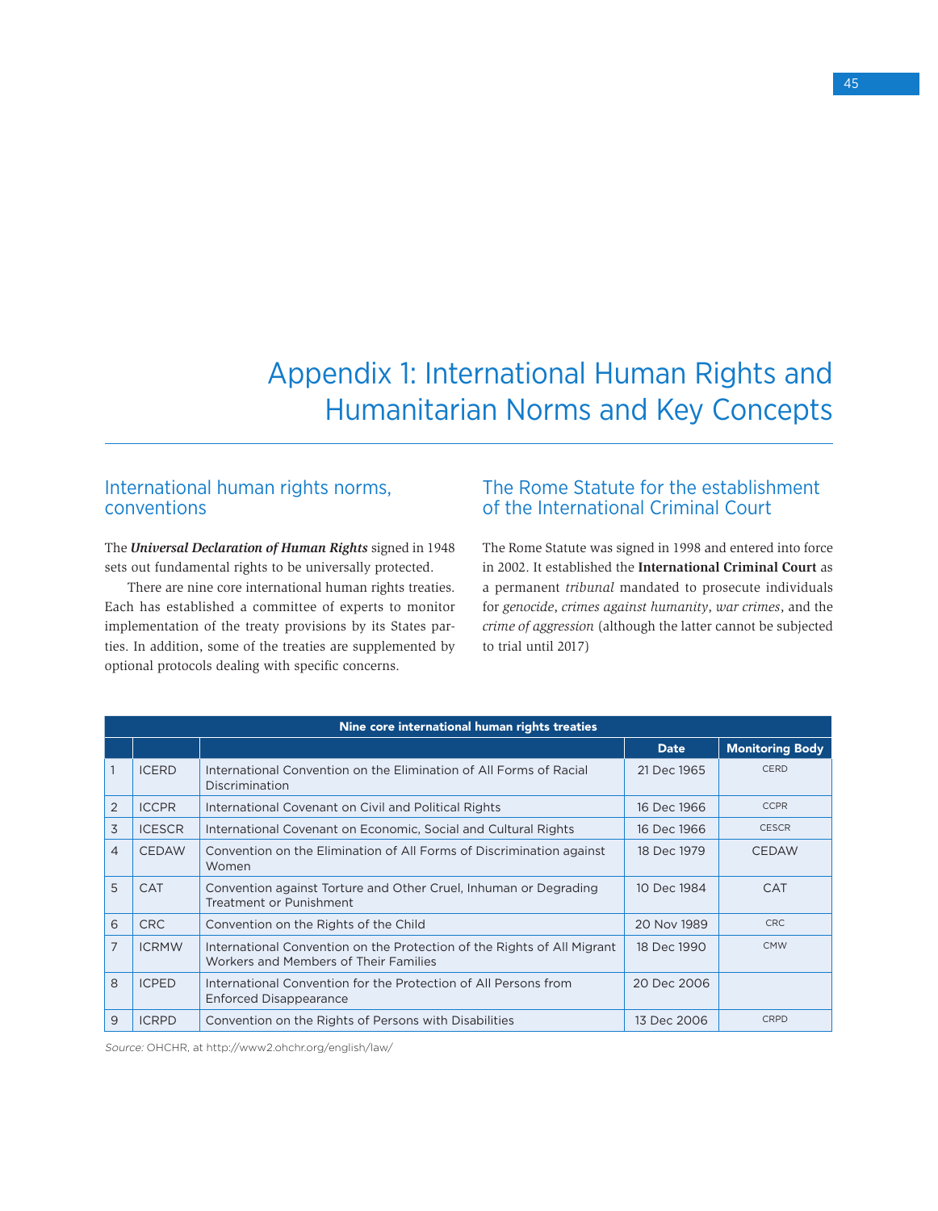Appendix 1: International Human Rights and Humanitarian Norms and Key Concepts

# International human rights norms, conventions

The *Universal Declaration of Human Rights* signed in 1948 sets out fundamental rights to be universally protected.

There are nine core international human rights treaties. Each has established a committee of experts to monitor implementation of the treaty provisions by its States parties. In addition, some of the treaties are supplemented by optional protocols dealing with specific concerns.

# The Rome Statute for the establishment of the International Criminal Court

The Rome Statute was signed in 1998 and entered into force in 2002. It established the **International Criminal Court** as a permanent *tribunal* mandated to prosecute individuals for *genocide*, *crimes against humanity*, *war crimes*, and the *crime of aggression* (although the latter cannot be subjected to trial until 2017)

|                | Nine core international human rights treaties |                                                                                                                  |             |                        |  |
|----------------|-----------------------------------------------|------------------------------------------------------------------------------------------------------------------|-------------|------------------------|--|
|                |                                               |                                                                                                                  | <b>Date</b> | <b>Monitoring Body</b> |  |
| $\mathbf{1}$   | <b>ICERD</b>                                  | International Convention on the Elimination of All Forms of Racial<br>Discrimination                             | 21 Dec 1965 | CERD                   |  |
| 2              | <b>ICCPR</b>                                  | International Covenant on Civil and Political Rights                                                             | 16 Dec 1966 | <b>CCPR</b>            |  |
| 3              | <b>ICESCR</b>                                 | International Covenant on Economic, Social and Cultural Rights                                                   | 16 Dec 1966 | <b>CESCR</b>           |  |
| $\overline{4}$ | <b>CEDAW</b>                                  | Convention on the Elimination of All Forms of Discrimination against<br>Women                                    | 18 Dec 1979 | <b>CEDAW</b>           |  |
| 5              | <b>CAT</b>                                    | Convention against Torture and Other Cruel, Inhuman or Degrading<br>Treatment or Punishment                      | 10 Dec 1984 | <b>CAT</b>             |  |
| 6              | CRC                                           | Convention on the Rights of the Child                                                                            | 20 Nov 1989 | <b>CRC</b>             |  |
| $\overline{7}$ | <b>ICRMW</b>                                  | International Convention on the Protection of the Rights of All Migrant<br>Workers and Members of Their Families | 18 Dec 1990 | <b>CMW</b>             |  |
| 8              | <b>ICPED</b>                                  | International Convention for the Protection of All Persons from<br><b>Enforced Disappearance</b>                 | 20 Dec 2006 |                        |  |
| 9              | <b>ICRPD</b>                                  | Convention on the Rights of Persons with Disabilities                                                            | 13 Dec 2006 | CRPD                   |  |

Source: OHCHR, at http://www2.ohchr.org/english/law/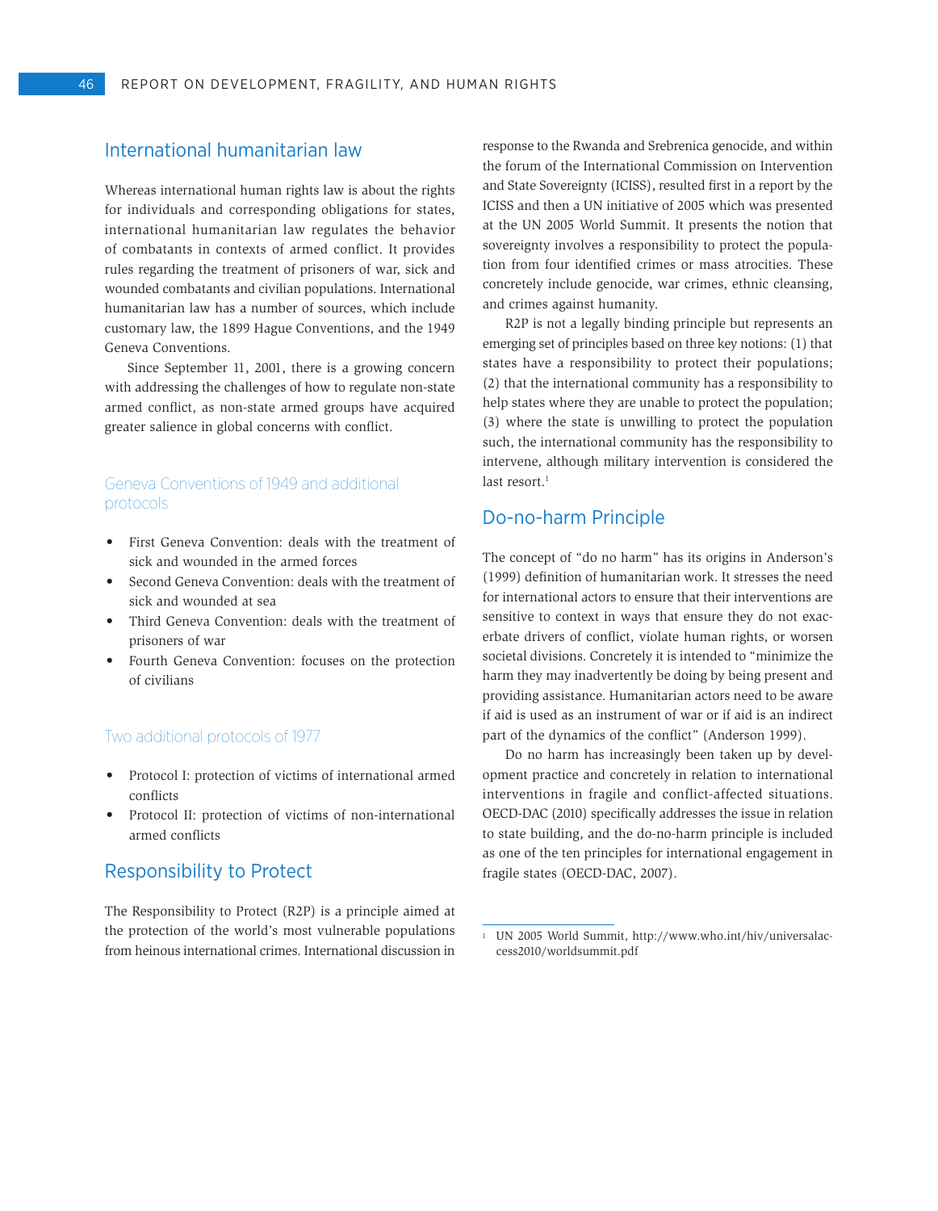# International humanitarian law

Whereas international human rights law is about the rights for individuals and corresponding obligations for states, international humanitarian law regulates the behavior of combatants in contexts of armed conflict. It provides rules regarding the treatment of prisoners of war, sick and wounded combatants and civilian populations. International humanitarian law has a number of sources, which include customary law, the 1899 Hague Conventions, and the 1949 Geneva Conventions.

Since September 11, 2001, there is a growing concern with addressing the challenges of how to regulate non-state armed conflict, as non-state armed groups have acquired greater salience in global concerns with conflict.

# Geneva Conventions of 1949 and additional protocols

- • First Geneva Convention: deals with the treatment of sick and wounded in the armed forces
- Second Geneva Convention: deals with the treatment of sick and wounded at sea
- Third Geneva Convention: deals with the treatment of prisoners of war
- Fourth Geneva Convention: focuses on the protection of civilians

#### Two additional protocols of 1977

- • Protocol I: protection of victims of international armed conflicts
- Protocol II: protection of victims of non-international armed conflicts

# Responsibility to Protect

The Responsibility to Protect (R2P) is a principle aimed at the protection of the world's most vulnerable populations from heinous international crimes. International discussion in response to the Rwanda and Srebrenica genocide, and within the forum of the International Commission on Intervention and State Sovereignty (ICISS), resulted first in a report by the ICISS and then a UN initiative of 2005 which was presented at the UN 2005 World Summit. It presents the notion that sovereignty involves a responsibility to protect the population from four identified crimes or mass atrocities. These concretely include genocide, war crimes, ethnic cleansing, and crimes against humanity.

R2P is not a legally binding principle but represents an emerging set of principles based on three key notions: (1) that states have a responsibility to protect their populations; (2) that the international community has a responsibility to help states where they are unable to protect the population; (3) where the state is unwilling to protect the population such, the international community has the responsibility to intervene, although military intervention is considered the last resort.<sup>1</sup>

## Do-no-harm Principle

The concept of "do no harm" has its origins in Anderson's (1999) definition of humanitarian work. It stresses the need for international actors to ensure that their interventions are sensitive to context in ways that ensure they do not exacerbate drivers of conflict, violate human rights, or worsen societal divisions. Concretely it is intended to "minimize the harm they may inadvertently be doing by being present and providing assistance. Humanitarian actors need to be aware if aid is used as an instrument of war or if aid is an indirect part of the dynamics of the conflict" (Anderson 1999).

Do no harm has increasingly been taken up by development practice and concretely in relation to international interventions in fragile and conflict-affected situations. OECD-DAC (2010) specifically addresses the issue in relation to state building, and the do-no-harm principle is included as one of the ten principles for international engagement in fragile states (OECD-DAC, 2007).

<sup>1</sup> UN 2005 World Summit, http://www.who.int/hiv/universalaccess2010/worldsummit.pdf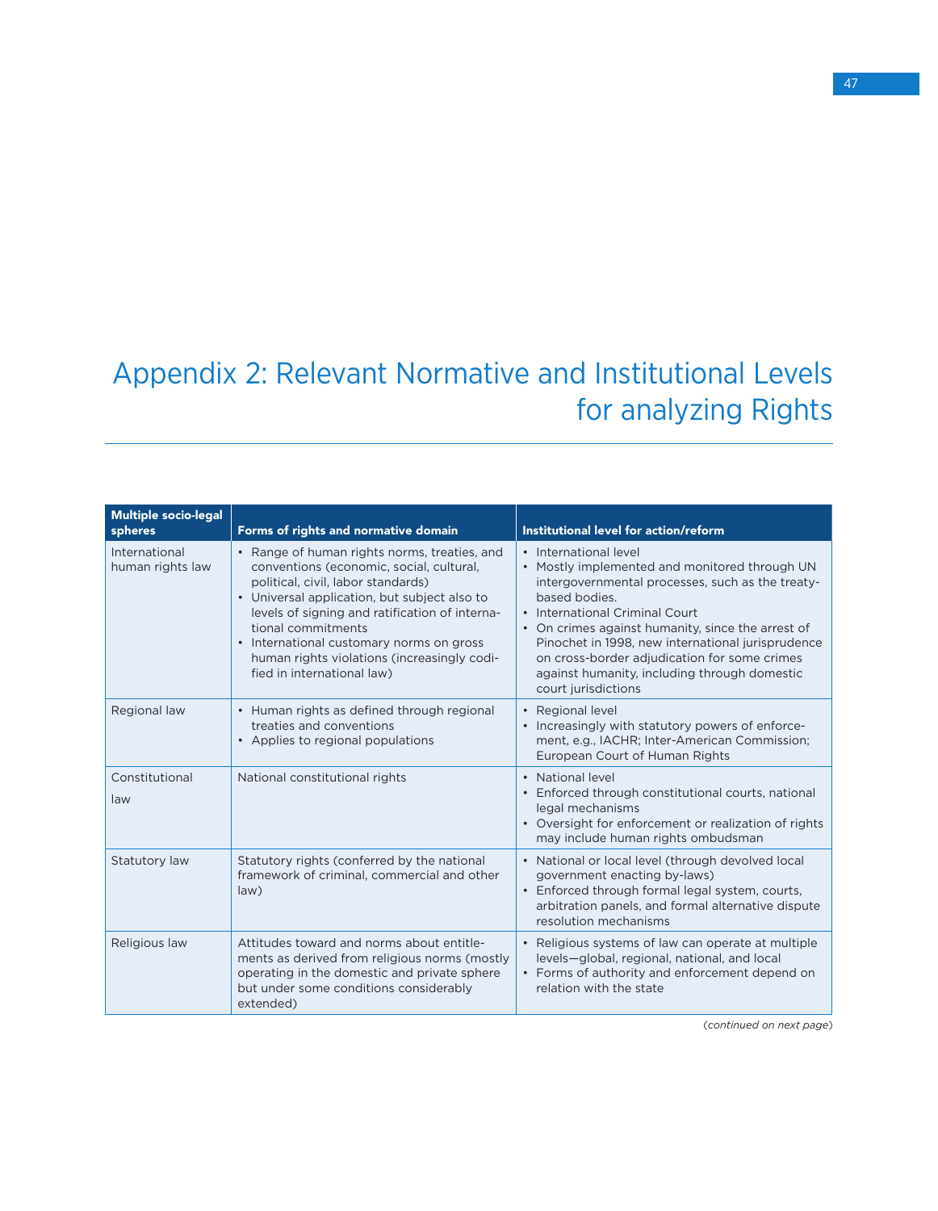# Appendix 2: Relevant Normative and Institutional Levels for analyzing Rights

| <b>Multiple socio-legal</b><br>spheres | Forms of rights and normative domain                                                                                                                                                                                                                                                                                                                                            | Institutional level for action/reform                                                                                                                                                                                                                                                                                                                                                                          |
|----------------------------------------|---------------------------------------------------------------------------------------------------------------------------------------------------------------------------------------------------------------------------------------------------------------------------------------------------------------------------------------------------------------------------------|----------------------------------------------------------------------------------------------------------------------------------------------------------------------------------------------------------------------------------------------------------------------------------------------------------------------------------------------------------------------------------------------------------------|
| International<br>human rights law      | • Range of human rights norms, treaties, and<br>conventions (economic, social, cultural,<br>political, civil, labor standards)<br>• Universal application, but subject also to<br>levels of signing and ratification of interna-<br>tional commitments<br>• International customary norms on gross<br>human rights violations (increasingly codi-<br>fied in international law) | • International level<br>• Mostly implemented and monitored through UN<br>intergovernmental processes, such as the treaty-<br>based bodies.<br>• International Criminal Court<br>• On crimes against humanity, since the arrest of<br>Pinochet in 1998, new international jurisprudence<br>on cross-border adjudication for some crimes<br>against humanity, including through domestic<br>court jurisdictions |
| Regional law                           | • Human rights as defined through regional<br>treaties and conventions<br>• Applies to regional populations                                                                                                                                                                                                                                                                     | • Regional level<br>• Increasingly with statutory powers of enforce-<br>ment, e.g., IACHR; Inter-American Commission;<br>European Court of Human Rights                                                                                                                                                                                                                                                        |
| Constitutional<br>law                  | National constitutional rights                                                                                                                                                                                                                                                                                                                                                  | • National level<br>• Enforced through constitutional courts, national<br>legal mechanisms<br>• Oversight for enforcement or realization of rights<br>may include human rights ombudsman                                                                                                                                                                                                                       |
| Statutory law                          | Statutory rights (conferred by the national<br>framework of criminal, commercial and other<br>law)                                                                                                                                                                                                                                                                              | • National or local level (through devolved local<br>government enacting by-laws)<br>• Enforced through formal legal system, courts,<br>arbitration panels, and formal alternative dispute<br>resolution mechanisms                                                                                                                                                                                            |
| Religious law                          | Attitudes toward and norms about entitle-<br>ments as derived from religious norms (mostly<br>operating in the domestic and private sphere<br>but under some conditions considerably<br>extended)                                                                                                                                                                               | • Religious systems of law can operate at multiple<br>levels-global, regional, national, and local<br>• Forms of authority and enforcement depend on<br>relation with the state                                                                                                                                                                                                                                |

(*continued on next page*)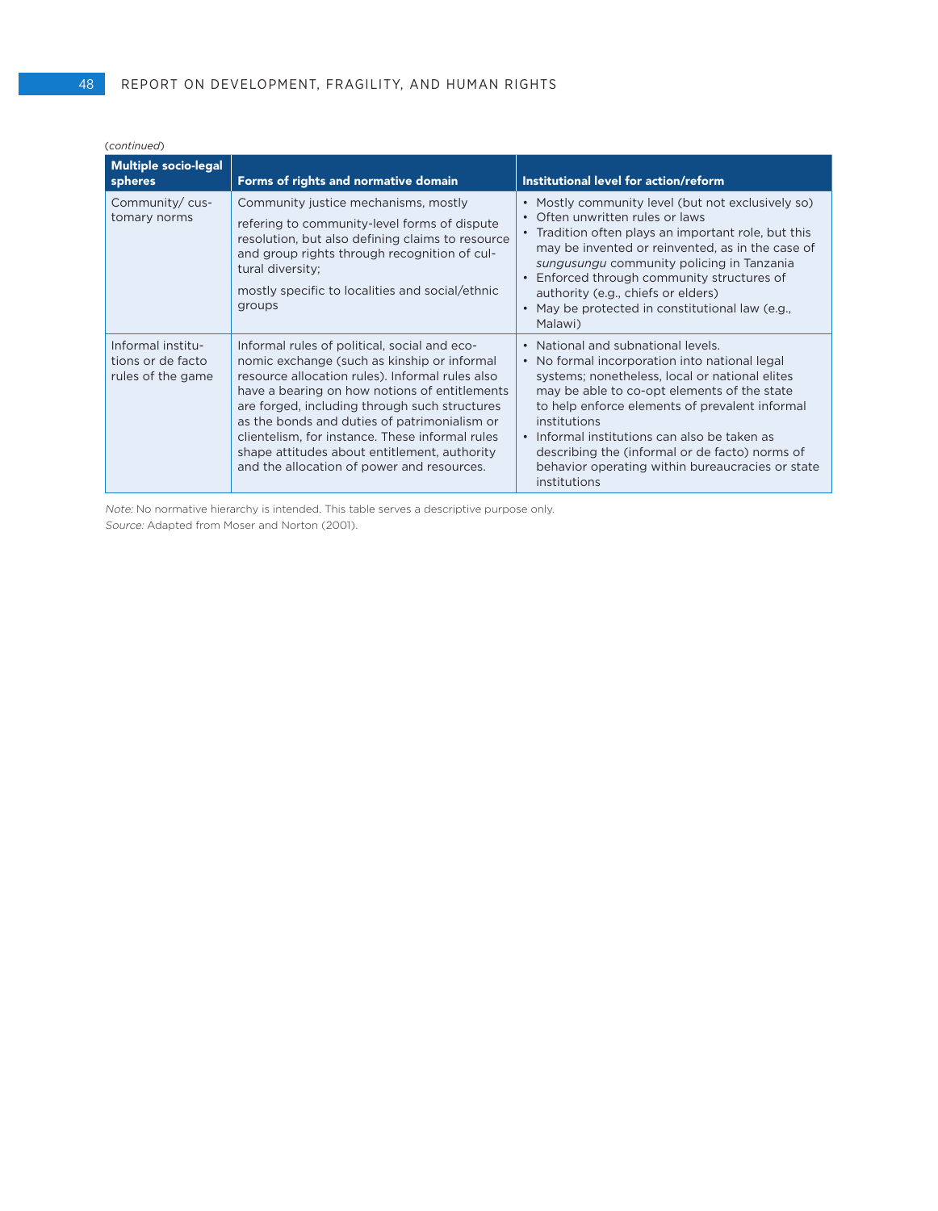| (continued)                                                 |                                                                                                                                                                                                                                                                                                                                                                                                                                                   |                                                                                                                                                                                                                                                                                                                                                                                                                                                               |
|-------------------------------------------------------------|---------------------------------------------------------------------------------------------------------------------------------------------------------------------------------------------------------------------------------------------------------------------------------------------------------------------------------------------------------------------------------------------------------------------------------------------------|---------------------------------------------------------------------------------------------------------------------------------------------------------------------------------------------------------------------------------------------------------------------------------------------------------------------------------------------------------------------------------------------------------------------------------------------------------------|
| <b>Multiple socio-legal</b><br>spheres                      | Forms of rights and normative domain                                                                                                                                                                                                                                                                                                                                                                                                              | Institutional level for action/reform                                                                                                                                                                                                                                                                                                                                                                                                                         |
| Community/cus-<br>tomary norms                              | Community justice mechanisms, mostly<br>refering to community-level forms of dispute<br>resolution, but also defining claims to resource<br>and group rights through recognition of cul-<br>tural diversity;<br>mostly specific to localities and social/ethnic<br>groups                                                                                                                                                                         | Mostly community level (but not exclusively so)<br>$\bullet$<br>Often unwritten rules or laws<br>$\bullet$<br>Tradition often plays an important role, but this<br>may be invented or reinvented, as in the case of<br>sungusungu community policing in Tanzania<br>Enforced through community structures of<br>authority (e.g., chiefs or elders)<br>May be protected in constitutional law (e.g.,<br>Malawi)                                                |
| Informal institu-<br>tions or de facto<br>rules of the game | Informal rules of political, social and eco-<br>nomic exchange (such as kinship or informal<br>resource allocation rules). Informal rules also<br>have a bearing on how notions of entitlements<br>are forged, including through such structures<br>as the bonds and duties of patrimonialism or<br>clientelism, for instance. These informal rules<br>shape attitudes about entitlement, authority<br>and the allocation of power and resources. | National and subnational levels.<br>$\bullet$<br>No formal incorporation into national legal<br>$\bullet$<br>systems; nonetheless, local or national elites<br>may be able to co-opt elements of the state<br>to help enforce elements of prevalent informal<br>institutions<br>Informal institutions can also be taken as<br>$\bullet$<br>describing the (informal or de facto) norms of<br>behavior operating within bureaucracies or state<br>institutions |

Note: No normative hierarchy is intended. This table serves a descriptive purpose only. Source: Adapted from Moser and Norton (2001).